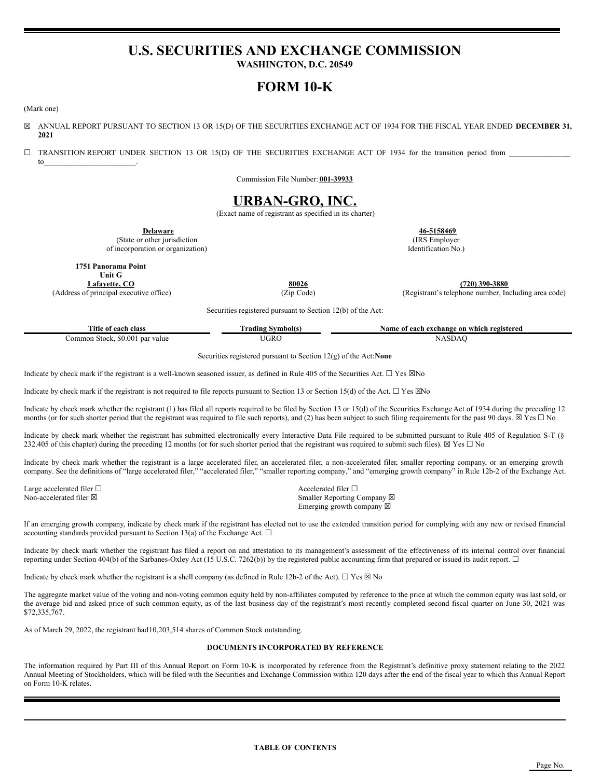# **U.S. SECURITIES AND EXCHANGE COMMISSION**

**WASHINGTON, D.C. 20549**

# **FORM 10-K**

<span id="page-0-0"></span>(Mark one)

- ☒ ANNUAL REPORT PURSUANT TO SECTION 13 OR 15(D) OF THE SECURITIES EXCHANGE ACT OF 1934 FOR THE FISCAL YEAR ENDED **DECEMBER 31, 2021**
- $\Box$  TRANSITION REPORT UNDER SECTION 13 OR 15(D) OF THE SECURITIES EXCHANGE ACT OF 1934 for the transition period from

Commission File Number: **001-39933**

# **URBAN-GRO, INC.**

(Exact name of registrant as specified in its charter)

**Delaware 46-5158469**

(State or other jurisdiction of incorporation or organization)

**1751 Panorama Point**

**Unit G**

to the contract of  $\sim$ 

**Lafayette, CO 80026 (720) 390-3880** (Address of principal executive office) (Zip Code) (Registrant's telephone number, Including area code)

(IRS Employer Identification No.)

Securities registered pursuant to Section 12(b) of the Act:

| Title of each class             | Trading Svmbol(s) | Name of each exchange on which registered |
|---------------------------------|-------------------|-------------------------------------------|
| Common Stock, \$0.001 par value | JGRC              | NASDAC                                    |

Securities registered pursuant to Section 12(g) of the Act:**None**

Indicate by check mark if the registrant is a well-known seasoned issuer, as defined in Rule 405 of the Securities Act. □ Yes ⊠No

Indicate by check mark if the registrant is not required to file reports pursuant to Section 13 or Section 15(d) of the Act.  $\Box$  Yes  $\boxtimes$ No

Indicate by check mark whether the registrant (1) has filed all reports required to be filed by Section 13 or 15(d) of the Securities Exchange Act of 1934 during the preceding 12 months (or for such shorter period that the registrant was required to file such reports), and (2) has been subject to such filing requirements for the past 90 days.  $\boxtimes$  Yes  $\Box$  No

Indicate by check mark whether the registrant has submitted electronically every Interactive Data File required to be submitted pursuant to Rule 405 of Regulation S-T (§ 232.405 of this chapter) during the preceding 12 months (or for such shorter period that the registrant was required to submit such files).  $\boxtimes$  Yes  $\Box$  No

Indicate by check mark whether the registrant is a large accelerated filer, an accelerated filer, a non-accelerated filer, smaller reporting company, or an emerging growth company. See the definitions of "large accelerated filer," "accelerated filer," "smaller reporting company," and "emerging growth company" in Rule 12b-2 of the Exchange Act.

Large accelerated filer □ and  $\Box$  Accelerated filer □

Non-accelerated filer ⊠ Smaller Reporting Company ⊠ Emerging growth company  $\boxtimes$ 

If an emerging growth company, indicate by check mark if the registrant has elected not to use the extended transition period for complying with any new or revised financial accounting standards provided pursuant to Section 13(a) of the Exchange Act.  $\square$ 

Indicate by check mark whether the registrant has filed a report on and attestation to its management's assessment of the effectiveness of its internal control over financial reporting under Section 404(b) of the Sarbanes-Oxley Act (15 U.S.C. 7262(b)) by the registered public accounting firm that prepared or issued its audit report. □

Indicate by check mark whether the registrant is a shell company (as defined in Rule 12b-2 of the Act). ☐ Yes ☒ No

The aggregate market value of the voting and non-voting common equity held by non-affiliates computed by reference to the price at which the common equity was last sold, or the average bid and asked price of such common equity, as of the last business day of the registrant's most recently completed second fiscal quarter on June 30, 2021 was \$72,335,767.

As of March 29, 2022, the registrant had10,203,514 shares of Common Stock outstanding.

# **DOCUMENTS INCORPORATED BY REFERENCE**

The information required by Part III of this Annual Report on Form 10-K is incorporated by reference from the Registrant's definitive proxy statement relating to the 2022 Annual Meeting of Stockholders, which will be filed with the Securities and Exchange Commission within 120 days after the end of the fiscal year to which this Annual Report on Form 10-K relates.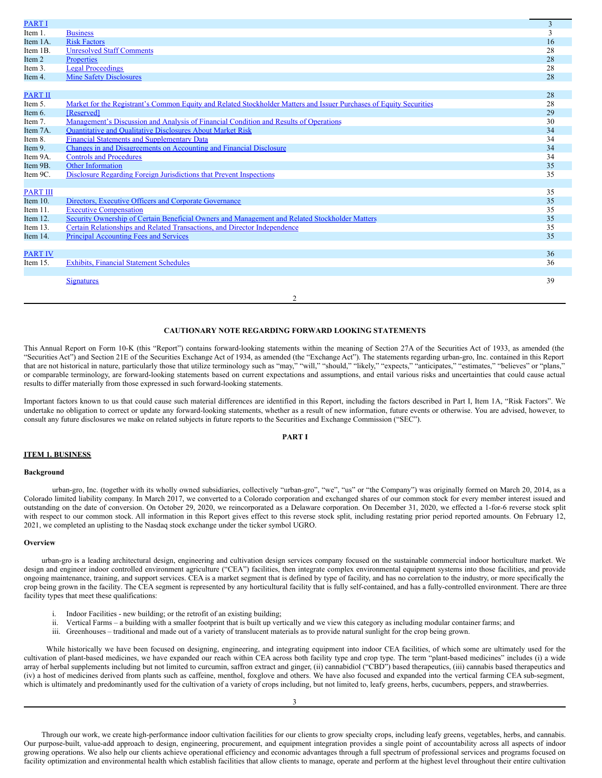| <b>PARTI</b>      |                                                                                                                     | 3  |
|-------------------|---------------------------------------------------------------------------------------------------------------------|----|
| Item 1.           | <b>Business</b>                                                                                                     | 3  |
| Item 1A.          | <b>Risk Factors</b>                                                                                                 | 16 |
| Item 1B.          | <b>Unresolved Staff Comments</b>                                                                                    | 28 |
| Item <sub>2</sub> | Properties                                                                                                          | 28 |
| Item 3.           | <b>Legal Proceedings</b>                                                                                            | 28 |
| Item 4.           | <b>Mine Safety Disclosures</b>                                                                                      | 28 |
|                   |                                                                                                                     |    |
| <b>PART II</b>    |                                                                                                                     | 28 |
| Item 5.           | Market for the Registrant's Common Equity and Related Stockholder Matters and Issuer Purchases of Equity Securities | 28 |
| Item 6.           | [Reserved]                                                                                                          | 29 |
| Item 7.           | Management's Discussion and Analysis of Financial Condition and Results of Operations                               | 30 |
| Item 7A.          | Quantitative and Qualitative Disclosures About Market Risk                                                          | 34 |
| Item 8.           | <b>Financial Statements and Supplementary Data</b>                                                                  | 34 |
| Item 9.           | Changes in and Disagreements on Accounting and Financial Disclosure                                                 | 34 |
| Item 9A.          | <b>Controls and Procedures</b>                                                                                      | 34 |
| Item 9B.          | <b>Other Information</b>                                                                                            | 35 |
| Item 9C.          | Disclosure Regarding Foreign Jurisdictions that Prevent Inspections                                                 | 35 |
|                   |                                                                                                                     |    |
| <b>PART III</b>   |                                                                                                                     | 35 |
| Item 10.          | Directors, Executive Officers and Corporate Governance                                                              | 35 |
| Item 11.          | <b>Executive Compensation</b>                                                                                       | 35 |
| Item 12.          | Security Ownership of Certain Beneficial Owners and Management and Related Stockholder Matters                      | 35 |
| Item 13.          | Certain Relationships and Related Transactions, and Director Independence                                           | 35 |
| Item 14.          | <b>Principal Accounting Fees and Services</b>                                                                       | 35 |
| <b>PART IV</b>    |                                                                                                                     | 36 |
| Item 15.          | <b>Exhibits, Financial Statement Schedules</b>                                                                      | 36 |
|                   |                                                                                                                     |    |
|                   |                                                                                                                     | 39 |
|                   | <b>Signatures</b>                                                                                                   |    |
|                   | 2                                                                                                                   |    |

# **CAUTIONARY NOTE REGARDING FORWARD LOOKING STATEMENTS**

This Annual Report on Form 10-K (this "Report") contains forward-looking statements within the meaning of Section 27A of the Securities Act of 1933, as amended (the "Securities Act") and Section 21E of the Securities Exchange Act of 1934, as amended (the "Exchange Act"). The statements regarding urban-gro, Inc. contained in this Report that are not historical in nature, particularly those that utilize terminology such as "may," "will," "should," "likely," "expects," "anticipates," "estimates," "believes" or "plans," or comparable terminology, are forward-looking statements based on current expectations and assumptions, and entail various risks and uncertainties that could cause actual results to differ materially from those expressed in such forward-looking statements.

Important factors known to us that could cause such material differences are identified in this Report, including the factors described in Part I, Item 1A, "Risk Factors". We undertake no obligation to correct or update any forward-looking statements, whether as a result of new information, future events or otherwise. You are advised, however, to consult any future disclosures we make on related subjects in future reports to the Securities and Exchange Commission ("SEC").

# **PART I**

# **ITEM 1. BUSINESS**

#### **Background**

urban-gro, Inc. (together with its wholly owned subsidiaries, collectively "urban-gro", "we", "us" or "the Company") was originally formed on March 20, 2014, as a Colorado limited liability company. In March 2017, we converted to a Colorado corporation and exchanged shares of our common stock for every member interest issued and outstanding on the date of conversion. On October 29, 2020, we reincorporated as a Delaware corporation. On December 31, 2020, we effected a 1-for-6 reverse stock split with respect to our common stock. All information in this Report gives effect to this reverse stock split, including restating prior period reported amounts. On February 12, 2021, we completed an uplisting to the Nasdaq stock exchange under the ticker symbol UGRO.

#### **Overview**

urban-gro is a leading architectural design, engineering and cultivation design services company focused on the sustainable commercial indoor horticulture market. We design and engineer indoor controlled environment agriculture ("CEA") facilities, then integrate complex environmental equipment systems into those facilities, and provide ongoing maintenance, training, and support services. CEA is a market segment that is defined by type of facility, and has no correlation to the industry, or more specifically the crop being grown in the facility. The CEA segment is represented by any horticultural facility that is fully self-contained, and has a fully-controlled environment. There are three facility types that meet these qualifications:

- i. Indoor Facilities new building; or the retrofit of an existing building;
- ii. Vertical Farms a building with a smaller footprint that is built up vertically and we view this category as including modular container farms; and
- iii. Greenhouses traditional and made out of a variety of translucent materials as to provide natural sunlight for the crop being grown.

While historically we have been focused on designing, engineering, and integrating equipment into indoor CEA facilities, of which some are ultimately used for the cultivation of plant-based medicines, we have expanded our reach within CEA across both facility type and crop type. The term "plant-based medicines" includes (i) a wide array of herbal supplements including but not limited to curcumin, saffron extract and ginger, (ii) cannabidiol ("CBD") based therapeutics, (iii) cannabis based therapeutics and (iv) a host of medicines derived from plants such as caffeine, menthol, foxglove and others. We have also focused and expanded into the vertical farming CEA sub-segment, which is ultimately and predominantly used for the cultivation of a variety of crops including, but not limited to, leafy greens, herbs, cucumbers, peppers, and strawberries.

Through our work, we create high-performance indoor cultivation facilities for our clients to grow specialty crops, including leafy greens, vegetables, herbs, and cannabis. Our purpose-built, value-add approach to design, engineering, procurement, and equipment integration provides a single point of accountability across all aspects of indoor growing operations. We also help our clients achieve operational efficiency and economic advantages through a full spectrum of professional services and programs focused on facility optimization and environmental health which establish facilities that allow clients to manage, operate and perform at the highest level throughout their entire cultivation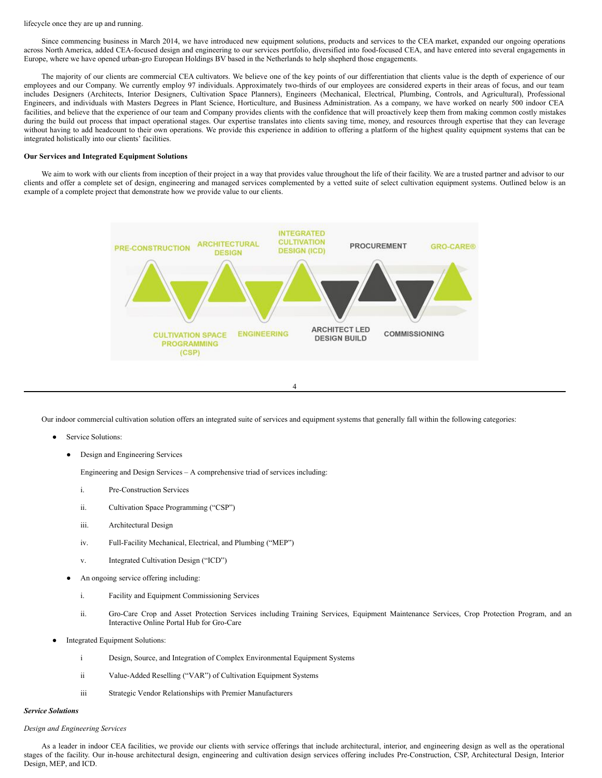#### lifecycle once they are up and running.

Since commencing business in March 2014, we have introduced new equipment solutions, products and services to the CEA market, expanded our ongoing operations across North America, added CEA-focused design and engineering to our services portfolio, diversified into food-focused CEA, and have entered into several engagements in Europe, where we have opened urban-gro European Holdings BV based in the Netherlands to help shepherd those engagements.

The majority of our clients are commercial CEA cultivators. We believe one of the key points of our differentiation that clients value is the depth of experience of our employees and our Company. We currently employ 97 individuals. Approximately two-thirds of our employees are considered experts in their areas of focus, and our team includes Designers (Architects, Interior Designers, Cultivation Space Planners), Engineers (Mechanical, Electrical, Plumbing, Controls, and Agricultural), Professional Engineers, and individuals with Masters Degrees in Plant Science, Horticulture, and Business Administration. As a company, we have worked on nearly 500 indoor CEA facilities, and believe that the experience of our team and Company provides clients with the confidence that will proactively keep them from making common costly mistakes during the build out process that impact operational stages. Our expertise translates into clients saving time, money, and resources through expertise that they can leverage without having to add headcount to their own operations. We provide this experience in addition to offering a platform of the highest quality equipment systems that can be integrated holistically into our clients' facilities.

#### **Our Services and Integrated Equipment Solutions**

We aim to work with our clients from inception of their project in a way that provides value throughout the life of their facility. We are a trusted partner and advisor to our clients and offer a complete set of design, engineering and managed services complemented by a vetted suite of select cultivation equipment systems. Outlined below is an example of a complete project that demonstrate how we provide value to our clients.



Our indoor commercial cultivation solution offers an integrated suite of services and equipment systems that generally fall within the following categories:

- Service Solutions:
	- Design and Engineering Services

Engineering and Design Services – A comprehensive triad of services including:

- i. Pre-Construction Services
- ii. Cultivation Space Programming ("CSP")
- iii. Architectural Design
- iv. Full-Facility Mechanical, Electrical, and Plumbing ("MEP")
- v. Integrated Cultivation Design ("ICD")
- An ongoing service offering including:
	- i. Facility and Equipment Commissioning Services
	- ii. Gro-Care Crop and Asset Protection Services including Training Services, Equipment Maintenance Services, Crop Protection Program, and an Interactive Online Portal Hub for Gro-Care
- **Integrated Equipment Solutions:** 
	- i Design, Source, and Integration of Complex Environmental Equipment Systems
	- ii Value-Added Reselling ("VAR") of Cultivation Equipment Systems
	- iii Strategic Vendor Relationships with Premier Manufacturers

#### *Service Solutions*

# *Design and Engineering Services*

As a leader in indoor CEA facilities, we provide our clients with service offerings that include architectural, interior, and engineering design as well as the operational stages of the facility. Our in-house architectural design, engineering and cultivation design services offering includes Pre-Construction, CSP, Architectural Design, Interior Design, MEP, and ICD.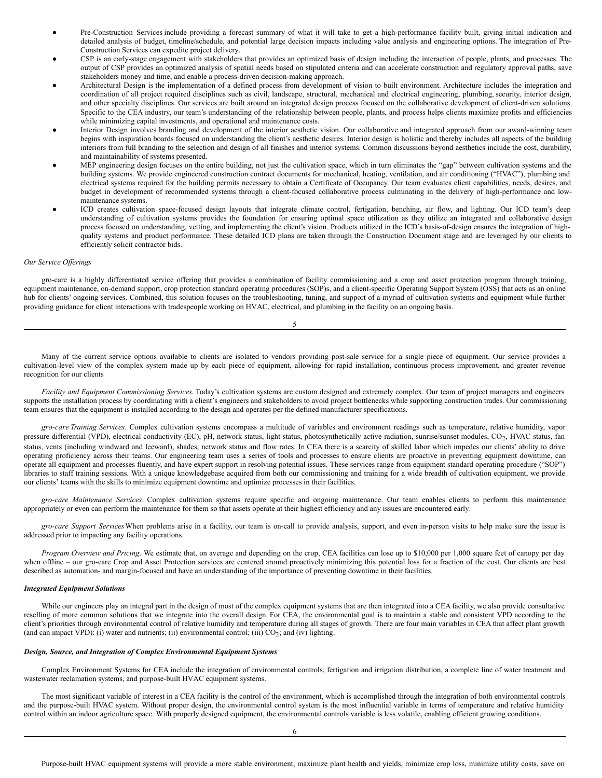- Pre-Construction Services include providing a forecast summary of what it will take to get a high-performance facility built, giving initial indication and detailed analysis of budget, timeline/schedule, and potential large decision impacts including value analysis and engineering options. The integration of Pre-Construction Services can expedite project delivery.
- CSP is an early-stage engagement with stakeholders that provides an optimized basis of design including the interaction of people, plants, and processes. The output of CSP provides an optimized analysis of spatial needs based on stipulated criteria and can accelerate construction and regulatory approval paths, save stakeholders money and time, and enable a process-driven decision-making approach.
- Architectural Design is the implementation of a defined process from development of vision to built environment. Architecture includes the integration and coordination of all project required disciplines such as civil, landscape, structural, mechanical and electrical engineering, plumbing, security, interior design, and other specialty disciplines. Our services are built around an integrated design process focused on the collaborative development of client-driven solutions. Specific to the CEA industry, our team's understanding of the relationship between people, plants, and process helps clients maximize profits and efficiencies while minimizing capital investments, and operational and maintenance costs.
- Interior Design involves branding and development of the interior aesthetic vision. Our collaborative and integrated approach from our award-winning team begins with inspiration boards focused on understanding the client's aesthetic desires. Interior design is holistic and thereby includes all aspects of the building interiors from full branding to the selection and design of all finishes and interior systems. Common discussions beyond aesthetics include the cost, durability, and maintainability of systems presented.
- MEP engineering design focuses on the entire building, not just the cultivation space, which in turn eliminates the "gap" between cultivation systems and the building systems. We provide engineered construction contract documents for mechanical, heating, ventilation, and air conditioning ("HVAC"), plumbing and electrical systems required for the building permits necessary to obtain a Certificate of Occupancy. Our team evaluates client capabilities, needs, desires, and budget in development of recommended systems through a client-focused collaborative process culminating in the delivery of high-performance and lowmaintenance systems.
- ICD creates cultivation space-focused design layouts that integrate climate control, fertigation, benching, air flow, and lighting. Our ICD team's deep understanding of cultivation systems provides the foundation for ensuring optimal space utilization as they utilize an integrated and collaborative design process focused on understanding, vetting, and implementing the client's vision. Products utilized in the ICD's basis-of-design ensures the integration of highquality systems and product performance. These detailed ICD plans are taken through the Construction Document stage and are leveraged by our clients to efficiently solicit contractor bids.

# *Our Service Of erings*

gro-care is a highly differentiated service offering that provides a combination of facility commissioning and a crop and asset protection program through training, equipment maintenance, on-demand support, crop protection standard operating procedures (SOP)s, and a client-specific Operating Support System (OSS) that acts as an online hub for clients' ongoing services. Combined, this solution focuses on the troubleshooting, tuning, and support of a myriad of cultivation systems and equipment while further providing guidance for client interactions with tradespeople working on HVAC, electrical, and plumbing in the facility on an ongoing basis.

5

Many of the current service options available to clients are isolated to vendors providing post-sale service for a single piece of equipment. Our service provides a cultivation-level view of the complex system made up by each piece of equipment, allowing for rapid installation, continuous process improvement, and greater revenue recognition for our clients

*Facility and Equipment Commissioning Services*. Today's cultivation systems are custom designed and extremely complex. Our team of project managers and engineers supports the installation process by coordinating with a client's engineers and stakeholders to avoid project bottlenecks while supporting construction trades. Our commissioning team ensures that the equipment is installed according to the design and operates per the defined manufacturer specifications.

*gro-care Training Services*. Complex cultivation systems encompass a multitude of variables and environment readings such as temperature, relative humidity, vapor pressure differential (VPD), electrical conductivity (EC), pH, network status, light status, photosynthetically active radiation, sunrise/sunset modules, CO<sub>2</sub>, HVAC status, fan status, vents (including windward and leeward), shades, network status and flow rates. In CEA there is a scarcity of skilled labor which impedes our clients' ability to drive operating proficiency across their teams. Our engineering team uses a series of tools and processes to ensure clients are proactive in preventing equipment downtime, can operate all equipment and processes fluently, and have expert support in resolving potential issues. These services range from equipment standard operating procedure ("SOP") libraries to staff training sessions. With a unique knowledgebase acquired from both our commissioning and training for a wide breadth of cultivation equipment, we provide our clients' teams with the skills to minimize equipment downtime and optimize processes in their facilities.

*gro-care Maintenance Services*. Complex cultivation systems require specific and ongoing maintenance. Our team enables clients to perform this maintenance appropriately or even can perform the maintenance for them so that assets operate at their highest efficiency and any issues are encountered early.

*gro-care Support Services*When problems arise in a facility, our team is on-call to provide analysis, support, and even in-person visits to help make sure the issue is addressed prior to impacting any facility operations.

*Program Overview and Pricing*. We estimate that, on average and depending on the crop, CEA facilities can lose up to \$10,000 per 1,000 square feet of canopy per day when offline – our gro-care Crop and Asset Protection services are centered around proactively minimizing this potential loss for a fraction of the cost. Our clients are best described as automation- and margin-focused and have an understanding of the importance of preventing downtime in their facilities.

# *Integrated Equipment Solutions*

While our engineers play an integral part in the design of most of the complex equipment systems that are then integrated into a CEA facility, we also provide consultative reselling of more common solutions that we integrate into the overall design. For CEA, the environmental goal is to maintain a stable and consistent VPD according to the client's priorities through environmental control of relative humidity and temperature during all stages of growth. There are four main variables in CEA that affect plant growth (and can impact VPD): (i) water and nutrients; (ii) environmental control; (iii)  $CO_2$ ; and (iv) lighting.

#### *Design, Source, and Integration of Complex Environmental Equipment Systems*

Complex Environment Systems for CEA include the integration of environmental controls, fertigation and irrigation distribution, a complete line of water treatment and wastewater reclamation systems, and purpose-built HVAC equipment systems.

The most significant variable of interest in a CEA facility is the control of the environment, which is accomplished through the integration of both environmental controls and the purpose-built HVAC system. Without proper design, the environmental control system is the most influential variable in terms of temperature and relative humidity control within an indoor agriculture space. With properly designed equipment, the environmental controls variable is less volatile, enabling efficient growing conditions.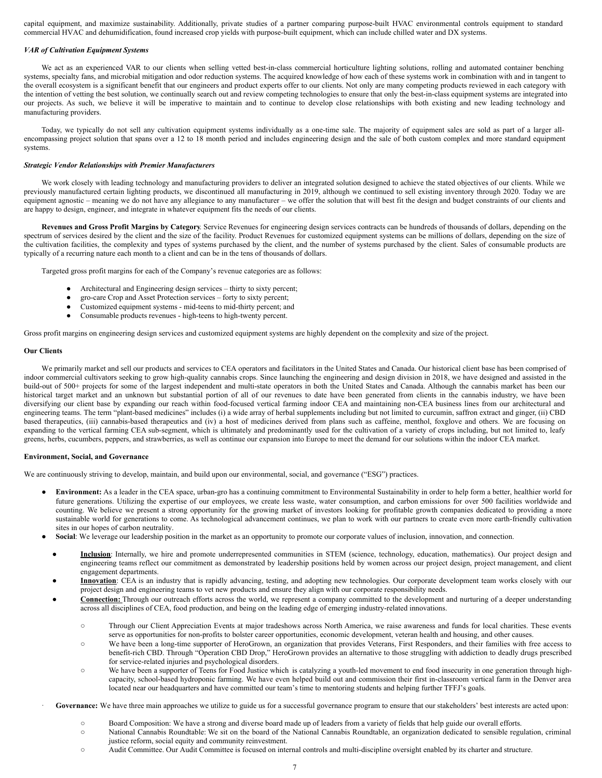capital equipment, and maximize sustainability. Additionally, private studies of a partner comparing purpose-built HVAC environmental controls equipment to standard commercial HVAC and dehumidification, found increased crop yields with purpose-built equipment, which can include chilled water and DX systems.

# *VAR of Cultivation Equipment Systems*

We act as an experienced VAR to our clients when selling vetted best-in-class commercial horticulture lighting solutions, rolling and automated container benching systems, specialty fans, and microbial mitigation and odor reduction systems. The acquired knowledge of how each of these systems work in combination with and in tangent to the overall ecosystem is a significant benefit that our engineers and product experts offer to our clients. Not only are many competing products reviewed in each category with the intention of vetting the best solution, we continually search out and review competing technologies to ensure that only the best-in-class equipment systems are integrated into our projects. As such, we believe it will be imperative to maintain and to continue to develop close relationships with both existing and new leading technology and manufacturing providers.

Today, we typically do not sell any cultivation equipment systems individually as a one-time sale. The majority of equipment sales are sold as part of a larger allencompassing project solution that spans over a 12 to 18 month period and includes engineering design and the sale of both custom complex and more standard equipment systems.

#### *Strategic Vendor Relationships with Premier Manufacturers*

We work closely with leading technology and manufacturing providers to deliver an integrated solution designed to achieve the stated objectives of our clients. While we previously manufactured certain lighting products, we discontinued all manufacturing in 2019, although we continued to sell existing inventory through 2020. Today we are equipment agnostic – meaning we do not have any allegiance to any manufacturer – we offer the solution that will best fit the design and budget constraints of our clients and are happy to design, engineer, and integrate in whatever equipment fits the needs of our clients.

**Revenues and Gross Profit Margins by Category**. Service Revenues for engineering design services contracts can be hundreds of thousands of dollars, depending on the spectrum of services desired by the client and the size of the facility. Product Revenues for customized equipment systems can be millions of dollars, depending on the size of the cultivation facilities, the complexity and types of systems purchased by the client, and the number of systems purchased by the client. Sales of consumable products are typically of a recurring nature each month to a client and can be in the tens of thousands of dollars.

Targeted gross profit margins for each of the Company's revenue categories are as follows:

- Architectural and Engineering design services thirty to sixty percent;
- gro-care Crop and Asset Protection services forty to sixty percent;
- Customized equipment systems mid-teens to mid-thirty percent; and
- Consumable products revenues high-teens to high-twenty percent.

Gross profit margins on engineering design services and customized equipment systems are highly dependent on the complexity and size of the project.

#### **Our Clients**

We primarily market and sell our products and services to CEA operators and facilitators in the United States and Canada. Our historical client base has been comprised of indoor commercial cultivators seeking to grow high-quality cannabis crops. Since launching the engineering and design division in 2018, we have designed and assisted in the build-out of 500+ projects for some of the largest independent and multi-state operators in both the United States and Canada. Although the cannabis market has been our historical target market and an unknown but substantial portion of all of our revenues to date have been generated from clients in the cannabis industry, we have been diversifying our client base by expanding our reach within food-focused vertical farming indoor CEA and maintaining non-CEA business lines from our architectural and engineering teams. The term "plant-based medicines" includes (i) a wide array of herbal supplements including but not limited to curcumin, saffron extract and ginger, (ii) CBD based therapeutics, (iii) cannabis-based therapeutics and (iv) a host of medicines derived from plans such as caffeine, menthol, foxglove and others. We are focusing on expanding to the vertical farming CEA sub-segment, which is ultimately and predominantly used for the cultivation of a variety of crops including, but not limited to, leafy greens, herbs, cucumbers, peppers, and strawberries, as well as continue our expansion into Europe to meet the demand for our solutions within the indoor CEA market.

# **Environment, Social, and Governance**

We are continuously striving to develop, maintain, and build upon our environmental, social, and governance ("ESG") practices.

- **Environment:** As a leader in the CEA space, urban-gro has a continuing commitment to Environmental Sustainability in order to help form a better, healthier world for future generations. Utilizing the expertise of our employees, we create less waste, water consumption, and carbon emissions for over 500 facilities worldwide and counting. We believe we present a strong opportunity for the growing market of investors looking for profitable growth companies dedicated to providing a more sustainable world for generations to come. As technological advancement continues, we plan to work with our partners to create even more earth-friendly cultivation sites in our hopes of carbon neutrality.
- Social: We leverage our leadership position in the market as an opportunity to promote our corporate values of inclusion, innovation, and connection.
	- Inclusion: Internally, we hire and promote underrepresented communities in STEM (science, technology, education, mathematics). Our project design and engineering teams reflect our commitment as demonstrated by leadership positions held by women across our project design, project management, and client engagement departments.
	- **Innovation**: CEA is an industry that is rapidly advancing, testing, and adopting new technologies. Our corporate development team works closely with our project design and engineering teams to vet new products and ensure they align with our corporate responsibility needs.
	- **Connection:** Through our outreach efforts across the world, we represent a company committed to the development and nurturing of a deeper understanding across all disciplines of CEA, food production, and being on the leading edge of emerging industry-related innovations.
		- Through our Client Appreciation Events at major tradeshows across North America, we raise awareness and funds for local charities. These events serve as opportunities for non-profits to bolster career opportunities, economic development, veteran health and housing, and other causes.
		- We have been a long-time supporter of HeroGrown, an organization that provides Veterans, First Responders, and their families with free access to benefit-rich CBD. Through "Operation CBD Drop," HeroGrown provides an alternative to those struggling with addiction to deadly drugs prescribed for service-related injuries and psychological disorders.
		- We have been a supporter of Teens for Food Justice which is catalyzing a youth-led movement to end food insecurity in one generation through highcapacity, school-based hydroponic farming. We have even helped build out and commission their first in-classroom vertical farm in the Denver area located near our headquarters and have committed our team's time to mentoring students and helping further TFFJ's goals.
- Governance: We have three main approaches we utilize to guide us for a successful governance program to ensure that our stakeholders' best interests are acted upon:
	- Board Composition: We have a strong and diverse board made up of leaders from a variety of fields that help guide our overall efforts.
	- National Cannabis Roundtable: We sit on the board of the National Cannabis Roundtable, an organization dedicated to sensible regulation, criminal justice reform, social equity and community reinvestment.
	- Audit Committee. Our Audit Committee is focused on internal controls and multi-discipline oversight enabled by its charter and structure.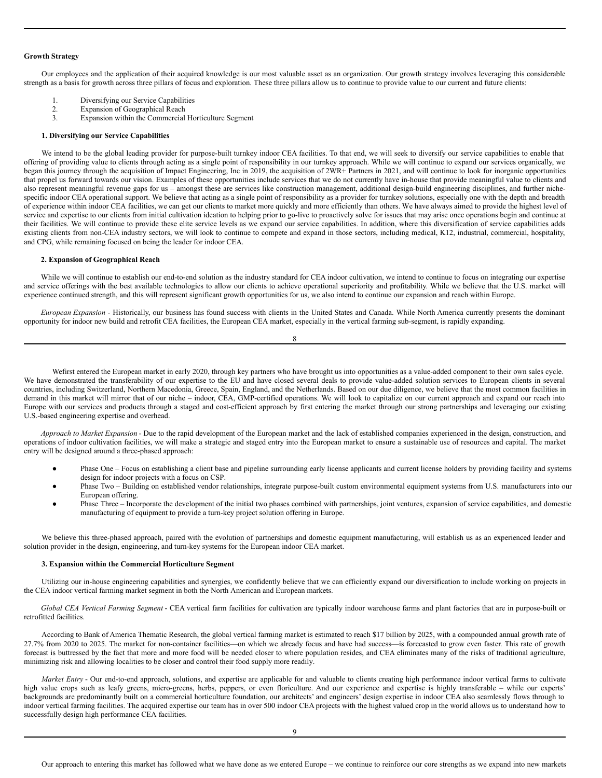#### **Growth Strategy**

Our employees and the application of their acquired knowledge is our most valuable asset as an organization. Our growth strategy involves leveraging this considerable strength as a basis for growth across three pillars of focus and exploration. These three pillars allow us to continue to provide value to our current and future clients:

- 1. Diversifying our Service Capabilities
- 2. Expansion of Geographical Reach
- 3. Expansion within the Commercial Horticulture Segment

#### **1. Diversifying our Service Capabilities**

We intend to be the global leading provider for purpose-built turnkey indoor CEA facilities. To that end, we will seek to diversify our service capabilities to enable that offering of providing value to clients through acting as a single point of responsibility in our turnkey approach. While we will continue to expand our services organically, we began this journey through the acquisition of Impact Engineering, Inc in 2019, the acquisition of 2WR+ Partners in 2021, and will continue to look for inorganic opportunities that propel us forward towards our vision. Examples of these opportunities include services that we do not currently have in-house that provide meaningful value to clients and also represent meaningful revenue gaps for us - amongst these are services like construction management, additional design-build engineering disciplines, and further nichespecific indoor CEA operational support. We believe that acting as a single point of responsibility as a provider for turnkey solutions, especially one with the depth and breadth of experience within indoor CEA facilities, we can get our clients to market more quickly and more efficiently than others. We have always aimed to provide the highest level of service and expertise to our clients from initial cultivation ideation to helping prior to go-live to proactively solve for issues that may arise once operations begin and continue at their facilities. We will continue to provide these elite service levels as we expand our service capabilities. In addition, where this diversification of service capabilities adds existing clients from non-CEA industry sectors, we will look to continue to compete and expand in those sectors, including medical, K12, industrial, commercial, hospitality, and CPG, while remaining focused on being the leader for indoor CEA.

# **2. Expansion of Geographical Reach**

While we will continue to establish our end-to-end solution as the industry standard for CEA indoor cultivation, we intend to continue to focus on integrating our expertise and service offerings with the best available technologies to allow our clients to achieve operational superiority and profitability. While we believe that the U.S. market will experience continued strength, and this will represent significant growth opportunities for us, we also intend to continue our expansion and reach within Europe.

*European Expansion* - Historically, our business has found success with clients in the United States and Canada. While North America currently presents the dominant opportunity for indoor new build and retrofit CEA facilities, the European CEA market, especially in the vertical farming sub-segment, is rapidly expanding.

| I<br>ï<br>×<br>۰, |
|-------------------|
|-------------------|

Wefirst entered the European market in early 2020, through key partners who have brought us into opportunities as a value-added component to their own sales cycle. We have demonstrated the transferability of our expertise to the EU and have closed several deals to provide value-added solution services to European clients in several countries, including Switzerland, Northern Macedonia, Greece, Spain, England, and the Netherlands. Based on our due diligence, we believe that the most common facilities in demand in this market will mirror that of our niche – indoor, CEA, GMP-certified operations. We will look to capitalize on our current approach and expand our reach into Europe with our services and products through a staged and cost-efficient approach by first entering the market through our strong partnerships and leveraging our existing U.S.-based engineering expertise and overhead.

*Approach to Market Expansion* - Due to the rapid development of the European market and the lack of established companies experienced in the design, construction, and operations of indoor cultivation facilities, we will make a strategic and staged entry into the European market to ensure a sustainable use of resources and capital. The market entry will be designed around a three-phased approach:

- Phase One Focus on establishing a client base and pipeline surrounding early license applicants and current license holders by providing facility and systems design for indoor projects with a focus on CSP.
- Phase Two Building on established vendor relationships, integrate purpose-built custom environmental equipment systems from U.S. manufacturers into our European offering.
- Phase Three Incorporate the development of the initial two phases combined with partnerships, joint ventures, expansion of service capabilities, and domestic manufacturing of equipment to provide a turn-key project solution offering in Europe.

We believe this three-phased approach, paired with the evolution of partnerships and domestic equipment manufacturing, will establish us as an experienced leader and solution provider in the design, engineering, and turn-key systems for the European indoor CEA market.

#### **3. Expansion within the Commercial Horticulture Segment**

Utilizing our in-house engineering capabilities and synergies, we confidently believe that we can efficiently expand our diversification to include working on projects in the CEA indoor vertical farming market segment in both the North American and European markets.

*Global CEA Vertical Farming Segment* - CEA vertical farm facilities for cultivation are typically indoor warehouse farms and plant factories that are in purpose-built or retrofitted facilities.

According to Bank of America Thematic Research, the global vertical farming market is estimated to reach \$17 billion by 2025, with a compounded annual growth rate of 27.7% from 2020 to 2025. The market for non-container facilities—on which we already focus and have had success—is forecasted to grow even faster. This rate of growth forecast is buttressed by the fact that more and more food will be needed closer to where population resides, and CEA eliminates many of the risks of traditional agriculture, minimizing risk and allowing localities to be closer and control their food supply more readily.

*Market Entry* - Our end-to-end approach, solutions, and expertise are applicable for and valuable to clients creating high performance indoor vertical farms to cultivate high value crops such as leafy greens, micro-greens, herbs, peppers, or even floriculture. And our experience and expertise is highly transferable – while our experts' backgrounds are predominantly built on a commercial horticulture foundation, our architects' and engineers' design expertise in indoor CEA also seamlessly flows through to indoor vertical farming facilities. The acquired expertise our team has in over 500 indoor CEA projects with the highest valued crop in the world allows us to understand how to successfully design high performance CEA facilities.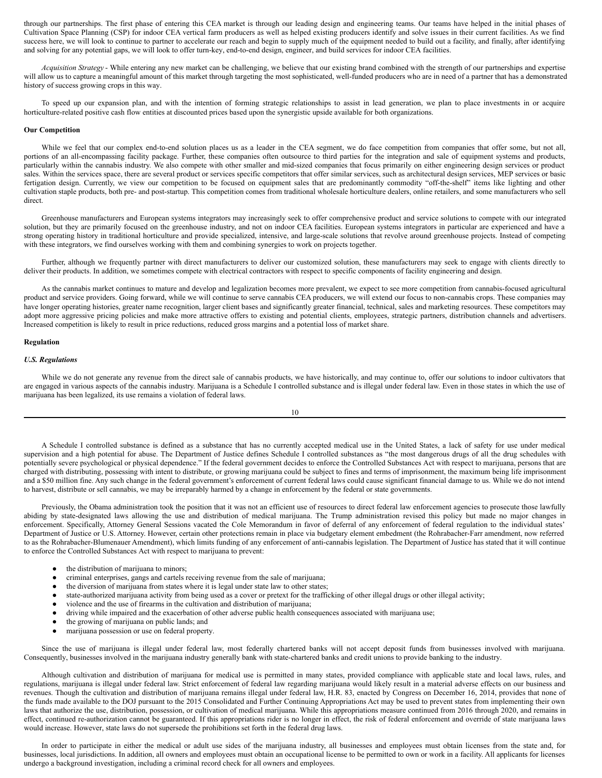through our partnerships. The first phase of entering this CEA market is through our leading design and engineering teams. Our teams have helped in the initial phases of Cultivation Space Planning (CSP) for indoor CEA vertical farm producers as well as helped existing producers identify and solve issues in their current facilities. As we find success here, we will look to continue to partner to accelerate our reach and begin to supply much of the equipment needed to build out a facility, and finally, after identifying and solving for any potential gaps, we will look to offer turn-key, end-to-end design, engineer, and build services for indoor CEA facilities.

*Acquisition Strategy* - While entering any new market can be challenging, we believe that our existing brand combined with the strength of our partnerships and expertise will allow us to capture a meaningful amount of this market through targeting the most sophisticated, well-funded producers who are in need of a partner that has a demonstrated history of success growing crops in this way.

To speed up our expansion plan, and with the intention of forming strategic relationships to assist in lead generation, we plan to place investments in or acquire horticulture-related positive cash flow entities at discounted prices based upon the synergistic upside available for both organizations.

# **Our Competition**

While we feel that our complex end-to-end solution places us as a leader in the CEA segment, we do face competition from companies that offer some, but not all, portions of an all-encompassing facility package. Further, these companies often outsource to third parties for the integration and sale of equipment systems and products, particularly within the cannabis industry. We also compete with other smaller and mid-sized companies that focus primarily on either engineering design services or product sales. Within the services space, there are several product or services specific competitors that offer similar services, such as architectural design services, MEP services or basic fertigation design. Currently, we view our competition to be focused on equipment sales that are predominantly commodity "off-the-shelf" items like lighting and other cultivation staple products, both pre- and post-startup. This competition comes from traditional wholesale horticulture dealers, online retailers, and some manufacturers who sell direct.

Greenhouse manufacturers and European systems integrators may increasingly seek to offer comprehensive product and service solutions to compete with our integrated solution, but they are primarily focused on the greenhouse industry, and not on indoor CEA facilities. European systems integrators in particular are experienced and have a strong operating history in traditional horticulture and provide specialized, intensive, and large-scale solutions that revolve around greenhouse projects. Instead of competing with these integrators, we find ourselves working with them and combining synergies to work on projects together.

Further, although we frequently partner with direct manufacturers to deliver our customized solution, these manufacturers may seek to engage with clients directly to deliver their products. In addition, we sometimes compete with electrical contractors with respect to specific components of facility engineering and design.

As the cannabis market continues to mature and develop and legalization becomes more prevalent, we expect to see more competition from cannabis-focused agricultural product and service providers. Going forward, while we will continue to serve cannabis CEA producers, we will extend our focus to non-cannabis crops. These companies may have longer operating histories, greater name recognition, larger client bases and significantly greater financial, technical, sales and marketing resources. These competitors may adopt more aggressive pricing policies and make more attractive offers to existing and potential clients, employees, strategic partners, distribution channels and advertisers. Increased competition is likely to result in price reductions, reduced gross margins and a potential loss of market share.

#### **Regulation**

# *U.S. Regulations*

While we do not generate any revenue from the direct sale of cannabis products, we have historically, and may continue to, offer our solutions to indoor cultivators that are engaged in various aspects of the cannabis industry. Marijuana is a Schedule I controlled substance and is illegal under federal law. Even in those states in which the use of marijuana has been legalized, its use remains a violation of federal laws.

10

A Schedule I controlled substance is defined as a substance that has no currently accepted medical use in the United States, a lack of safety for use under medical supervision and a high potential for abuse. The Department of Justice defines Schedule I controlled substances as "the most dangerous drugs of all the drug schedules with potentially severe psychological or physical dependence." If the federal government decides to enforce the Controlled Substances Act with respect to marijuana, persons that are charged with distributing, possessing with intent to distribute, or growing marijuana could be subject to fines and terms of imprisonment, the maximum being life imprisonment and a \$50 million fine. Any such change in the federal government's enforcement of current federal laws could cause significant financial damage to us. While we do not intend to harvest, distribute or sell cannabis, we may be irreparably harmed by a change in enforcement by the federal or state governments.

Previously, the Obama administration took the position that it was not an efficient use of resources to direct federal law enforcement agencies to prosecute those lawfully abiding by state-designated laws allowing the use and distribution of medical marijuana. The Trump administration revised this policy but made no major changes in enforcement. Specifically, Attorney General Sessions vacated the Cole Memorandum in favor of deferral of any enforcement of federal regulation to the individual states' Department of Justice or U.S. Attorney. However, certain other protections remain in place via budgetary element embedment (the Rohrabacher-Farr amendment, now referred to as the Rohrabacher-Blumenauer Amendment), which limits funding of any enforcement of anti-cannabis legislation. The Department of Justice has stated that it will continue to enforce the Controlled Substances Act with respect to marijuana to prevent:

- the distribution of marijuana to minors;
- criminal enterprises, gangs and cartels receiving revenue from the sale of marijuana;
- the diversion of marijuana from states where it is legal under state law to other states;
- state-authorized marijuana activity from being used as a cover or pretext for the trafficking of other illegal drugs or other illegal activity;
- violence and the use of firearms in the cultivation and distribution of marijuana;
- driving while impaired and the exacerbation of other adverse public health consequences associated with marijuana use;
- the growing of marijuana on public lands; and
- marijuana possession or use on federal property.

Since the use of marijuana is illegal under federal law, most federally chartered banks will not accept deposit funds from businesses involved with marijuana. Consequently, businesses involved in the marijuana industry generally bank with state-chartered banks and credit unions to provide banking to the industry.

Although cultivation and distribution of marijuana for medical use is permitted in many states, provided compliance with applicable state and local laws, rules, and regulations, marijuana is illegal under federal law. Strict enforcement of federal law regarding marijuana would likely result in a material adverse effects on our business and revenues. Though the cultivation and distribution of marijuana remains illegal under federal law, H.R. 83, enacted by Congress on December 16, 2014, provides that none of the funds made available to the DOJ pursuant to the 2015 Consolidated and Further Continuing Appropriations Act may be used to prevent states from implementing their own laws that authorize the use, distribution, possession, or cultivation of medical marijuana. While this appropriations measure continued from 2016 through 2020, and remains in effect, continued re-authorization cannot be guaranteed. If this appropriations rider is no longer in effect, the risk of federal enforcement and override of state marijuana laws would increase. However, state laws do not supersede the prohibitions set forth in the federal drug laws.

In order to participate in either the medical or adult use sides of the marijuana industry, all businesses and employees must obtain licenses from the state and, for businesses, local jurisdictions. In addition, all owners and employees must obtain an occupational license to be permitted to own or work in a facility. All applicants for licenses undergo a background investigation, including a criminal record check for all owners and employees.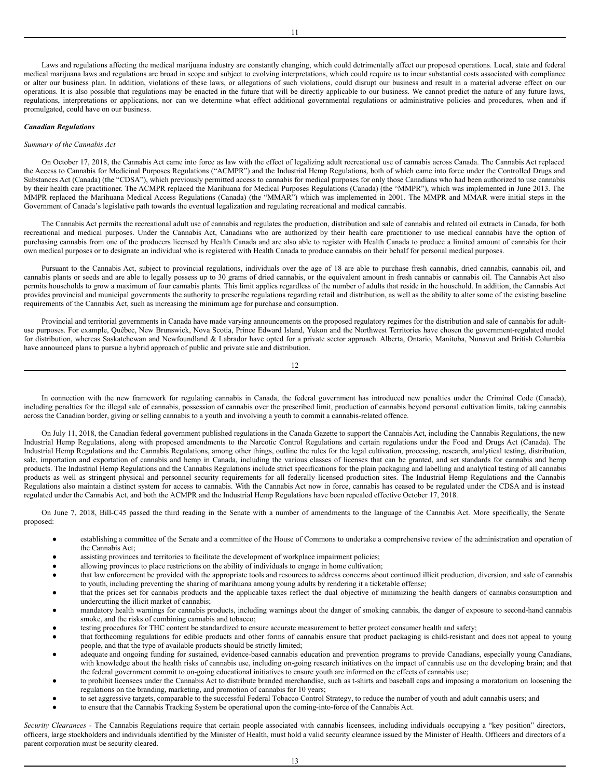Laws and regulations affecting the medical marijuana industry are constantly changing, which could detrimentally affect our proposed operations. Local, state and federal medical marijuana laws and regulations are broad in scope and subject to evolving interpretations, which could require us to incur substantial costs associated with compliance or alter our business plan. In addition, violations of these laws, or allegations of such violations, could disrupt our business and result in a material adverse effect on our operations. It is also possible that regulations may be enacted in the future that will be directly applicable to our business. We cannot predict the nature of any future laws, regulations, interpretations or applications, nor can we determine what effect additional governmental regulations or administrative policies and procedures, when and if promulgated, could have on our business.

#### *Canadian Regulations*

# *Summary of the Cannabis Act*

On October 17, 2018, the Cannabis Act came into force as law with the effect of legalizing adult recreational use of cannabis across Canada. The Cannabis Act replaced the Access to Cannabis for Medicinal Purposes Regulations ("ACMPR") and the Industrial Hemp Regulations, both of which came into force under the Controlled Drugs and Substances Act (Canada) (the "CDSA"), which previously permitted access to cannabis for medical purposes for only those Canadians who had been authorized to use cannabis by their health care practitioner. The ACMPR replaced the Marihuana for Medical Purposes Regulations (Canada) (the "MMPR"), which was implemented in June 2013. The MMPR replaced the Marihuana Medical Access Regulations (Canada) (the "MMAR") which was implemented in 2001. The MMPR and MMAR were initial steps in the Government of Canada's legislative path towards the eventual legalization and regulating recreational and medical cannabis.

The Cannabis Act permits the recreational adult use of cannabis and regulates the production, distribution and sale of cannabis and related oil extracts in Canada, for both recreational and medical purposes. Under the Cannabis Act, Canadians who are authorized by their health care practitioner to use medical cannabis have the option of purchasing cannabis from one of the producers licensed by Health Canada and are also able to register with Health Canada to produce a limited amount of cannabis for their own medical purposes or to designate an individual who is registered with Health Canada to produce cannabis on their behalf for personal medical purposes.

Pursuant to the Cannabis Act, subject to provincial regulations, individuals over the age of 18 are able to purchase fresh cannabis, dried cannabis, cannabis oil, and cannabis plants or seeds and are able to legally possess up to 30 grams of dried cannabis, or the equivalent amount in fresh cannabis or cannabis oil. The Cannabis Act also permits households to grow a maximum of four cannabis plants. This limit applies regardless of the number of adults that reside in the household. In addition, the Cannabis Act provides provincial and municipal governments the authority to prescribe regulations regarding retail and distribution, as well as the ability to alter some of the existing baseline requirements of the Cannabis Act, such as increasing the minimum age for purchase and consumption.

Provincial and territorial governments in Canada have made varying announcements on the proposed regulatory regimes for the distribution and sale of cannabis for adultuse purposes. For example, Québec, New Brunswick, Nova Scotia, Prince Edward Island, Yukon and the Northwest Territories have chosen the government-regulated model for distribution, whereas Saskatchewan and Newfoundland & Labrador have opted for a private sector approach. Alberta, Ontario, Manitoba, Nunavut and British Columbia have announced plans to pursue a hybrid approach of public and private sale and distribution.

12

In connection with the new framework for regulating cannabis in Canada, the federal government has introduced new penalties under the Criminal Code (Canada), including penalties for the illegal sale of cannabis, possession of cannabis over the prescribed limit, production of cannabis beyond personal cultivation limits, taking cannabis across the Canadian border, giving or selling cannabis to a youth and involving a youth to commit a cannabis-related offence.

On July 11, 2018, the Canadian federal government published regulations in the Canada Gazette to support the Cannabis Act, including the Cannabis Regulations, the new Industrial Hemp Regulations, along with proposed amendments to the Narcotic Control Regulations and certain regulations under the Food and Drugs Act (Canada). The Industrial Hemp Regulations and the Cannabis Regulations, among other things, outline the rules for the legal cultivation, processing, research, analytical testing, distribution, sale, importation and exportation of cannabis and hemp in Canada, including the various classes of licenses that can be granted, and set standards for cannabis and hemp products. The Industrial Hemp Regulations and the Cannabis Regulations include strict specifications for the plain packaging and labelling and analytical testing of all cannabis products as well as stringent physical and personnel security requirements for all federally licensed production sites. The Industrial Hemp Regulations and the Cannabis Regulations also maintain a distinct system for access to cannabis. With the Cannabis Act now in force, cannabis has ceased to be regulated under the CDSA and is instead regulated under the Cannabis Act, and both the ACMPR and the Industrial Hemp Regulations have been repealed effective October 17, 2018.

On June 7, 2018, Bill-C45 passed the third reading in the Senate with a number of amendments to the language of the Cannabis Act. More specifically, the Senate proposed:

- establishing a committee of the Senate and a committee of the House of Commons to undertake a comprehensive review of the administration and operation of the Cannabis Act;
- assisting provinces and territories to facilitate the development of workplace impairment policies;
- allowing provinces to place restrictions on the ability of individuals to engage in home cultivation;
- that law enforcement be provided with the appropriate tools and resources to address concerns about continued illicit production, diversion, and sale of cannabis to youth, including preventing the sharing of marihuana among young adults by rendering it a ticketable offense;
- that the prices set for cannabis products and the applicable taxes reflect the dual objective of minimizing the health dangers of cannabis consumption and undercutting the illicit market of cannabis;
- mandatory health warnings for cannabis products, including warnings about the danger of smoking cannabis, the danger of exposure to second-hand cannabis smoke, and the risks of combining cannabis and tobacco;
- testing procedures for THC content be standardized to ensure accurate measurement to better protect consumer health and safety;
- that forthcoming regulations for edible products and other forms of cannabis ensure that product packaging is child-resistant and does not appeal to young people, and that the type of available products should be strictly limited;
- adequate and ongoing funding for sustained, evidence-based cannabis education and prevention programs to provide Canadians, especially young Canadians, with knowledge about the health risks of cannabis use, including on-going research initiatives on the impact of cannabis use on the developing brain; and that the federal government commit to on-going educational initiatives to ensure youth are informed on the effects of cannabis use;
- to prohibit licensees under the Cannabis Act to distribute branded merchandise, such as t-shirts and baseball caps and imposing a moratorium on loosening the regulations on the branding, marketing, and promotion of cannabis for 10 years;
- to set aggressive targets, comparable to the successful Federal Tobacco Control Strategy, to reduce the number of youth and adult cannabis users; and
- to ensure that the Cannabis Tracking System be operational upon the coming-into-force of the Cannabis Act.

*Security Clearances* - The Cannabis Regulations require that certain people associated with cannabis licensees, including individuals occupying a "key position" directors, officers, large stockholders and individuals identified by the Minister of Health, must hold a valid security clearance issued by the Minister of Health. Officers and directors of a parent corporation must be security cleared.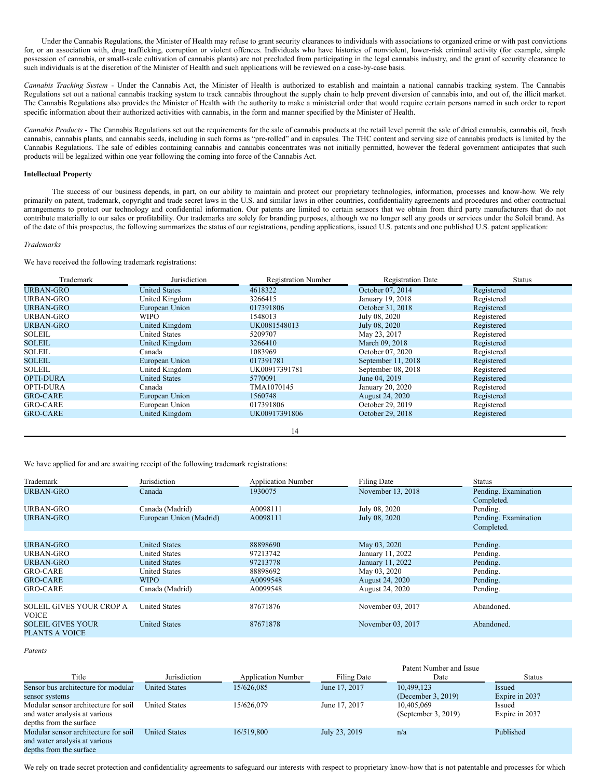Under the Cannabis Regulations, the Minister of Health may refuse to grant security clearances to individuals with associations to organized crime or with past convictions for, or an association with, drug trafficking, corruption or violent offences. Individuals who have histories of nonviolent, lower-risk criminal activity (for example, simple possession of cannabis, or small-scale cultivation of cannabis plants) are not precluded from participating in the legal cannabis industry, and the grant of security clearance to such individuals is at the discretion of the Minister of Health and such applications will be reviewed on a case-by-case basis.

*Cannabis Tracking System* - Under the Cannabis Act, the Minister of Health is authorized to establish and maintain a national cannabis tracking system. The Cannabis Regulations set out a national cannabis tracking system to track cannabis throughout the supply chain to help prevent diversion of cannabis into, and out of, the illicit market. The Cannabis Regulations also provides the Minister of Health with the authority to make a ministerial order that would require certain persons named in such order to report specific information about their authorized activities with cannabis, in the form and manner specified by the Minister of Health.

*Cannabis Products* - The Cannabis Regulations set out the requirements for the sale of cannabis products at the retail level permit the sale of dried cannabis, cannabis oil, fresh cannabis, cannabis plants, and cannabis seeds, including in such forms as "pre-rolled" and in capsules. The THC content and serving size of cannabis products is limited by the Cannabis Regulations. The sale of edibles containing cannabis and cannabis concentrates was not initially permitted, however the federal government anticipates that such products will be legalized within one year following the coming into force of the Cannabis Act.

# **Intellectual Property**

The success of our business depends, in part, on our ability to maintain and protect our proprietary technologies, information, processes and know-how. We rely primarily on patent, trademark, copyright and trade secret laws in the U.S. and similar laws in other countries, confidentiality agreements and procedures and other contractual arrangements to protect our technology and confidential information. Our patents are limited to certain sensors that we obtain from third party manufacturers that do not contribute materially to our sales or profitability. Our trademarks are solely for branding purposes, although we no longer sell any goods or services under the Soleil brand. As of the date of this prospectus, the following summarizes the status of our registrations, pending applications, issued U.S. patents and one published U.S. patent application:

#### *Trademarks*

We have received the following trademark registrations:

| Trademark        | Jurisdiction         | <b>Registration Number</b> | <b>Registration Date</b> | <b>Status</b> |
|------------------|----------------------|----------------------------|--------------------------|---------------|
| <b>URBAN-GRO</b> | <b>United States</b> | 4618322                    | October 07, 2014         | Registered    |
| <b>URBAN-GRO</b> | United Kingdom       | 3266415                    | January 19, 2018         | Registered    |
| <b>URBAN-GRO</b> | European Union       | 017391806                  | October 31, 2018         | Registered    |
| <b>URBAN-GRO</b> | <b>WIPO</b>          | 1548013                    | July 08, 2020            | Registered    |
| <b>URBAN-GRO</b> | United Kingdom       | UK0081548013               | July 08, 2020            | Registered    |
| <b>SOLEIL</b>    | <b>United States</b> | 5209707                    | May 23, 2017             | Registered    |
| <b>SOLEIL</b>    | United Kingdom       | 3266410                    | March 09, 2018           | Registered    |
| <b>SOLEIL</b>    | Canada               | 1083969                    | October 07, 2020         | Registered    |
| <b>SOLEIL</b>    | European Union       | 017391781                  | September 11, 2018       | Registered    |
| <b>SOLEIL</b>    | United Kingdom       | UK00917391781              | September 08, 2018       | Registered    |
| <b>OPTI-DURA</b> | <b>United States</b> | 5770091                    | June 04, 2019            | Registered    |
| <b>OPTI-DURA</b> | Canada               | TMA1070145                 | January 20, 2020         | Registered    |
| <b>GRO-CARE</b>  | European Union       | 1560748                    | August 24, 2020          | Registered    |
| <b>GRO-CARE</b>  | European Union       | 017391806                  | October 29, 2019         | Registered    |
| <b>GRO-CARE</b>  | United Kingdom       | UK00917391806              | October 29, 2018         | Registered    |
|                  |                      |                            |                          |               |

14

We have applied for and are awaiting receipt of the following trademark registrations:

| Trademark                                         | Jurisdiction            | <b>Application Number</b> | <b>Filing Date</b> | Status                             |
|---------------------------------------------------|-------------------------|---------------------------|--------------------|------------------------------------|
| <b>URBAN-GRO</b>                                  | Canada                  | 1930075                   | November 13, 2018  | Pending, Examination<br>Completed. |
| URBAN-GRO                                         | Canada (Madrid)         | A0098111                  | July 08, 2020      | Pending.                           |
| <b>URBAN-GRO</b>                                  | European Union (Madrid) | A0098111                  | July 08, 2020      | Pending. Examination<br>Completed. |
|                                                   |                         |                           |                    |                                    |
| <b>URBAN-GRO</b>                                  | <b>United States</b>    | 88898690                  | May 03, 2020       | Pending.                           |
| URBAN-GRO                                         | <b>United States</b>    | 97213742                  | January 11, 2022   | Pending.                           |
| <b>URBAN-GRO</b>                                  | <b>United States</b>    | 97213778                  | January 11, 2022   | Pending.                           |
| <b>GRO-CARE</b>                                   | <b>United States</b>    | 88898692                  | May 03, 2020       | Pending.                           |
| <b>GRO-CARE</b>                                   | <b>WIPO</b>             | A0099548                  | August 24, 2020    | Pending.                           |
| <b>GRO-CARE</b>                                   | Canada (Madrid)         | A0099548                  | August 24, 2020    | Pending.                           |
| <b>SOLEIL GIVES YOUR CROP A</b><br><b>VOICE</b>   | <b>United States</b>    | 87671876                  | November 03, 2017  | Abandoned.                         |
| <b>SOLEIL GIVES YOUR</b><br><b>PLANTS A VOICE</b> | <b>United States</b>    | 87671878                  | November 03, 2017  | Abandoned.                         |

*Patents*

|                                                                                                  |                      |                           |               | Patent Number and Issue              |                          |
|--------------------------------------------------------------------------------------------------|----------------------|---------------------------|---------------|--------------------------------------|--------------------------|
| Title                                                                                            | Jurisdiction         | <b>Application Number</b> | Filing Date   | Date                                 | <b>Status</b>            |
| Sensor bus architecture for modular<br>sensor systems                                            | <b>United States</b> | 15/626.085                | June 17, 2017 | 10.499.123<br>(December 3, 2019)     | Issued<br>Expire in 2037 |
| Modular sensor architecture for soil<br>and water analysis at various<br>depths from the surface | <b>United States</b> | 15/626.079                | June 17, 2017 | 10.405.069<br>$(S$ eptember 3, 2019) | Issued<br>Expire in 2037 |
| Modular sensor architecture for soil<br>and water analysis at various<br>depths from the surface | <b>United States</b> | 16/519.800                | July 23, 2019 | n/a                                  | Published                |

We rely on trade secret protection and confidentiality agreements to safeguard our interests with respect to proprietary know-how that is not patentable and processes for which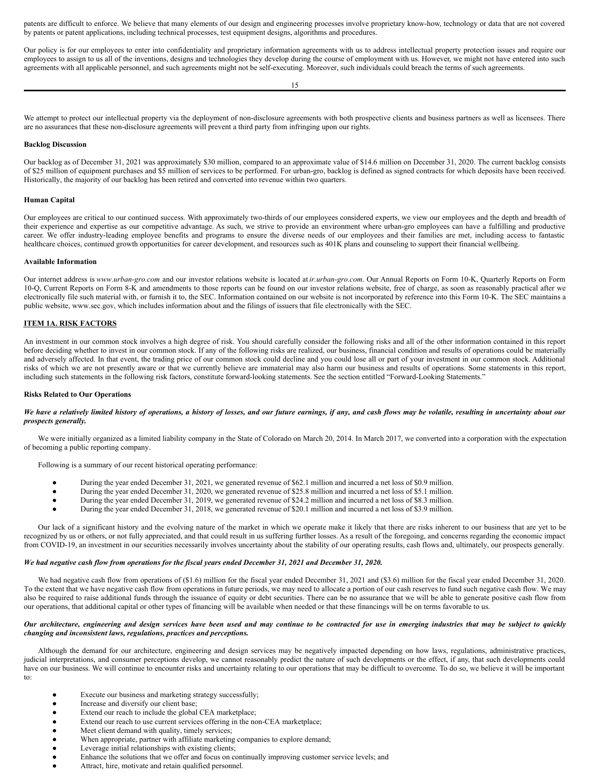patents are difficult to enforce. We believe that many elements of our design and engineering processes involve proprietary know-how, technology or data that are not covered by patents or patent applications, including technical processes, test equipment designs, algorithms and procedures.

Our policy is for our employees to enter into confidentiality and proprietary information agreements with us to address intellectual property protection issues and require our employees to assign to us all of the inventions, designs and technologies they develop during the course of employment with us. However, we might not have entered into such agreements with all applicable personnel, and such agreements might not be self-executing. Moreover, such individuals could breach the terms of such agreements.

15

We attempt to protect our intellectual property via the deployment of non-disclosure agreements with both prospective clients and business partners as well as licensees. There are no assurances that these non-disclosure agreements will prevent a third party from infringing upon our rights.

#### **Backlog Discussion**

Our backlog as of December 31, 2021 was approximately \$30 million, compared to an approximate value of \$14.6 million on December 31, 2020. The current backlog consists of \$25 million of equipment purchases and \$5 million of services to be performed. For urban-gro, backlog is defined as signed contracts for which deposits have been received. Historically, the majority of our backlog has been retired and converted into revenue within two quarters.

# **Human Capital**

Our employees are critical to our continued success. With approximately two-thirds of our employees considered experts, we view our employees and the depth and breadth of their experience and expertise as our competitive advantage. As such, we strive to provide an environment where urban-gro employees can have a fulfilling and productive career. We offer industry-leading employee benefits and programs to ensure the diverse needs of our employees and their families are met, including access to fantastic healthcare choices, continued growth opportunities for career development, and resources such as 401K plans and counseling to support their financial wellbeing.

#### **Available Information**

Our internet address is *www.urban-gro.com* and our investor relations website is located at *ir.urban-gro.com*. Our Annual Reports on Form 10-K, Quarterly Reports on Form 10-Q, Current Reports on Form 8-K and amendments to those reports can be found on our investor relations website, free of charge, as soon as reasonably practical after we electronically file such material with, or furnish it to, the SEC. Information contained on our website is not incorporated by reference into this Form 10-K. The SEC maintains a public website, www.sec.gov, which includes information about and the filings of issuers that file electronically with the SEC.

#### **ITEM 1A. RISK FACTORS**

An investment in our common stock involves a high degree of risk. You should carefully consider the following risks and all of the other information contained in this report before deciding whether to invest in our common stock. If any of the following risks are realized, our business, financial condition and results of operations could be materially and adversely affected. In that event, the trading price of our common stock could decline and you could lose all or part of your investment in our common stock. Additional risks of which we are not presently aware or that we currently believe are immaterial may also harm our business and results of operations. Some statements in this report, including such statements in the following risk factors, constitute forward-looking statements. See the section entitled "Forward-Looking Statements."

#### **Risks Related to Our Operations**

#### We have a relatively limited history of operations, a history of losses, and our future earnings, if any, and cash flows may be volatile, resulting in uncertainty about our *prospects generally.*

We were initially organized as a limited liability company in the State of Colorado on March 20, 2014. In March 2017, we converted into a corporation with the expectation of becoming a public reporting company.

Following is a summary of our recent historical operating performance:

- During the year ended December 31, 2021, we generated revenue of \$62.1 million and incurred a net loss of \$0.9 million.
- During the year ended December 31, 2020, we generated revenue of \$25.8 million and incurred a net loss of \$5.1 million.
- During the year ended December 31, 2019, we generated revenue of \$24.2 million and incurred a net loss of \$8.3 million.
- During the year ended December 31, 2018, we generated revenue of \$20.1 million and incurred a net loss of \$3.9 million.

Our lack of a significant history and the evolving nature of the market in which we operate make it likely that there are risks inherent to our business that are yet to be recognized by us or others, or not fully appreciated, and that could result in us suffering further losses. As a result of the foregoing, and concerns regarding the economic impact from COVID-19, an investment in our securities necessarily involves uncertainty about the stability of our operating results, cash flows and, ultimately, our prospects generally.

#### We had negative cash flow from operations for the fiscal years ended December 31, 2021 and December 31, 2020.

We had negative cash flow from operations of (\$1.6) million for the fiscal year ended December 31, 2021 and (\$3.6) million for the fiscal year ended December 31, 2020. To the extent that we have negative cash flow from operations in future periods, we may need to allocate a portion of our cash reserves to fund such negative cash flow. We may also be required to raise additional funds through the issuance of equity or debt securities. There can be no assurance that we will be able to generate positive cash flow from our operations, that additional capital or other types of financing will be available when needed or that these financings will be on terms favorable to us.

#### Our architecture, engineering and design services have been used and may continue to be contracted for use in emerging industries that may be subject to quickly *changing and inconsistent laws, regulations, practices and perceptions.*

Although the demand for our architecture, engineering and design services may be negatively impacted depending on how laws, regulations, administrative practices, judicial interpretations, and consumer perceptions develop, we cannot reasonably predict the nature of such developments or the effect, if any, that such developments could have on our business. We will continue to encounter risks and uncertainty relating to our operations that may be difficult to overcome. To do so, we believe it will be important to:

- Execute our business and marketing strategy successfully;
- Increase and diversify our client base;
- Extend our reach to include the global CEA marketplace;
- Extend our reach to use current services offering in the non-CEA marketplace;
- Meet client demand with quality, timely services;
- When appropriate, partner with affiliate marketing companies to explore demand;
- Leverage initial relationships with existing clients;
- Enhance the solutions that we offer and focus on continually improving customer service levels; and
- Attract, hire, motivate and retain qualified personnel.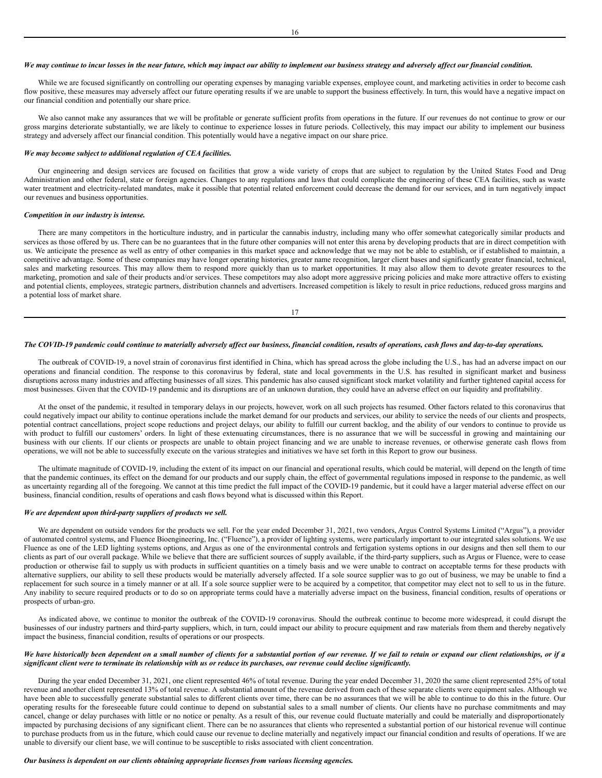# We may continue to incur losses in the near future, which may impact our ability to implement our business strategy and adversely affect our financial condition.

While we are focused significantly on controlling our operating expenses by managing variable expenses, employee count, and marketing activities in order to become cash flow positive, these measures may adversely affect our future operating results if we are unable to support the business effectively. In turn, this would have a negative impact on our financial condition and potentially our share price.

We also cannot make any assurances that we will be profitable or generate sufficient profits from operations in the future. If our revenues do not continue to grow or our gross margins deteriorate substantially, we are likely to continue to experience losses in future periods. Collectively, this may impact our ability to implement our business strategy and adversely affect our financial condition. This potentially would have a negative impact on our share price.

#### *We may become subject to additional regulation of CEA facilities.*

Our engineering and design services are focused on facilities that grow a wide variety of crops that are subject to regulation by the United States Food and Drug Administration and other federal, state or foreign agencies. Changes to any regulations and laws that could complicate the engineering of these CEA facilities, such as waste water treatment and electricity-related mandates, make it possible that potential related enforcement could decrease the demand for our services, and in turn negatively impact our revenues and business opportunities.

#### *Competition in our industry is intense.*

There are many competitors in the horticulture industry, and in particular the cannabis industry, including many who offer somewhat categorically similar products and services as those offered by us. There can be no guarantees that in the future other companies will not enter this arena by developing products that are in direct competition with us. We anticipate the presence as well as entry of other companies in this market space and acknowledge that we may not be able to establish, or if established to maintain, a competitive advantage. Some of these companies may have longer operating histories, greater name recognition, larger client bases and significantly greater financial, technical, sales and marketing resources. This may allow them to respond more quickly than us to market opportunities. It may also allow them to devote greater resources to the marketing, promotion and sale of their products and/or services. These competitors may also adopt more aggressive pricing policies and make more attractive offers to existing and potential clients, employees, strategic partners, distribution channels and advertisers. Increased competition is likely to result in price reductions, reduced gross margins and a potential loss of market share.

17

# The COVID-19 pandemic could continue to materially adversely affect our business, financial condition, results of operations, cash flows and day-to-day operations.

The outbreak of COVID-19, a novel strain of coronavirus first identified in China, which has spread across the globe including the U.S., has had an adverse impact on our operations and financial condition. The response to this coronavirus by federal, state and local governments in the U.S. has resulted in significant market and business disruptions across many industries and affecting businesses of all sizes. This pandemic has also caused significant stock market volatility and further tightened capital access for most businesses. Given that the COVID-19 pandemic and its disruptions are of an unknown duration, they could have an adverse effect on our liquidity and profitability.

At the onset of the pandemic, it resulted in temporary delays in our projects, however, work on all such projects has resumed. Other factors related to this coronavirus that could negatively impact our ability to continue operations include the market demand for our products and services, our ability to service the needs of our clients and prospects, potential contract cancellations, project scope reductions and project delays, our ability to fulfill our current backlog, and the ability of our vendors to continue to provide us with product to fulfill our customers' orders. In light of these extenuating circumstances, there is no assurance that we will be successful in growing and maintaining our business with our clients. If our clients or prospects are unable to obtain project financing and we are unable to increase revenues, or otherwise generate cash flows from operations, we will not be able to successfully execute on the various strategies and initiatives we have set forth in this Report to grow our business.

The ultimate magnitude of COVID-19, including the extent of its impact on our financial and operational results, which could be material, will depend on the length of time that the pandemic continues, its effect on the demand for our products and our supply chain, the effect of governmental regulations imposed in response to the pandemic, as well as uncertainty regarding all of the foregoing. We cannot at this time predict the full impact of the COVID-19 pandemic, but it could have a larger material adverse effect on our business, financial condition, results of operations and cash flows beyond what is discussed within this Report.

# *We are dependent upon third-party suppliers of products we sell.*

We are dependent on outside vendors for the products we sell. For the year ended December 31, 2021, two vendors, Argus Control Systems Limited ("Argus"), a provider of automated control systems, and Fluence Bioengineering, Inc. ("Fluence"), a provider of lighting systems, were particularly important to our integrated sales solutions. We use Fluence as one of the LED lighting systems options, and Argus as one of the environmental controls and fertigation systems options in our designs and then sell them to our clients as part of our overall package. While we believe that there are sufficient sources of supply available, if the third-party suppliers, such as Argus or Fluence, were to cease production or otherwise fail to supply us with products in sufficient quantities on a timely basis and we were unable to contract on acceptable terms for these products with alternative suppliers, our ability to sell these products would be materially adversely affected. If a sole source supplier was to go out of business, we may be unable to find a replacement for such source in a timely manner or at all. If a sole source supplier were to be acquired by a competitor, that competitor may elect not to sell to us in the future. Any inability to secure required products or to do so on appropriate terms could have a materially adverse impact on the business, financial condition, results of operations or prospects of urban-gro.

As indicated above, we continue to monitor the outbreak of the COVID-19 coronavirus. Should the outbreak continue to become more widespread, it could disrupt the businesses of our industry partners and third-party suppliers, which, in turn, could impact our ability to procure equipment and raw materials from them and thereby negatively impact the business, financial condition, results of operations or our prospects.

# We have historically been dependent on a small number of clients for a substantial portion of our revenue. If we fail to retain or expand our client relationships, or if a significant client were to terminate its relationship with us or reduce its purchases, our revenue could decline significantly.

During the year ended December 31, 2021, one client represented 46% of total revenue. During the year ended December 31, 2020 the same client represented 25% of total revenue and another client represented 13% of total revenue. A substantial amount of the revenue derived from each of these separate clients were equipment sales. Although we have been able to successfully generate substantial sales to different clients over time, there can be no assurances that we will be able to continue to do this in the future. Our operating results for the foreseeable future could continue to depend on substantial sales to a small number of clients. Our clients have no purchase commitments and may cancel, change or delay purchases with little or no notice or penalty. As a result of this, our revenue could fluctuate materially and could be materially and disproportionately impacted by purchasing decisions of any significant client. There can be no assurances that clients who represented a substantial portion of our historical revenue will continue to purchase products from us in the future, which could cause our revenue to decline materially and negatively impact our financial condition and results of operations. If we are unable to diversify our client base, we will continue to be susceptible to risks associated with client concentration.

# *Our business is dependent on our clients obtaining appropriate licenses from various licensing agencies.*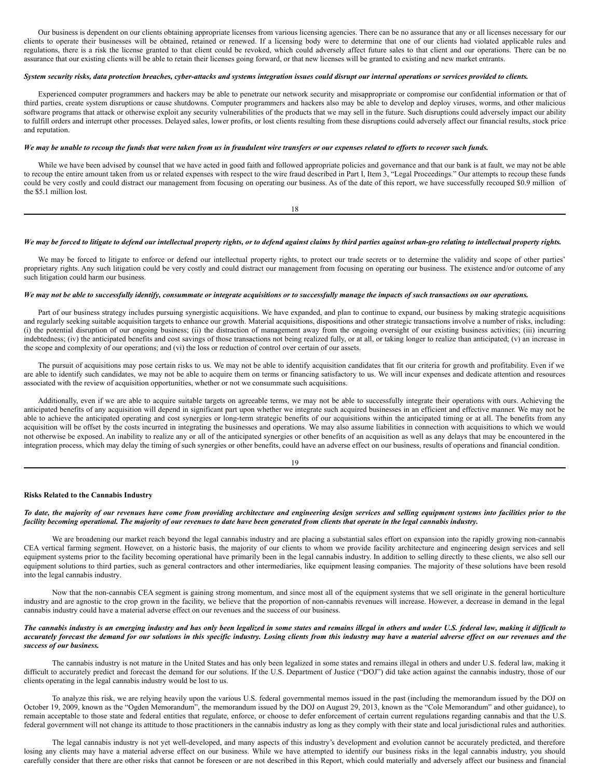Our business is dependent on our clients obtaining appropriate licenses from various licensing agencies. There can be no assurance that any or all licenses necessary for our clients to operate their businesses will be obtained, retained or renewed. If a licensing body were to determine that one of our clients had violated applicable rules and regulations, there is a risk the license granted to that client could be revoked, which could adversely affect future sales to that client and our operations. There can be no assurance that our existing clients will be able to retain their licenses going forward, or that new licenses will be granted to existing and new market entrants.

#### System security risks, data protection breaches, cyber-attacks and systems integration issues could disrupt our internal operations or services provided to clients.

Experienced computer programmers and hackers may be able to penetrate our network security and misappropriate or compromise our confidential information or that of third parties, create system disruptions or cause shutdowns. Computer programmers and hackers also may be able to develop and deploy viruses, worms, and other malicious software programs that attack or otherwise exploit any security vulnerabilities of the products that we may sell in the future. Such disruptions could adversely impact our ability to fulfill orders and interrupt other processes. Delayed sales, lower profits, or lost clients resulting from these disruptions could adversely affect our financial results, stock price and reputation.

#### We may be unable to recoup the funds that were taken from us in fraudulent wire transfers or our expenses related to efforts to recover such funds.

While we have been advised by counsel that we have acted in good faith and followed appropriate policies and governance and that our bank is at fault, we may not be able to recoup the entire amount taken from us or related expenses with respect to the wire fraud described in Part I, Item 3, "Legal Proceedings." Our attempts to recoup these funds could be very costly and could distract our management from focusing on operating our business. As of the date of this report, we have successfully recouped \$0.9 million of the \$5.1 million lost.

18

We may be forced to litigate to defend our intellectual property rights, or to defend against claims by third parties against urban-gro relating to intellectual property rights.

We may be forced to litigate to enforce or defend our intellectual property rights, to protect our trade secrets or to determine the validity and scope of other parties' proprietary rights. Any such litigation could be very costly and could distract our management from focusing on operating our business. The existence and/or outcome of any such litigation could harm our business.

#### We may not be able to successfully identify, consummate or integrate acquisitions or to successfully manage the impacts of such transactions on our operations.

Part of our business strategy includes pursuing synergistic acquisitions. We have expanded, and plan to continue to expand, our business by making strategic acquisitions and regularly seeking suitable acquisition targets to enhance our growth. Material acquisitions, dispositions and other strategic transactions involve a number of risks, including: (i) the potential disruption of our ongoing business; (ii) the distraction of management away from the ongoing oversight of our existing business activities; (iii) incurring indebtedness; (iv) the anticipated benefits and cost savings of those transactions not being realized fully, or at all, or taking longer to realize than anticipated; (v) an increase in the scope and complexity of our operations; and (vi) the loss or reduction of control over certain of our assets.

The pursuit of acquisitions may pose certain risks to us. We may not be able to identify acquisition candidates that fit our criteria for growth and profitability. Even if we are able to identify such candidates, we may not be able to acquire them on terms or financing satisfactory to us. We will incur expenses and dedicate attention and resources associated with the review of acquisition opportunities, whether or not we consummate such acquisitions.

Additionally, even if we are able to acquire suitable targets on agreeable terms, we may not be able to successfully integrate their operations with ours. Achieving the anticipated benefits of any acquisition will depend in significant part upon whether we integrate such acquired businesses in an efficient and effective manner. We may not be able to achieve the anticipated operating and cost synergies or long-term strategic benefits of our acquisitions within the anticipated timing or at all. The benefits from any acquisition will be offset by the costs incurred in integrating the businesses and operations. We may also assume liabilities in connection with acquisitions to which we would not otherwise be exposed. An inability to realize any or all of the anticipated synergies or other benefits of an acquisition as well as any delays that may be encountered in the integration process, which may delay the timing of such synergies or other benefits, could have an adverse effect on our business, results of operations and financial condition.

**Risks Related to the Cannabis Industry**

into the legal cannabis industry.

# To date, the majority of our revenues have come from providing architecture and engineering design services and selling equipment systems into facilities prior to the

facility becoming operational. The majority of our revenues to date have been generated from clients that operate in the legal cannabis industry.

We are broadening our market reach beyond the legal cannabis industry and are placing a substantial sales effort on expansion into the rapidly growing non-cannabis CEA vertical farming segment. However, on a historic basis, the majority of our clients to whom we provide facility architecture and engineering design services and sell equipment systems prior to the facility becoming operational have primarily been in the legal cannabis industry. In addition to selling directly to these clients, we also sell our equipment solutions to third parties, such as general contractors and other intermediaries, like equipment leasing companies. The majority of these solutions have been resold

Now that the non-cannabis CEA segment is gaining strong momentum, and since most all of the equipment systems that we sell originate in the general horticulture industry and are agnostic to the crop grown in the facility, we believe that the proportion of non-cannabis revenues will increase. However, a decrease in demand in the legal cannabis industry could have a material adverse effect on our revenues and the success of our business.

# The cannabis industry is an emerging industry and has only been legalized in some states and remains illegal in others and under U.S. federal law, making it difficult to accurately forecast the demand for our solutions in this specific industry. Losing clients from this industry may have a material adverse effect on our revenues and the *success of our business.*

The cannabis industry is not mature in the United States and has only been legalized in some states and remains illegal in others and under U.S. federal law, making it difficult to accurately predict and forecast the demand for our solutions. If the U.S. Department of Justice ("DOJ") did take action against the cannabis industry, those of our clients operating in the legal cannabis industry would be lost to us.

To analyze this risk, we are relying heavily upon the various U.S. federal governmental memos issued in the past (including the memorandum issued by the DOJ on October 19, 2009, known as the "Ogden Memorandum", the memorandum issued by the DOJ on August 29, 2013, known as the "Cole Memorandum" and other guidance), to remain acceptable to those state and federal entities that regulate, enforce, or choose to defer enforcement of certain current regulations regarding cannabis and that the U.S. federal government will not change its attitude to those practitioners in the cannabis industry as long as they comply with their state and local jurisdictional rules and authorities.

The legal cannabis industry is not yet well-developed, and many aspects of this industry's development and evolution cannot be accurately predicted, and therefore losing any clients may have a material adverse effect on our business. While we have attempted to identify our business risks in the legal cannabis industry, you should carefully consider that there are other risks that cannot be foreseen or are not described in this Report, which could materially and adversely affect our business and financial

#### 19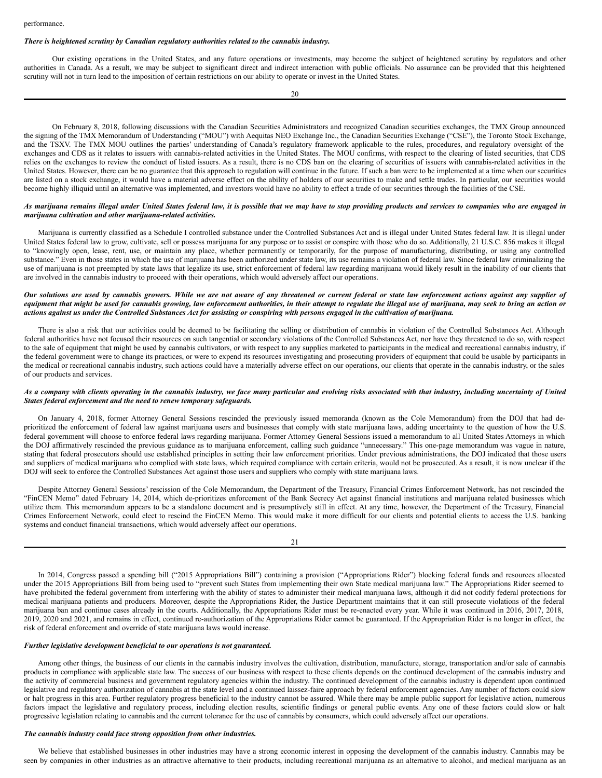# *There is heightened scrutiny by Canadian regulatory authorities related to the cannabis industry.*

Our existing operations in the United States, and any future operations or investments, may become the subject of heightened scrutiny by regulators and other authorities in Canada. As a result, we may be subject to significant direct and indirect interaction with public officials. No assurance can be provided that this heightened scrutiny will not in turn lead to the imposition of certain restrictions on our ability to operate or invest in the United States.

20

On February 8, 2018, following discussions with the Canadian Securities Administrators and recognized Canadian securities exchanges, the TMX Group announced the signing of the TMX Memorandum of Understanding ("MOU") with Aequitas NEO Exchange Inc., the Canadian Securities Exchange ("CSE"), the Toronto Stock Exchange, and the TSXV. The TMX MOU outlines the parties' understanding of Canada's regulatory framework applicable to the rules, procedures, and regulatory oversight of the exchanges and CDS as it relates to issuers with cannabis-related activities in the United States. The MOU confirms, with respect to the clearing of listed securities, that CDS relies on the exchanges to review the conduct of listed issuers. As a result, there is no CDS ban on the clearing of securities of issuers with cannabis-related activities in the United States. However, there can be no guarantee that this approach to regulation will continue in the future. If such a ban were to be implemented at a time when our securities are listed on a stock exchange, it would have a material adverse effect on the ability of holders of our securities to make and settle trades. In particular, our securities would become highly illiquid until an alternative was implemented, and investors would have no ability to effect a trade of our securities through the facilities of the CSE.

#### As marijuana remains illegal under United States federal law, it is possible that we may have to stop providing products and services to companies who are engaged in *marijuana cultivation and other marijuana-related activities.*

Marijuana is currently classified as a Schedule I controlled substance under the Controlled Substances Act and is illegal under United States federal law. It is illegal under United States federal law to grow, cultivate, sell or possess marijuana for any purpose or to assist or conspire with those who do so. Additionally, 21 U.S.C. 856 makes it illegal to "knowingly open, lease, rent, use, or maintain any place, whether permanently or temporarily, for the purpose of manufacturing, distributing, or using any controlled substance." Even in those states in which the use of marijuana has been authorized under state law, its use remains a violation of federal law. Since federal law criminalizing the use of marijuana is not preempted by state laws that legalize its use, strict enforcement of federal law regarding marijuana would likely result in the inability of our clients that are involved in the cannabis industry to proceed with their operations, which would adversely affect our operations.

# Our solutions are used by cannabis growers. While we are not aware of any threatened or current federal or state law enforcement actions against any supplier of equipment that might be used for cannabis growing, law enforcement authorities, in their attempt to regulate the illegal use of marijuana, may seek to bring an action or actions against us under the Controlled Substances Act for assisting or conspiring with persons engaged in the cultivation of marijuana.

There is also a risk that our activities could be deemed to be facilitating the selling or distribution of cannabis in violation of the Controlled Substances Act. Although federal authorities have not focused their resources on such tangential or secondary violations of the Controlled Substances Act, nor have they threatened to do so, with respect to the sale of equipment that might be used by cannabis cultivators, or with respect to any supplies marketed to participants in the medical and recreational cannabis industry, if the federal government were to change its practices, or were to expend its resources investigating and prosecuting providers of equipment that could be usable by participants in the medical or recreational cannabis industry, such actions could have a materially adverse effect on our operations, our clients that operate in the cannabis industry, or the sales of our products and services.

# As a company with clients operating in the cannabis industry, we face many particular and evolving risks associated with that industry, including uncertainty of United *States federal enforcement and the need to renew temporary safeguards.*

On January 4, 2018, former Attorney General Sessions rescinded the previously issued memoranda (known as the Cole Memorandum) from the DOJ that had deprioritized the enforcement of federal law against marijuana users and businesses that comply with state marijuana laws, adding uncertainty to the question of how the U.S. federal government will choose to enforce federal laws regarding marijuana. Former Attorney General Sessions issued a memorandum to all United States Attorneys in which the DOJ affirmatively rescinded the previous guidance as to marijuana enforcement, calling such guidance "unnecessary." This one-page memorandum was vague in nature, stating that federal prosecutors should use established principles in setting their law enforcement priorities. Under previous administrations, the DOJ indicated that those users and suppliers of medical marijuana who complied with state laws, which required compliance with certain criteria, would not be prosecuted. As a result, it is now unclear if the DOJ will seek to enforce the Controlled Substances Act against those users and suppliers who comply with state marijuana laws.

Despite Attorney General Sessions' rescission of the Cole Memorandum, the Department of the Treasury, Financial Crimes Enforcement Network, has not rescinded the "FinCEN Memo" dated February 14, 2014, which de-prioritizes enforcement of the Bank Secrecy Act against financial institutions and marijuana related businesses which utilize them. This memorandum appears to be a standalone document and is presumptively still in effect. At any time, however, the Department of the Treasury, Financial Crimes Enforcement Network, could elect to rescind the FinCEN Memo. This would make it more difficult for our clients and potential clients to access the U.S. banking systems and conduct financial transactions, which would adversely affect our operations.

#### 21

In 2014, Congress passed a spending bill ("2015 Appropriations Bill") containing a provision ("Appropriations Rider") blocking federal funds and resources allocated under the 2015 Appropriations Bill from being used to "prevent such States from implementing their own State medical marijuana law." The Appropriations Rider seemed to have prohibited the federal government from interfering with the ability of states to administer their medical marijuana laws, although it did not codify federal protections for medical marijuana patients and producers. Moreover, despite the Appropriations Rider, the Justice Department maintains that it can still prosecute violations of the federal marijuana ban and continue cases already in the courts. Additionally, the Appropriations Rider must be re-enacted every year. While it was continued in 2016, 2017, 2018, 2019, 2020 and 2021, and remains in effect, continued re-authorization of the Appropriations Rider cannot be guaranteed. If the Appropriation Rider is no longer in effect, the risk of federal enforcement and override of state marijuana laws would increase.

#### *Further legislative development beneficial to our operations is not guaranteed.*

Among other things, the business of our clients in the cannabis industry involves the cultivation, distribution, manufacture, storage, transportation and/or sale of cannabis products in compliance with applicable state law. The success of our business with respect to these clients depends on the continued development of the cannabis industry and the activity of commercial business and government regulatory agencies within the industry. The continued development of the cannabis industry is dependent upon continued legislative and regulatory authorization of cannabis at the state level and a continued laissez-faire approach by federal enforcement agencies. Any number of factors could slow or halt progress in this area. Further regulatory progress beneficial to the industry cannot be assured. While there may be ample public support for legislative action, numerous factors impact the legislative and regulatory process, including election results, scientific findings or general public events. Any one of these factors could slow or halt progressive legislation relating to cannabis and the current tolerance for the use of cannabis by consumers, which could adversely affect our operations.

# *The cannabis industry could face strong opposition from other industries.*

We believe that established businesses in other industries may have a strong economic interest in opposing the development of the cannabis industry. Cannabis may be seen by companies in other industries as an attractive alternative to their products, including recreational marijuana as an alternative to alcohol, and medical marijuana as an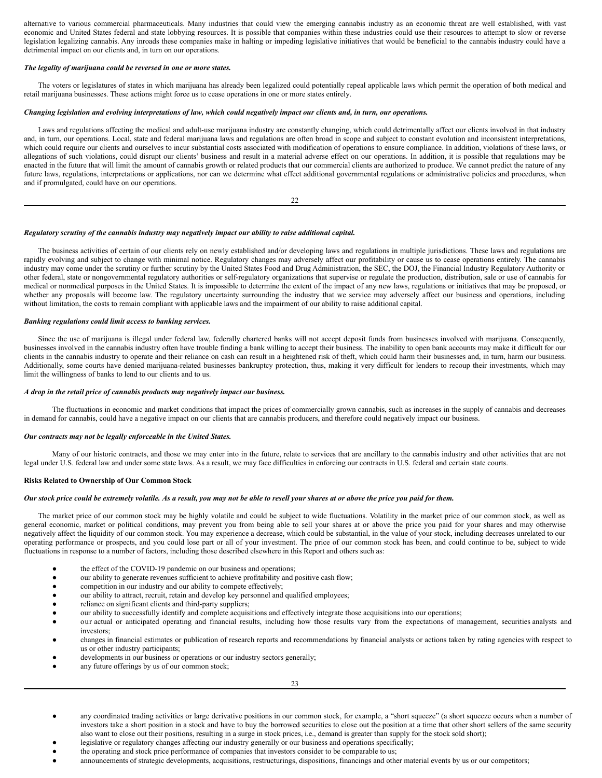alternative to various commercial pharmaceuticals. Many industries that could view the emerging cannabis industry as an economic threat are well established, with vast economic and United States federal and state lobbying resources. It is possible that companies within these industries could use their resources to attempt to slow or reverse legislation legalizing cannabis. Any inroads these companies make in halting or impeding legislative initiatives that would be beneficial to the cannabis industry could have a detrimental impact on our clients and, in turn on our operations.

#### *The legality of marijuana could be reversed in one or more states.*

The voters or legislatures of states in which marijuana has already been legalized could potentially repeal applicable laws which permit the operation of both medical and retail marijuana businesses. These actions might force us to cease operations in one or more states entirely.

# Changing legislation and evolving interpretations of law, which could negatively impact our clients and, in turn, our operations.

Laws and regulations affecting the medical and adult-use marijuana industry are constantly changing, which could detrimentally affect our clients involved in that industry and, in turn, our operations. Local, state and federal marijuana laws and regulations are often broad in scope and subject to constant evolution and inconsistent interpretations, which could require our clients and ourselves to incur substantial costs associated with modification of operations to ensure compliance. In addition, violations of these laws, or allegations of such violations, could disrupt our clients' business and result in a material adverse effect on our operations. In addition, it is possible that regulations may be enacted in the future that will limit the amount of cannabis growth or related products that our commercial clients are authorized to produce. We cannot predict the nature of any future laws, regulations, interpretations or applications, nor can we determine what effect additional governmental regulations or administrative policies and procedures, when and if promulgated, could have on our operations.

22

# *Regulatory scrutiny of the cannabis industry may negatively impact our ability to raise additional capital.*

The business activities of certain of our clients rely on newly established and/or developing laws and regulations in multiple jurisdictions. These laws and regulations are rapidly evolving and subject to change with minimal notice. Regulatory changes may adversely affect our profitability or cause us to cease operations entirely. The cannabis industry may come under the scrutiny or further scrutiny by the United States Food and Drug Administration, the SEC, the DOJ, the Financial Industry Regulatory Authority or other federal, state or nongovernmental regulatory authorities or self-regulatory organizations that supervise or regulate the production, distribution, sale or use of cannabis for medical or nonmedical purposes in the United States. It is impossible to determine the extent of the impact of any new laws, regulations or initiatives that may be proposed, or whether any proposals will become law. The regulatory uncertainty surrounding the industry that we service may adversely affect our business and operations, including without limitation, the costs to remain compliant with applicable laws and the impairment of our ability to raise additional capital.

#### *Banking regulations could limit access to banking services.*

Since the use of marijuana is illegal under federal law, federally chartered banks will not accept deposit funds from businesses involved with marijuana. Consequently, businesses involved in the cannabis industry often have trouble finding a bank willing to accept their business. The inability to open bank accounts may make it difficult for our clients in the cannabis industry to operate and their reliance on cash can result in a heightened risk of theft, which could harm their businesses and, in turn, harm our business. Additionally, some courts have denied marijuana-related businesses bankruptcy protection, thus, making it very difficult for lenders to recoup their investments, which may limit the willingness of banks to lend to our clients and to us.

#### *A drop in the retail price of cannabis products may negatively impact our business.*

The fluctuations in economic and market conditions that impact the prices of commercially grown cannabis, such as increases in the supply of cannabis and decreases in demand for cannabis, could have a negative impact on our clients that are cannabis producers, and therefore could negatively impact our business.

#### *Our contracts may not be legally enforceable in the United States.*

Many of our historic contracts, and those we may enter into in the future, relate to services that are ancillary to the cannabis industry and other activities that are not legal under U.S. federal law and under some state laws. As a result, we may face difficulties in enforcing our contracts in U.S. federal and certain state courts.

#### **Risks Related to Ownership of Our Common Stock**

# Our stock price could be extremely volatile. As a result, you may not be able to resell your shares at or above the price you paid for them.

The market price of our common stock may be highly volatile and could be subject to wide fluctuations. Volatility in the market price of our common stock, as well as general economic, market or political conditions, may prevent you from being able to sell your shares at or above the price you paid for your shares and may otherwise negatively affect the liquidity of our common stock. You may experience a decrease, which could be substantial, in the value of your stock, including decreases unrelated to our operating performance or prospects, and you could lose part or all of your investment. The price of our common stock has been, and could continue to be, subject to wide fluctuations in response to a number of factors, including those described elsewhere in this Report and others such as:

- the effect of the COVID-19 pandemic on our business and operations;
- our ability to generate revenues sufficient to achieve profitability and positive cash flow;
- competition in our industry and our ability to compete effectively;
- our ability to attract, recruit, retain and develop key personnel and qualified employees;
- reliance on significant clients and third-party suppliers;
- our ability to successfully identify and complete acquisitions and effectively integrate those acquisitions into our operations;
- our actual or anticipated operating and financial results, including how those results vary from the expectations of management, securities analysts and investors;
- changes in financial estimates or publication of research reports and recommendations by financial analysts or actions taken by rating agencies with respect to us or other industry participants;
- developments in our business or operations or our industry sectors generally;
- any future offerings by us of our common stock;

23

- any coordinated trading activities or large derivative positions in our common stock, for example, a "short squeeze" (a short squeeze occurs when a number of investors take a short position in a stock and have to buy the borrowed securities to close out the position at a time that other short sellers of the same security also want to close out their positions, resulting in a surge in stock prices, i.e., demand is greater than supply for the stock sold short);
- legislative or regulatory changes affecting our industry generally or our business and operations specifically;
- the operating and stock price performance of companies that investors consider to be comparable to us;
- announcements of strategic developments, acquisitions, restructurings, dispositions, financings and other material events by us or our competitors;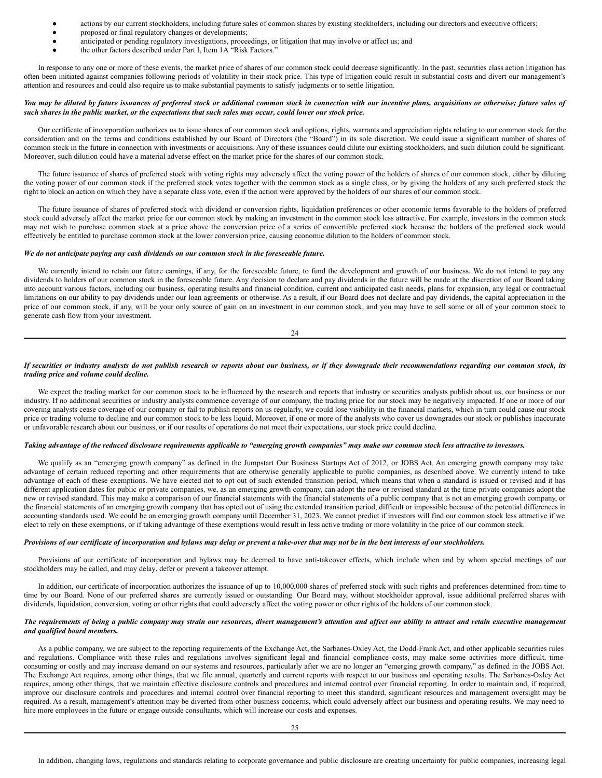- actions by our current stockholders, including future sales of common shares by existing stockholders, including our directors and executive officers;
- proposed or final regulatory changes or developments;
- anticipated or pending regulatory investigations, proceedings, or litigation that may involve or affect us; and
- the other factors described under Part I, Item 1A "Risk Factors."

In response to any one or more of these events, the market price of shares of our common stock could decrease significantly. In the past, securities class action litigation has often been initiated against companies following periods of volatility in their stock price. This type of litigation could result in substantial costs and divert our management's attention and resources and could also require us to make substantial payments to satisfy judgments or to settle litigation.

# You may be diluted by future issuances of preferred stock or additional common stock in connection with our incentive plans, acquisitions or otherwise; future sales of such shares in the public market, or the expectations that such sales may occur, could lower our stock price.

Our certificate of incorporation authorizes us to issue shares of our common stock and options, rights, warrants and appreciation rights relating to our common stock for the consideration and on the terms and conditions established by our Board of Directors (the "Board") in its sole discretion. We could issue a significant number of shares of common stock in the future in connection with investments or acquisitions. Any of these issuances could dilute our existing stockholders, and such dilution could be significant. Moreover, such dilution could have a material adverse effect on the market price for the shares of our common stock.

The future issuance of shares of preferred stock with voting rights may adversely affect the voting power of the holders of shares of our common stock, either by diluting the voting power of our common stock if the preferred stock votes together with the common stock as a single class, or by giving the holders of any such preferred stock the right to block an action on which they have a separate class vote, even if the action were approved by the holders of our shares of our common stock.

The future issuance of shares of preferred stock with dividend or conversion rights, liquidation preferences or other economic terms favorable to the holders of preferred stock could adversely affect the market price for our common stock by making an investment in the common stock less attractive. For example, investors in the common stock may not wish to purchase common stock at a price above the conversion price of a series of convertible preferred stock because the holders of the preferred stock would effectively be entitled to purchase common stock at the lower conversion price, causing economic dilution to the holders of common stock.

#### *We do not anticipate paying any cash dividends on our common stock in the foreseeable future.*

We currently intend to retain our future earnings, if any, for the foreseeable future, to fund the development and growth of our business. We do not intend to pay any dividends to holders of our common stock in the foreseeable future. Any decision to declare and pay dividends in the future will be made at the discretion of our Board taking into account various factors, including our business, operating results and financial condition, current and anticipated cash needs, plans for expansion, any legal or contractual limitations on our ability to pay dividends under our loan agreements or otherwise. As a result, if our Board does not declare and pay dividends, the capital appreciation in the price of our common stock, if any, will be your only source of gain on an investment in our common stock, and you may have to sell some or all of your common stock to generate cash flow from your investment.

 $24$ 

# If securities or industry analysts do not publish research or reports about our business, or if they downgrade their recommendations regarding our common stock, its *trading price and volume could decline.*

We expect the trading market for our common stock to be influenced by the research and reports that industry or securities analysts publish about us, our business or our industry. If no additional securities or industry analysts commence coverage of our company, the trading price for our stock may be negatively impacted. If one or more of our covering analysts cease coverage of our company or fail to publish reports on us regularly, we could lose visibility in the financial markets, which in turn could cause our stock price or trading volume to decline and our common stock to be less liquid. Moreover, if one or more of the analysts who cover us downgrades our stock or publishes inaccurate or unfavorable research about our business, or if our results of operations do not meet their expectations, our stock price could decline.

#### Taking advantage of the reduced disclosure requirements applicable to "emerging growth companies" may make our common stock less attractive to investors.

We qualify as an "emerging growth company" as defined in the Jumpstart Our Business Startups Act of 2012, or JOBS Act. An emerging growth company may take advantage of certain reduced reporting and other requirements that are otherwise generally applicable to public companies, as described above. We currently intend to take advantage of each of these exemptions. We have elected not to opt out of such extended transition period, which means that when a standard is issued or revised and it has different application dates for public or private companies, we, as an emerging growth company, can adopt the new or revised standard at the time private companies adopt the new or revised standard. This may make a comparison of our financial statements with the financial statements of a public company that is not an emerging growth company, or the financial statements of an emerging growth company that has opted out of using the extended transition period, difficult or impossible because of the potential differences in accounting standards used. We could be an emerging growth company until December 31, 2023. We cannot predict if investors will find our common stock less attractive if we elect to rely on these exemptions, or if taking advantage of these exemptions would result in less active trading or more volatility in the price of our common stock.

#### Provisions of our certificate of incorporation and bylaws may delay or prevent a take-over that may not be in the best interests of our stockholders.

Provisions of our certificate of incorporation and bylaws may be deemed to have anti-takeover effects, which include when and by whom special meetings of our stockholders may be called, and may delay, defer or prevent a takeover attempt.

In addition, our certificate of incorporation authorizes the issuance of up to 10,000,000 shares of preferred stock with such rights and preferences determined from time to time by our Board. None of our preferred shares are currently issued or outstanding. Our Board may, without stockholder approval, issue additional preferred shares with dividends, liquidation, conversion, voting or other rights that could adversely affect the voting power or other rights of the holders of our common stock.

# The requirements of being a public company may strain our resources, divert management's attention and affect our ability to attract and retain executive management *and qualified board members.*

As a public company, we are subject to the reporting requirements of the Exchange Act, the Sarbanes-Oxley Act, the Dodd-Frank Act, and other applicable securities rules and regulations. Compliance with these rules and regulations involves significant legal and financial compliance costs, may make some activities more difficult, timeconsuming or costly and may increase demand on our systems and resources, particularly after we are no longer an "emerging growth company," as defined in the JOBS Act. The Exchange Act requires, among other things, that we file annual, quarterly and current reports with respect to our business and operating results. The Sarbanes-Oxley Act requires, among other things, that we maintain effective disclosure controls and procedures and internal control over financial reporting. In order to maintain and, if required, improve our disclosure controls and procedures and internal control over financial reporting to meet this standard, significant resources and management oversight may be required. As a result, management's attention may be diverted from other business concerns, which could adversely affect our business and operating results. We may need to hire more employees in the future or engage outside consultants, which will increase our costs and expenses.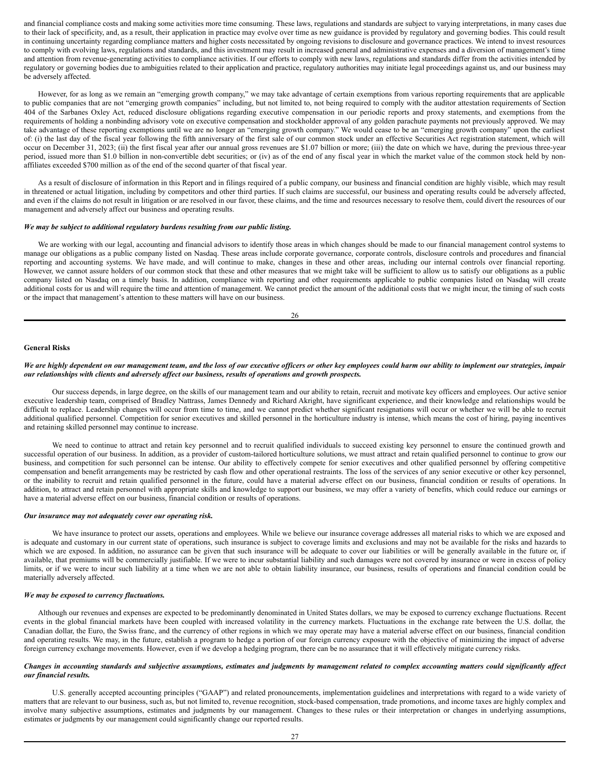and financial compliance costs and making some activities more time consuming. These laws, regulations and standards are subject to varying interpretations, in many cases due to their lack of specificity, and, as a result, their application in practice may evolve over time as new guidance is provided by regulatory and governing bodies. This could result in continuing uncertainty regarding compliance matters and higher costs necessitated by ongoing revisions to disclosure and governance practices. We intend to invest resources to comply with evolving laws, regulations and standards, and this investment may result in increased general and administrative expenses and a diversion of management's time and attention from revenue-generating activities to compliance activities. If our efforts to comply with new laws, regulations and standards differ from the activities intended by regulatory or governing bodies due to ambiguities related to their application and practice, regulatory authorities may initiate legal proceedings against us, and our business may be adversely affected.

However, for as long as we remain an "emerging growth company," we may take advantage of certain exemptions from various reporting requirements that are applicable to public companies that are not "emerging growth companies" including, but not limited to, not being required to comply with the auditor attestation requirements of Section 404 of the Sarbanes Oxley Act, reduced disclosure obligations regarding executive compensation in our periodic reports and proxy statements, and exemptions from the requirements of holding a nonbinding advisory vote on executive compensation and stockholder approval of any golden parachute payments not previously approved. We may take advantage of these reporting exemptions until we are no longer an "emerging growth company." We would cease to be an "emerging growth company" upon the earliest of: (i) the last day of the fiscal year following the fifth anniversary of the first sale of our common stock under an effective Securities Act registration statement, which will occur on December 31, 2023; (ii) the first fiscal year after our annual gross revenues are \$1.07 billion or more; (iii) the date on which we have, during the previous three-year period, issued more than \$1.0 billion in non-convertible debt securities; or (iv) as of the end of any fiscal year in which the market value of the common stock held by nonaffiliates exceeded \$700 million as of the end of the second quarter of that fiscal year.

As a result of disclosure of information in this Report and in filings required of a public company, our business and financial condition are highly visible, which may result in threatened or actual litigation, including by competitors and other third parties. If such claims are successful, our business and operating results could be adversely affected, and even if the claims do not result in litigation or are resolved in our favor, these claims, and the time and resources necessary to resolve them, could divert the resources of our management and adversely affect our business and operating results.

#### *We may be subject to additional regulatory burdens resulting from our public listing.*

We are working with our legal, accounting and financial advisors to identify those areas in which changes should be made to our financial management control systems to manage our obligations as a public company listed on Nasdaq. These areas include corporate governance, corporate controls, disclosure controls and procedures and financial reporting and accounting systems. We have made, and will continue to make, changes in these and other areas, including our internal controls over financial reporting. However, we cannot assure holders of our common stock that these and other measures that we might take will be sufficient to allow us to satisfy our obligations as a public company listed on Nasdaq on a timely basis. In addition, compliance with reporting and other requirements applicable to public companies listed on Nasdaq will create additional costs for us and will require the time and attention of management. We cannot predict the amount of the additional costs that we might incur, the timing of such costs or the impact that management's attention to these matters will have on our business.

#### 26

# **General Risks**

# We are highly dependent on our management team, and the loss of our executive officers or other key employees could harm our ability to implement our strategies, impair *our relationships with clients and adversely af ect our business, results of operations and growth prospects.*

Our success depends, in large degree, on the skills of our management team and our ability to retain, recruit and motivate key officers and employees. Our active senior executive leadership team, comprised of Bradley Nattrass, James Dennedy and Richard Akright, have significant experience, and their knowledge and relationships would be difficult to replace. Leadership changes will occur from time to time, and we cannot predict whether significant resignations will occur or whether we will be able to recruit additional qualified personnel. Competition for senior executives and skilled personnel in the horticulture industry is intense, which means the cost of hiring, paying incentives and retaining skilled personnel may continue to increase.

We need to continue to attract and retain key personnel and to recruit qualified individuals to succeed existing key personnel to ensure the continued growth and successful operation of our business. In addition, as a provider of custom-tailored horticulture solutions, we must attract and retain qualified personnel to continue to grow our business, and competition for such personnel can be intense. Our ability to effectively compete for senior executives and other qualified personnel by offering competitive compensation and benefit arrangements may be restricted by cash flow and other operational restraints. The loss of the services of any senior executive or other key personnel, or the inability to recruit and retain qualified personnel in the future, could have a material adverse effect on our business, financial condition or results of operations. In addition, to attract and retain personnel with appropriate skills and knowledge to support our business, we may offer a variety of benefits, which could reduce our earnings or have a material adverse effect on our business, financial condition or results of operations.

#### *Our insurance may not adequately cover our operating risk.*

We have insurance to protect our assets, operations and employees. While we believe our insurance coverage addresses all material risks to which we are exposed and is adequate and customary in our current state of operations, such insurance is subject to coverage limits and exclusions and may not be available for the risks and hazards to which we are exposed. In addition, no assurance can be given that such insurance will be adequate to cover our liabilities or will be generally available in the future or, if available, that premiums will be commercially justifiable. If we were to incur substantial liability and such damages were not covered by insurance or were in excess of policy limits, or if we were to incur such liability at a time when we are not able to obtain liability insurance, our business, results of operations and financial condition could be materially adversely affected.

#### *We may be exposed to currency fluctuations.*

Although our revenues and expenses are expected to be predominantly denominated in United States dollars, we may be exposed to currency exchange fluctuations. Recent events in the global financial markets have been coupled with increased volatility in the currency markets. Fluctuations in the exchange rate between the U.S. dollar, the Canadian dollar, the Euro, the Swiss franc, and the currency of other regions in which we may operate may have a material adverse effect on our business, financial condition and operating results. We may, in the future, establish a program to hedge a portion of our foreign currency exposure with the objective of minimizing the impact of adverse foreign currency exchange movements. However, even if we develop a hedging program, there can be no assurance that it will effectively mitigate currency risks.

#### Changes in accounting standards and subjective assumptions, estimates and judgments by management related to complex accounting matters could significantly affect *our financial results.*

U.S. generally accepted accounting principles ("GAAP") and related pronouncements, implementation guidelines and interpretations with regard to a wide variety of matters that are relevant to our business, such as, but not limited to, revenue recognition, stock-based compensation, trade promotions, and income taxes are highly complex and involve many subjective assumptions, estimates and judgments by our management. Changes to these rules or their interpretation or changes in underlying assumptions, estimates or judgments by our management could significantly change our reported results.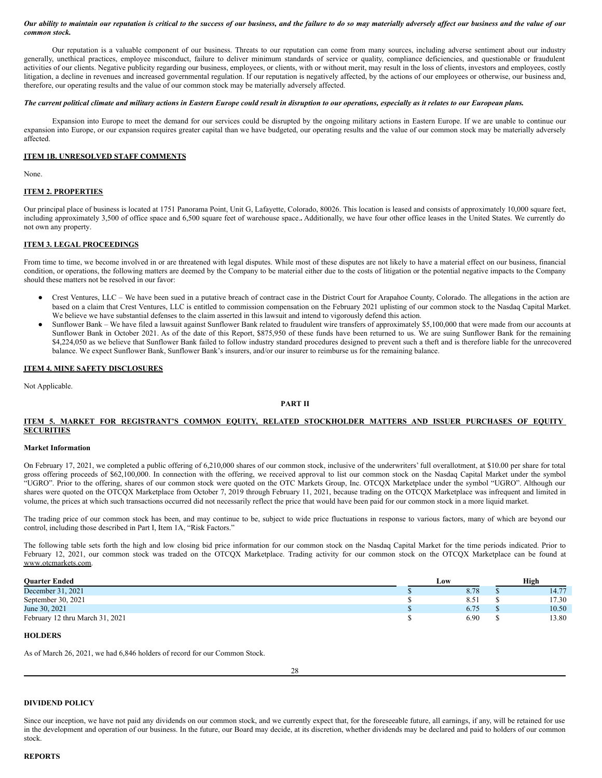# Our ability to maintain our reputation is critical to the success of our business, and the failure to do so may materially adversely affect our business and the value of our *common stock.*

Our reputation is a valuable component of our business. Threats to our reputation can come from many sources, including adverse sentiment about our industry generally, unethical practices, employee misconduct, failure to deliver minimum standards of service or quality, compliance deficiencies, and questionable or fraudulent activities of our clients. Negative publicity regarding our business, employees, or clients, with or without merit, may result in the loss of clients, investors and employees, costly litigation, a decline in revenues and increased governmental regulation. If our reputation is negatively affected, by the actions of our employees or otherwise, our business and, therefore, our operating results and the value of our common stock may be materially adversely affected.

# The current political climate and military actions in Eastern Europe could result in disruption to our operations, especially as it relates to our European plans.

Expansion into Europe to meet the demand for our services could be disrupted by the ongoing military actions in Eastern Europe. If we are unable to continue our expansion into Europe, or our expansion requires greater capital than we have budgeted, our operating results and the value of our common stock may be materially adversely affected.

# **ITEM 1B. UNRESOLVED STAFF COMMENTS**

None.

# **ITEM 2. PROPERTIES**

Our principal place of business is located at 1751 Panorama Point, Unit G, Lafayette, Colorado, 80026. This location is leased and consists of approximately 10,000 square feet, including approximately 3,500 of office space and 6,500 square feet of warehouse space.**.** Additionally, we have four other office leases in the United States. We currently do not own any property.

# **ITEM 3. LEGAL PROCEEDINGS**

From time to time, we become involved in or are threatened with legal disputes. While most of these disputes are not likely to have a material effect on our business, financial condition, or operations, the following matters are deemed by the Company to be material either due to the costs of litigation or the potential negative impacts to the Company should these matters not be resolved in our favor:

- Crest Ventures, LLC We have been sued in a putative breach of contract case in the District Court for Arapahoe County, Colorado. The allegations in the action are based on a claim that Crest Ventures, LLC is entitled to commission compensation on the February 2021 uplisting of our common stock to the Nasdaq Capital Market. We believe we have substantial defenses to the claim asserted in this lawsuit and intend to vigorously defend this action.
- Sunflower Bank We have filed a lawsuit against Sunflower Bank related to fraudulent wire transfers of approximately \$5,100,000 that were made from our accounts at Sunflower Bank in October 2021. As of the date of this Report, \$875,950 of these funds have been returned to us. We are suing Sunflower Bank for the remaining \$4,224,050 as we believe that Sunflower Bank failed to follow industry standard procedures designed to prevent such a theft and is therefore liable for the unrecovered balance. We expect Sunflower Bank, Sunflower Bank's insurers, and/or our insurer to reimburse us for the remaining balance.

# **ITEM 4. MINE SAFETY DISCLOSURES**

Not Applicable.

# **PART II**

# **ITEM 5. MARKET FOR REGISTRANT'S COMMON EQUITY, RELATED STOCKHOLDER MATTERS AND ISSUER PURCHASES OF EQUITY SECURITIES**

# **Market Information**

On February 17, 2021, we completed a public offering of 6,210,000 shares of our common stock, inclusive of the underwriters' full overallotment, at \$10.00 per share for total gross offering proceeds of \$62,100,000. In connection with the offering, we received approval to list our common stock on the Nasdaq Capital Market under the symbol "UGRO". Prior to the offering, shares of our common stock were quoted on the OTC Markets Group, Inc. OTCQX Marketplace under the symbol "UGRO". Although our shares were quoted on the OTCQX Marketplace from October 7, 2019 through February 11, 2021, because trading on the OTCQX Marketplace was infrequent and limited in volume, the prices at which such transactions occurred did not necessarily reflect the price that would have been paid for our common stock in a more liquid market.

The trading price of our common stock has been, and may continue to be, subject to wide price fluctuations in response to various factors, many of which are beyond our control, including those described in Part I, Item 1A, "Risk Factors."

The following table sets forth the high and low closing bid price information for our common stock on the Nasdaq Capital Market for the time periods indicated. Prior to February 12, 2021, our common stock was traded on the OTCQX Marketplace. Trading activity for our common stock on the OTCQX Marketplace can be found at www.otcmarkets.com.

| <b>Ouarter Ended</b>            | Low  | High  |
|---------------------------------|------|-------|
| December 31, 2021               | 8.78 | 14.77 |
| September 30, 2021              | 8.51 | 17.30 |
| June 30, 2021                   | 6.75 | 10.50 |
| February 12 thru March 31, 2021 | 6.90 | 13.80 |

#### **HOLDERS**

As of March 26, 2021, we had 6,846 holders of record for our Common Stock.

# **DIVIDEND POLICY**

Since our inception, we have not paid any dividends on our common stock, and we currently expect that, for the foreseeable future, all earnings, if any, will be retained for use in the development and operation of our business. In the future, our Board may decide, at its discretion, whether dividends may be declared and paid to holders of our common stock.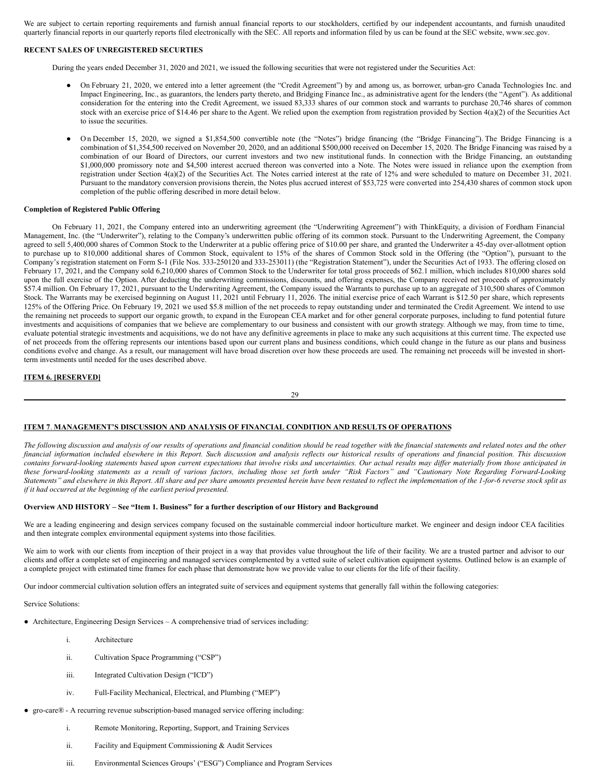We are subject to certain reporting requirements and furnish annual financial reports to our stockholders, certified by our independent accountants, and furnish unaudited quarterly financial reports in our quarterly reports filed electronically with the SEC. All reports and information filed by us can be found at the SEC website, www.sec.gov.

# **RECENT SALES OF UNREGISTERED SECURTIES**

During the years ended December 31, 2020 and 2021, we issued the following securities that were not registered under the Securities Act:

- On February 21, 2020, we entered into a letter agreement (the "Credit Agreement") by and among us, as borrower, urban-gro Canada Technologies Inc. and Impact Engineering, Inc., as guarantors, the lenders party thereto, and Bridging Finance Inc., as administrative agent for the lenders (the "Agent"). As additional consideration for the entering into the Credit Agreement, we issued 83,333 shares of our common stock and warrants to purchase 20,746 shares of common stock with an exercise price of \$14.46 per share to the Agent. We relied upon the exemption from registration provided by Section 4(a)(2) of the Securities Act to issue the securities.
- O n December 15, 2020, we signed a \$1,854,500 convertible note (the "Notes") bridge financing (the "Bridge Financing"). The Bridge Financing is a combination of \$1,354,500 received on November 20, 2020, and an additional \$500,000 received on December 15, 2020. The Bridge Financing was raised by a combination of our Board of Directors, our current investors and two new institutional funds. In connection with the Bridge Financing, an outstanding \$1,000,000 promissory note and \$4,500 interest accrued thereon was converted into a Note. The Notes were issued in reliance upon the exemption from registration under Section 4(a)(2) of the Securities Act. The Notes carried interest at the rate of 12% and were scheduled to mature on December 31, 2021. Pursuant to the mandatory conversion provisions therein, the Notes plus accrued interest of \$53,725 were converted into 254,430 shares of common stock upon completion of the public offering described in more detail below.

# **Completion of Registered Public Offering**

On February 11, 2021, the Company entered into an underwriting agreement (the "Underwriting Agreement") with ThinkEquity, a division of Fordham Financial Management, Inc. (the "Underwriter"), relating to the Company's underwritten public offering of its common stock. Pursuant to the Underwriting Agreement, the Company agreed to sell 5,400,000 shares of Common Stock to the Underwriter at a public offering price of \$10.00 per share, and granted the Underwriter a 45-day over-allotment option to purchase up to 810,000 additional shares of Common Stock, equivalent to 15% of the shares of Common Stock sold in the Offering (the "Option"), pursuant to the Company's registration statement on Form S-1 (File Nos. 333-250120 and 333-253011) (the "Registration Statement"), under the Securities Act of 1933. The offering closed on February 17, 2021, and the Company sold 6,210,000 shares of Common Stock to the Underwriter for total gross proceeds of \$62.1 million, which includes 810,000 shares sold upon the full exercise of the Option. After deducting the underwriting commissions, discounts, and offering expenses, the Company received net proceeds of approximately \$57.4 million. On February 17, 2021, pursuant to the Underwriting Agreement, the Company issued the Warrants to purchase up to an aggregate of 310,500 shares of Common Stock. The Warrants may be exercised beginning on August 11, 2021 until February 11, 2026. The initial exercise price of each Warrant is \$12.50 per share, which represents 125% of the Offering Price. On February 19, 2021 we used \$5.8 million of the net proceeds to repay outstanding under and terminated the Credit Agreement. We intend to use the remaining net proceeds to support our organic growth, to expand in the European CEA market and for other general corporate purposes, including to fund potential future investments and acquisitions of companies that we believe are complementary to our business and consistent with our growth strategy. Although we may, from time to time, evaluate potential strategic investments and acquisitions, we do not have any definitive agreements in place to make any such acquisitions at this current time. The expected use of net proceeds from the offering represents our intentions based upon our current plans and business conditions, which could change in the future as our plans and business conditions evolve and change. As a result, our management will have broad discretion over how these proceeds are used. The remaining net proceeds will be invested in shortterm investments until needed for the uses described above.

# **ITEM 6. [RESERVED]**

29

# **ITEM 7**. **MANAGEMENT'S DISCUSSION AND ANALYSIS OF FINANCIAL CONDITION AND RESULTS OF OPERATIONS**

The following discussion and analysis of our results of operations and financial condition should be read together with the financial statements and related notes and the other financial information included elsewhere in this Report. Such discussion and analysis reflects our historical results of operations and financial position. This discussion contains forward-looking statements based upon current expectations that involve risks and uncertainties. Our actual results may differ materially from those anticipated in these forward-looking statements as a result of various factors, including those set forth under "Risk Factors" and "Cautionary Note Regarding Forward-Looking Statements" and elsewhere in this Report. All share and per share amounts presented herein have been restated to reflect the implementation of the 1-for-6 reverse stock split as *if it had occurred at the beginning of the earliest period presented.*

# **Overview AND HISTORY – See "Item 1. Business" for a further description of our History and Background**

We are a leading engineering and design services company focused on the sustainable commercial indoor horticulture market. We engineer and design indoor CEA facilities and then integrate complex environmental equipment systems into those facilities.

We aim to work with our clients from inception of their project in a way that provides value throughout the life of their facility. We are a trusted partner and advisor to our clients and offer a complete set of engineering and managed services complemented by a vetted suite of select cultivation equipment systems. Outlined below is an example of a complete project with estimated time frames for each phase that demonstrate how we provide value to our clients for the life of their facility.

Our indoor commercial cultivation solution offers an integrated suite of services and equipment systems that generally fall within the following categories:

# Service Solutions:

- Architecture, Engineering Design Services A comprehensive triad of services including:
	- i. Architecture
	- ii. Cultivation Space Programming ("CSP")
	- iii. Integrated Cultivation Design ("ICD")
	- iv. Full-Facility Mechanical, Electrical, and Plumbing ("MEP")
- gro-care® A recurring revenue subscription-based managed service offering including:
	- i. Remote Monitoring, Reporting, Support, and Training Services
	- ii. Facility and Equipment Commissioning & Audit Services
	- iii. Environmental Sciences Groups' ("ESG") Compliance and Program Services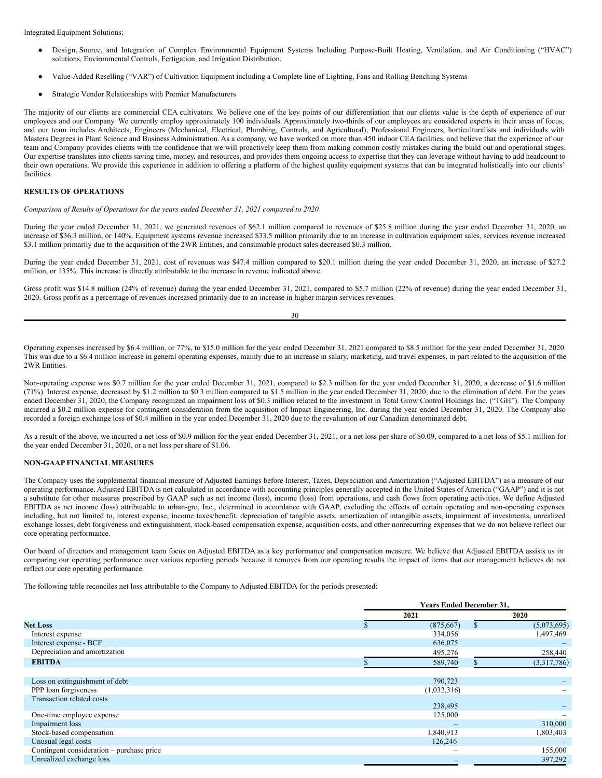Integrated Equipment Solutions:

- Design, Source, and Integration of Complex Environmental Equipment Systems Including Purpose-Built Heating, Ventilation, and Air Conditioning ("HVAC") solutions, Environmental Controls, Fertigation, and Irrigation Distribution.
- Value-Added Reselling ("VAR") of Cultivation Equipment including a Complete line of Lighting, Fans and Rolling Benching Systems
- Strategic Vendor Relationships with Premier Manufacturers

The majority of our clients are commercial CEA cultivators. We believe one of the key points of our differentiation that our clients value is the depth of experience of our employees and our Company. We currently employ approximately 100 individuals. Approximately two-thirds of our employees are considered experts in their areas of focus, and our team includes Architects, Engineers (Mechanical, Electrical, Plumbing, Controls, and Agricultural), Professional Engineers, horticulturalists and individuals with Masters Degrees in Plant Science and Business Administration. As a company, we have worked on more than 450 indoor CEA facilities, and believe that the experience of our team and Company provides clients with the confidence that we will proactively keep them from making common costly mistakes during the build out and operational stages. Our expertise translates into clients saving time, money, and resources, and provides them ongoing access to expertise that they can leverage without having to add headcount to their own operations. We provide this experience in addition to offering a platform of the highest quality equipment systems that can be integrated holistically into our clients' facilities.

# **RESULTS OF OPERATIONS**

*Comparison of Results of Operations for the years ended December 31, 2021 compared to 2020*

During the year ended December 31, 2021, we generated revenues of \$62.1 million compared to revenues of \$25.8 million during the year ended December 31, 2020, an increase of \$36.3 million, or 140%. Equipment systems revenue increased \$33.5 million primarily due to an increase in cultivation equipment sales, services revenue increased \$3.1 million primarily due to the acquisition of the 2WR Entities, and consumable product sales decreased \$0.3 million.

During the year ended December 31, 2021, cost of revenues was \$47.4 million compared to \$20.1 million during the year ended December 31, 2020, an increase of \$27.2 million, or 135%. This increase is directly attributable to the increase in revenue indicated above.

Gross profit was \$14.8 million (24% of revenue) during the year ended December 31, 2021, compared to \$5.7 million (22% of revenue) during the year ended December 31, 2020. Gross profit as a percentage of revenues increased primarily due to an increase in higher margin services revenues.

30

Operating expenses increased by \$6.4 million, or 77%, to \$15.0 million for the year ended December 31, 2021 compared to \$8.5 million for the year ended December 31, 2020. This was due to a \$6.4 million increase in general operating expenses, mainly due to an increase in salary, marketing, and travel expenses, in part related to the acquisition of the 2WR Entities.

Non-operating expense was \$0.7 million for the year ended December 31, 2021, compared to \$2.3 million for the year ended December 31, 2020, a decrease of \$1.6 million (71%). Interest expense, decreased by \$1.2 million to \$0.3 million compared to \$1.5 million in the year ended December 31, 2020, due to the elimination of debt. For the years ended December 31, 2020, the Company recognized an impairment loss of \$0.3 million related to the investment in Total Grow Control Holdings Inc. ("TGH"). The Company incurred a \$0.2 million expense for contingent consideration from the acquisition of Impact Engineering, Inc. during the year ended December 31, 2020. The Company also recorded a foreign exchange loss of \$0.4 million in the year ended December 31, 2020 due to the revaluation of our Canadian denominated debt.

As a result of the above, we incurred a net loss of \$0.9 million for the year ended December 31, 2021, or a net loss per share of \$0.09, compared to a net loss of \$5.1 million for the year ended December 31, 2020, or a net loss per share of \$1.06.

# **NON-GAAP FINANCIAL MEASURES**

The Company uses the supplemental financial measure of Adjusted Earnings before Interest, Taxes, Depreciation and Amortization ("Adjusted EBITDA") as a measure of our operating performance. Adjusted EBITDA is not calculated in accordance with accounting principles generally accepted in the United States of America ("GAAP") and it is not a substitute for other measures prescribed by GAAP such as net income (loss), income (loss) from operations, and cash flows from operating activities. We define Adjusted EBITDA as net income (loss) attributable to urban-gro, Inc., determined in accordance with GAAP, excluding the effects of certain operating and non-operating expenses including, but not limited to, interest expense, income taxes/benefit, depreciation of tangible assets, amortization of intangible assets, impairment of investments, unrealized exchange losses, debt forgiveness and extinguishment, stock-based compensation expense, acquisition costs, and other nonrecurring expenses that we do not believe reflect our core operating performance.

Our board of directors and management team focus on Adjusted EBITDA as a key performance and compensation measure. We believe that Adjusted EBITDA assists us in comparing our operating performance over various reporting periods because it removes from our operating results the impact of items that our management believes do not reflect our core operating performance.

The following table reconciles net loss attributable to the Company to Adjusted EBITDA for the periods presented:

|                                           | <b>Years Ended December 31,</b> |              |             |
|-------------------------------------------|---------------------------------|--------------|-------------|
|                                           | 2021                            |              | 2020        |
| <b>Net Loss</b>                           | (875, 667)                      | $\mathbb{S}$ | (5,073,695) |
| Interest expense                          | 334,056                         |              | 1,497,469   |
| Interest expense - BCF                    | 636,075                         |              |             |
| Depreciation and amortization             | 495,276                         |              | 258,440     |
| <b>EBITDA</b>                             | 589,740                         |              | (3,317,786) |
|                                           |                                 |              |             |
| Loss on extinguishment of debt            | 790,723                         |              |             |
| PPP loan forgiveness                      | (1,032,316)                     |              |             |
| Transaction related costs                 |                                 |              |             |
|                                           | 238,495                         |              |             |
| One-time employee expense                 | 125,000                         |              |             |
| Impairment loss                           |                                 |              | 310,000     |
| Stock-based compensation                  | 1,840,913                       |              | 1,803,403   |
| Unusual legal costs                       | 126,246                         |              |             |
| Contingent consideration – purchase price | -                               |              | 155,000     |
| Unrealized exchange loss                  |                                 |              | 397,292     |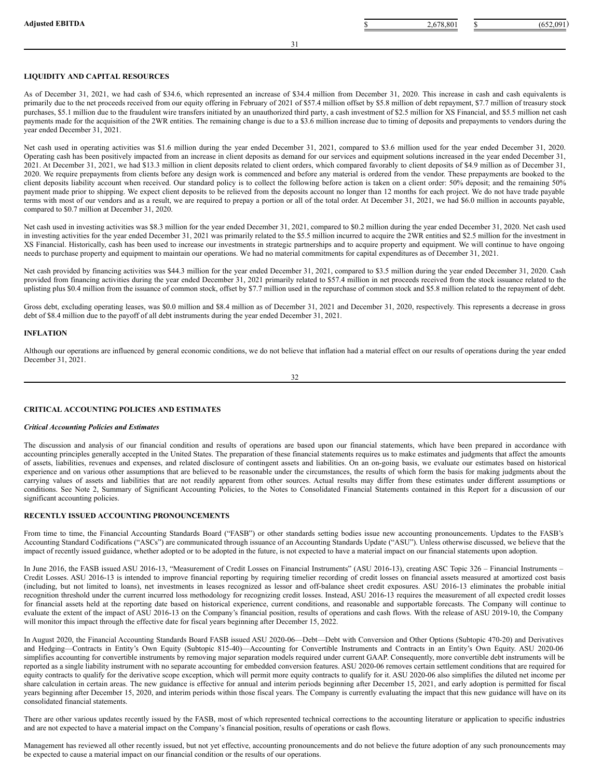#### **LIQUIDITY AND CAPITAL RESOURCES**

As of December 31, 2021, we had cash of \$34.6, which represented an increase of \$34.4 million from December 31, 2020. This increase in cash and cash equivalents is primarily due to the net proceeds received from our equity offering in February of 2021 of \$57.4 million offset by \$5.8 million of debt repayment, \$7.7 million of treasury stock purchases, \$5.1 million due to the fraudulent wire transfers initiated by an unauthorized third party, a cash investment of \$2.5 million for XS Financial, and \$5.5 million net cash payments made for the acquisition of the 2WR entities. The remaining change is due to a \$3.6 million increase due to timing of deposits and prepayments to vendors during the year ended December 31, 2021.

31

Net cash used in operating activities was \$1.6 million during the year ended December 31, 2021, compared to \$3.6 million used for the year ended December 31, 2020. Operating cash has been positively impacted from an increase in client deposits as demand for our services and equipment solutions increased in the year ended December 31, 2021. At December 31, 2021, we had \$13.3 million in client deposits related to client orders, which compared favorably to client deposits of \$4.9 million as of December 31, 2020. We require prepayments from clients before any design work is commenced and before any material is ordered from the vendor. These prepayments are booked to the client deposits liability account when received. Our standard policy is to collect the following before action is taken on a client order: 50% deposit; and the remaining 50% payment made prior to shipping. We expect client deposits to be relieved from the deposits account no longer than 12 months for each project. We do not have trade payable terms with most of our vendors and as a result, we are required to prepay a portion or all of the total order. At December 31, 2021, we had \$6.0 million in accounts payable, compared to \$0.7 million at December 31, 2020.

Net cash used in investing activities was \$8.3 million for the year ended December 31, 2021, compared to \$0.2 million during the year ended December 31, 2020. Net cash used in investing activities for the year ended December 31, 2021 was primarily related to the \$5.5 million incurred to acquire the 2WR entities and \$2.5 million for the investment in XS Financial. Historically, cash has been used to increase our investments in strategic partnerships and to acquire property and equipment. We will continue to have ongoing needs to purchase property and equipment to maintain our operations. We had no material commitments for capital expenditures as of December 31, 2021.

Net cash provided by financing activities was \$44.3 million for the year ended December 31, 2021, compared to \$3.5 million during the year ended December 31, 2020. Cash provided from financing activities during the year ended December 31, 2021 primarily related to \$57.4 million in net proceeds received from the stock issuance related to the uplisting plus \$0.4 million from the issuance of common stock, offset by \$7.7 million used in the repurchase of common stock and \$5.8 million related to the repayment of debt.

Gross debt, excluding operating leases, was \$0.0 million and \$8.4 million as of December 31, 2021 and December 31, 2020, respectively. This represents a decrease in gross debt of \$8.4 million due to the payoff of all debt instruments during the year ended December 31, 2021.

# **INFLATION**

Although our operations are influenced by general economic conditions, we do not believe that inflation had a material effect on our results of operations during the year ended December 31, 2021.

32

#### **CRITICAL ACCOUNTING POLICIES AND ESTIMATES**

#### *Critical Accounting Policies and Estimates*

The discussion and analysis of our financial condition and results of operations are based upon our financial statements, which have been prepared in accordance with accounting principles generally accepted in the United States. The preparation of these financial statements requires us to make estimates and judgments that affect the amounts of assets, liabilities, revenues and expenses, and related disclosure of contingent assets and liabilities. On an on-going basis, we evaluate our estimates based on historical experience and on various other assumptions that are believed to be reasonable under the circumstances, the results of which form the basis for making judgments about the carrying values of assets and liabilities that are not readily apparent from other sources. Actual results may differ from these estimates under different assumptions or conditions. See Note 2, Summary of Significant Accounting Policies, to the Notes to Consolidated Financial Statements contained in this Report for a discussion of our significant accounting policies.

## **RECENTLY ISSUED ACCOUNTING PRONOUNCEMENTS**

From time to time, the Financial Accounting Standards Board ("FASB") or other standards setting bodies issue new accounting pronouncements. Updates to the FASB's Accounting Standard Codifications ("ASCs") are communicated through issuance of an Accounting Standards Update ("ASU"). Unless otherwise discussed, we believe that the impact of recently issued guidance, whether adopted or to be adopted in the future, is not expected to have a material impact on our financial statements upon adoption.

In June 2016, the FASB issued ASU 2016-13, "Measurement of Credit Losses on Financial Instruments" (ASU 2016-13), creating ASC Topic 326 – Financial Instruments – Credit Losses. ASU 2016-13 is intended to improve financial reporting by requiring timelier recording of credit losses on financial assets measured at amortized cost basis (including, but not limited to loans), net investments in leases recognized as lessor and off-balance sheet credit exposures. ASU 2016-13 eliminates the probable initial recognition threshold under the current incurred loss methodology for recognizing credit losses. Instead, ASU 2016-13 requires the measurement of all expected credit losses for financial assets held at the reporting date based on historical experience, current conditions, and reasonable and supportable forecasts. The Company will continue to evaluate the extent of the impact of ASU 2016-13 on the Company's financial position, results of operations and cash flows. With the release of ASU 2019-10, the Company will monitor this impact through the effective date for fiscal years beginning after December 15, 2022.

In August 2020, the Financial Accounting Standards Board FASB issued ASU 2020-06—Debt—Debt with Conversion and Other Options (Subtopic 470-20) and Derivatives and Hedging—Contracts in Entity's Own Equity (Subtopic 815-40)—Accounting for Convertible Instruments and Contracts in an Entity's Own Equity. ASU 2020-06 simplifies accounting for convertible instruments by removing major separation models required under current GAAP. Consequently, more convertible debt instruments will be reported as a single liability instrument with no separate accounting for embedded conversion features. ASU 2020-06 removes certain settlement conditions that are required for equity contracts to qualify for the derivative scope exception, which will permit more equity contracts to qualify for it. ASU 2020-06 also simplifies the diluted net income per share calculation in certain areas. The new guidance is effective for annual and interim periods beginning after December 15, 2021, and early adoption is permitted for fiscal years beginning after December 15, 2020, and interim periods within those fiscal years. The Company is currently evaluating the impact that this new guidance will have on its consolidated financial statements.

There are other various updates recently issued by the FASB, most of which represented technical corrections to the accounting literature or application to specific industries and are not expected to have a material impact on the Company's financial position, results of operations or cash flows.

Management has reviewed all other recently issued, but not yet effective, accounting pronouncements and do not believe the future adoption of any such pronouncements may be expected to cause a material impact on our financial condition or the results of our operations.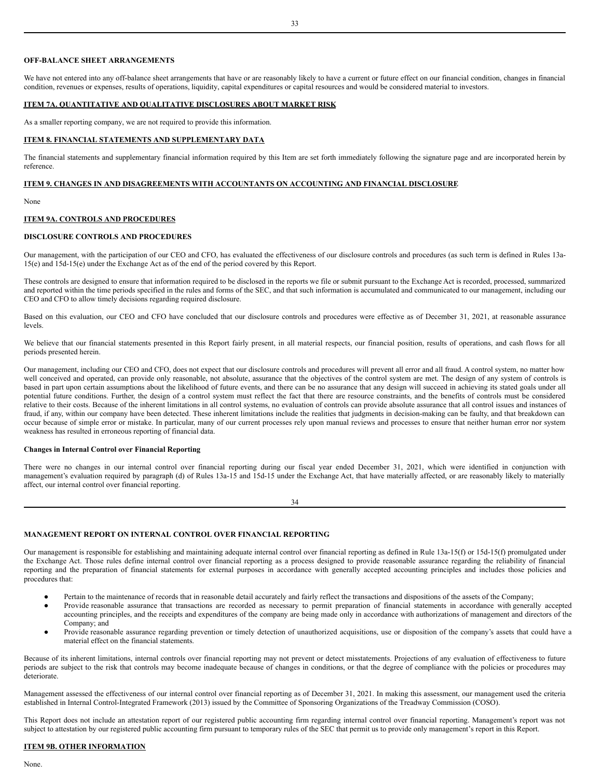# **OFF-BALANCE SHEET ARRANGEMENTS**

We have not entered into any off-balance sheet arrangements that have or are reasonably likely to have a current or future effect on our financial condition, changes in financial condition, revenues or expenses, results of operations, liquidity, capital expenditures or capital resources and would be considered material to investors.

# **ITEM 7A. QUANTITATIVE AND QUALITATIVE DISCLOSURES ABOUT MARKET RISK**

As a smaller reporting company, we are not required to provide this information.

# **ITEM 8. FINANCIAL STATEMENTS AND SUPPLEMENTARY DATA**

The financial statements and supplementary financial information required by this Item are set forth immediately following the signature page and are incorporated herein by reference.

# **ITEM 9. CHANGES IN AND DISAGREEMENTS WITH ACCOUNTANTS ON ACCOUNTING AND FINANCIAL DISCLOSURE**

None

#### **ITEM 9A. CONTROLS AND PROCEDURES**

# **DISCLOSURE CONTROLS AND PROCEDURES**

Our management, with the participation of our CEO and CFO, has evaluated the effectiveness of our disclosure controls and procedures (as such term is defined in Rules 13a-15(e) and 15d-15(e) under the Exchange Act as of the end of the period covered by this Report.

These controls are designed to ensure that information required to be disclosed in the reports we file or submit pursuant to the Exchange Act is recorded, processed, summarized and reported within the time periods specified in the rules and forms of the SEC, and that such information is accumulated and communicated to our management, including our CEO and CFO to allow timely decisions regarding required disclosure.

Based on this evaluation, our CEO and CFO have concluded that our disclosure controls and procedures were effective as of December 31, 2021, at reasonable assurance levels.

We believe that our financial statements presented in this Report fairly present, in all material respects, our financial position, results of operations, and cash flows for all periods presented herein.

Our management, including our CEO and CFO, does not expect that our disclosure controls and procedures will prevent all error and all fraud. A control system, no matter how well conceived and operated, can provide only reasonable, not absolute, assurance that the objectives of the control system are met. The design of any system of controls is based in part upon certain assumptions about the likelihood of future events, and there can be no assurance that any design will succeed in achieving its stated goals under all potential future conditions. Further, the design of a control system must reflect the fact that there are resource constraints, and the benefits of controls must be considered relative to their costs. Because of the inherent limitations in all control systems, no evaluation of controls can provide absolute assurance that all control issues and instances of fraud, if any, within our company have been detected. These inherent limitations include the realities that judgments in decision-making can be faulty, and that breakdown can occur because of simple error or mistake. In particular, many of our current processes rely upon manual reviews and processes to ensure that neither human error nor system weakness has resulted in erroneous reporting of financial data.

# **Changes in Internal Control over Financial Reporting**

There were no changes in our internal control over financial reporting during our fiscal year ended December 31, 2021, which were identified in conjunction with management's evaluation required by paragraph (d) of Rules 13a-15 and 15d-15 under the Exchange Act, that have materially affected, or are reasonably likely to materially affect, our internal control over financial reporting.

34

# **MANAGEMENT REPORT ON INTERNAL CONTROL OVER FINANCIAL REPORTING**

Our management is responsible for establishing and maintaining adequate internal control over financial reporting as defined in Rule 13a-15(f) or 15d-15(f) promulgated under the Exchange Act. Those rules define internal control over financial reporting as a process designed to provide reasonable assurance regarding the reliability of financial reporting and the preparation of financial statements for external purposes in accordance with generally accepted accounting principles and includes those policies and procedures that:

- Pertain to the maintenance of records that in reasonable detail accurately and fairly reflect the transactions and dispositions of the assets of the Company;
- Provide reasonable assurance that transactions are recorded as necessary to permit preparation of financial statements in accordance with generally accepted accounting principles, and the receipts and expenditures of the company are being made only in accordance with authorizations of management and directors of the Company; and
- Provide reasonable assurance regarding prevention or timely detection of unauthorized acquisitions, use or disposition of the company's assets that could have a material effect on the financial statements.

Because of its inherent limitations, internal controls over financial reporting may not prevent or detect misstatements. Projections of any evaluation of effectiveness to future periods are subject to the risk that controls may become inadequate because of changes in conditions, or that the degree of compliance with the policies or procedures may deteriorate.

Management assessed the effectiveness of our internal control over financial reporting as of December 31, 2021. In making this assessment, our management used the criteria established in Internal Control-Integrated Framework (2013) issued by the Committee of Sponsoring Organizations of the Treadway Commission (COSO).

This Report does not include an attestation report of our registered public accounting firm regarding internal control over financial reporting. Management's report was not subject to attestation by our registered public accounting firm pursuant to temporary rules of the SEC that permit us to provide only management's report in this Report.

# **ITEM 9B. OTHER INFORMATION**

None.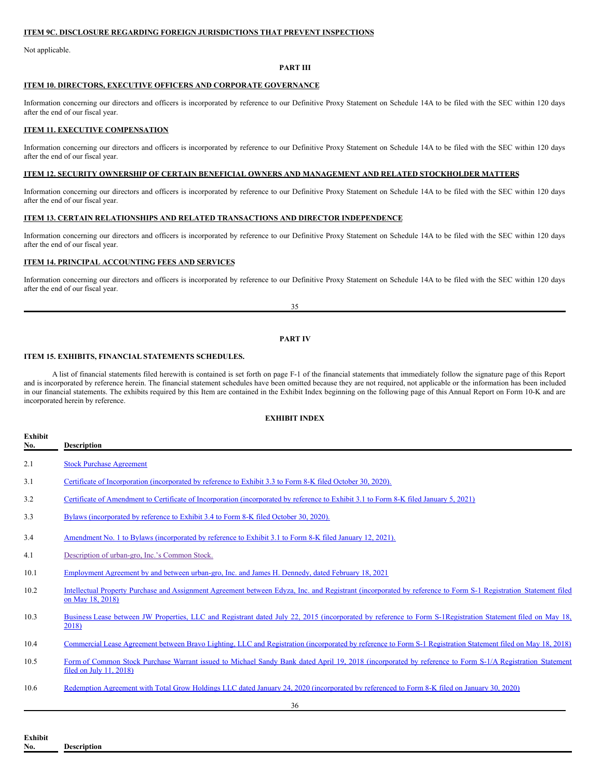# **ITEM 9C. DISCLOSURE REGARDING FOREIGN JURISDICTIONS THAT PREVENT INSPECTIONS**

Not applicable.

# **PART III**

# **ITEM 10. DIRECTORS, EXECUTIVE OFFICERS AND CORPORATE GOVERNANCE**

Information concerning our directors and officers is incorporated by reference to our Definitive Proxy Statement on Schedule 14A to be filed with the SEC within 120 days after the end of our fiscal year.

# **ITEM 11. EXECUTIVE COMPENSATION**

Information concerning our directors and officers is incorporated by reference to our Definitive Proxy Statement on Schedule 14A to be filed with the SEC within 120 days after the end of our fiscal year.

# **ITEM 12. SECURITY OWNERSHIP OF CERTAIN BENEFICIAL OWNERS AND MANAGEMENT AND RELATED STOCKHOLDER MATTERS**

Information concerning our directors and officers is incorporated by reference to our Definitive Proxy Statement on Schedule 14A to be filed with the SEC within 120 days after the end of our fiscal year.

# **ITEM 13. CERTAIN RELATIONSHIPS AND RELATED TRANSACTIONS AND DIRECTOR INDEPENDENCE**

Information concerning our directors and officers is incorporated by reference to our Definitive Proxy Statement on Schedule 14A to be filed with the SEC within 120 days after the end of our fiscal year.

# **ITEM 14. PRINCIPAL ACCOUNTING FEES AND SERVICES**

Information concerning our directors and officers is incorporated by reference to our Definitive Proxy Statement on Schedule 14A to be filed with the SEC within 120 days after the end of our fiscal year.

35

# **PART IV**

# **ITEM 15. EXHIBITS, FINANCIAL STATEMENTS SCHEDULES.**

A list of financial statements filed herewith is contained is set forth on page F-1 of the financial statements that immediately follow the signature page of this Report and is incorporated by reference herein. The financial statement schedules have been omitted because they are not required, not applicable or the information has been included in our financial statements. The exhibits required by this Item are contained in the Exhibit Index beginning on the following page of this Annual Report on Form 10-K and are incorporated herein by reference.

# **EXHIBIT INDEX**

| Exhibit<br>No. | <b>Description</b>                                                                                                                                                                 |
|----------------|------------------------------------------------------------------------------------------------------------------------------------------------------------------------------------|
| 2.1            | <b>Stock Purchase Agreement</b>                                                                                                                                                    |
| 3.1            | Certificate of Incorporation (incorporated by reference to Exhibit 3.3 to Form 8-K filed October 30, 2020).                                                                        |
| 3.2            | Certificate of Amendment to Certificate of Incorporation (incorporated by reference to Exhibit 3.1 to Form 8-K filed January 5, 2021)                                              |
| 3.3            | Bylaws (incorporated by reference to Exhibit 3.4 to Form 8-K filed October 30, 2020).                                                                                              |
| 3.4            | Amendment No. 1 to Bylaws (incorporated by reference to Exhibit 3.1 to Form 8-K filed January 12, 2021).                                                                           |
| 4.1            | Description of urban-gro, Inc.'s Common Stock.                                                                                                                                     |
| 10.1           | Employment Agreement by and between urban-gro, Inc. and James H. Dennedy, dated February 18, 2021                                                                                  |
| 10.2           | Intellectual Property Purchase and Assignment Agreement between Edyza, Inc. and Registrant (incorporated by reference to Form S-1 Registration Statement filed<br>on May 18, 2018) |
| 10.3           | Business Lease between JW Properties, LLC and Registrant dated July 22, 2015 (incorporated by reference to Form S-1Registration Statement filed on May 18,<br>2018)                |
| 10.4           | Commercial Lease Agreement between Bravo Lighting, LLC and Registration (incorporated by reference to Form S-1 Registration Statement filed on May 18, 2018)                       |
| 10.5           | Form of Common Stock Purchase Warrant issued to Michael Sandy Bank dated April 19, 2018 (incorporated by reference to Form S-1/A Registration Statement<br>filed on July 11, 2018) |
| 10.6           | Redemption Agreement with Total Grow Holdings LLC dated January 24, 2020 (incorporated by referenced to Form 8-K filed on January 30, 2020)                                        |
|                | 36                                                                                                                                                                                 |

**Exhibit**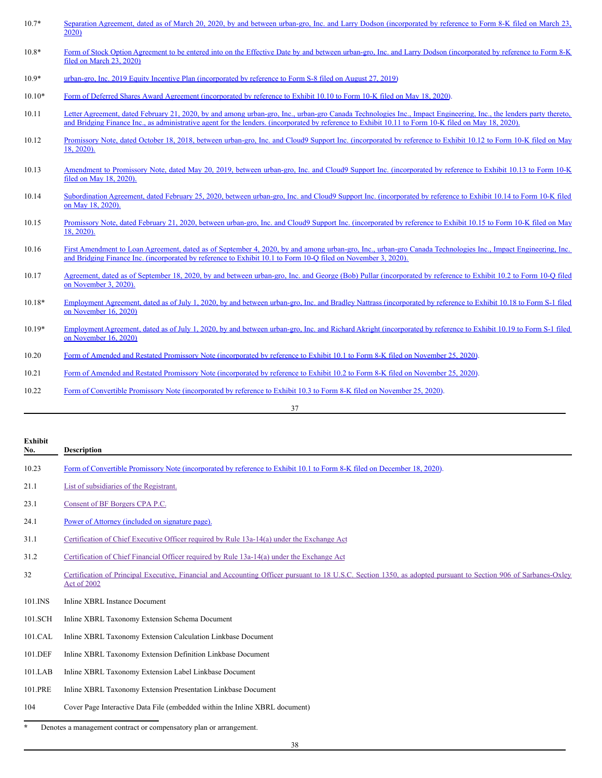| $10.7*$  | Separation Agreement, dated as of March 20, 2020, by and between urban-gro, Inc. and Larry Dodson (incorporated by reference to Form 8-K filed on March 23,<br>2020)                                                                                                                                                      |
|----------|---------------------------------------------------------------------------------------------------------------------------------------------------------------------------------------------------------------------------------------------------------------------------------------------------------------------------|
| $10.8*$  | Form of Stock Option Agreement to be entered into on the Effective Date by and between urban-gro, Inc. and Larry Dodson (incorporated by reference to Form 8-K<br>filed on March 23, 2020)                                                                                                                                |
| $10.9*$  | urban-gro, Inc. 2019 Equity Incentive Plan (incorporated by reference to Form S-8 filed on August 27, 2019)                                                                                                                                                                                                               |
| $10.10*$ | Form of Deferred Shares Award Agreement (incorporated by reference to Exhibit 10.10 to Form 10-K filed on May 18, 2020).                                                                                                                                                                                                  |
| 10.11    | Letter Agreement, dated February 21, 2020, by and among urban-gro, Inc., urban-gro Canada Technologies Inc., Impact Engineering, Inc., the lenders party thereto,<br>and Bridging Finance Inc., as administrative agent for the lenders, (incorporated by reference to Exhibit 10.11 to Form 10-K filed on May 18, 2020). |
| 10.12    | Promissory Note, dated October 18, 2018, between urban-gro, Inc. and Cloud9 Support Inc. (incorporated by reference to Exhibit 10.12 to Form 10-K filed on May<br>18, 2020).                                                                                                                                              |
| 10.13    | Amendment to Promissory Note, dated May 20, 2019, between urban-gro, Inc. and Cloud9 Support Inc. (incorporated by reference to Exhibit 10.13 to Form 10-K<br>filed on May 18, 2020).                                                                                                                                     |
| 10.14    | Subordination Agreement, dated February 25, 2020, between urban-gro. Inc. and Cloud9 Support Inc. (incorporated by reference to Exhibit 10.14 to Form 10-K filed<br>on May 18, 2020).                                                                                                                                     |
| 10.15    | Promissory Note, dated February 21, 2020, between urban-gro, Inc. and Cloud9 Support Inc. (incorporated by reference to Exhibit 10.15 to Form 10-K filed on May<br>18, 2020).                                                                                                                                             |
| 10.16    | First Amendment to Loan Agreement, dated as of September 4, 2020, by and among urban-gro, Inc., urban-gro Canada Technologies Inc., Impact Engineering, Inc.<br>and Bridging Finance Inc. (incorporated by reference to Exhibit 10.1 to Form 10-O filed on November 3, 2020).                                             |
| 10.17    | Agreement, dated as of September 18, 2020, by and between urban-gro. Inc. and George (Bob) Pullar (incorporated by reference to Exhibit 10.2 to Form 10-O filed<br>on November 3, 2020).                                                                                                                                  |
| $10.18*$ | Employment Agreement, dated as of July 1, 2020, by and between urban-gro. Inc. and Bradley Nattrass (incorporated by reference to Exhibit 10.18 to Form S-1 filed<br>on November 16, 2020)                                                                                                                                |
| $10.19*$ | Employment Agreement, dated as of July 1, 2020, by and between urban-gro, Inc. and Richard Akright (incorporated by reference to Exhibit 10.19 to Form S-1 filed<br>on November 16, 2020)                                                                                                                                 |
| 10.20    | Form of Amended and Restated Promissory Note (incorporated by reference to Exhibit 10.1 to Form 8-K filed on November 25, 2020).                                                                                                                                                                                          |
| 10.21    | Form of Amended and Restated Promissory Note (incorporated by reference to Exhibit 10.2 to Form 8-K filed on November 25, 2020).                                                                                                                                                                                          |
| 10.22    | Form of Convertible Promissory Note (incorporated by reference to Exhibit 10.3 to Form 8-K filed on November 25, 2020).                                                                                                                                                                                                   |
|          | 37                                                                                                                                                                                                                                                                                                                        |

| Exhibit<br>No. | <b>Description</b>                                                                                                                                                             |
|----------------|--------------------------------------------------------------------------------------------------------------------------------------------------------------------------------|
| 10.23          | Form of Convertible Promissory Note (incorporated by reference to Exhibit 10.1 to Form 8-K filed on December 18, 2020).                                                        |
| 21.1           | List of subsidiaries of the Registrant.                                                                                                                                        |
| 23.1           | Consent of BF Borgers CPA P.C.                                                                                                                                                 |
| 24.1           | Power of Attorney (included on signature page).                                                                                                                                |
| 31.1           | Certification of Chief Executive Officer required by Rule 13a-14(a) under the Exchange Act                                                                                     |
| 31.2           | Certification of Chief Financial Officer required by Rule 13a-14(a) under the Exchange Act                                                                                     |
| 32             | Certification of Principal Executive, Financial and Accounting Officer pursuant to 18 U.S.C. Section 1350, as adopted pursuant to Section 906 of Sarbanes-Oxley<br>Act of 2002 |
| 101.INS        | Inline XBRL Instance Document                                                                                                                                                  |
| 101.SCH        | Inline XBRL Taxonomy Extension Schema Document                                                                                                                                 |
| 101.CAL        | Inline XBRL Taxonomy Extension Calculation Linkbase Document                                                                                                                   |
| 101.DEF        | Inline XBRL Taxonomy Extension Definition Linkbase Document                                                                                                                    |
| 101.LAB        | Inline XBRL Taxonomy Extension Label Linkbase Document                                                                                                                         |
| 101.PRE        | Inline XBRL Taxonomy Extension Presentation Linkbase Document                                                                                                                  |
| 104            | Cover Page Interactive Data File (embedded within the Inline XBRL document)                                                                                                    |
|                |                                                                                                                                                                                |

# **\*** Denotes a management contract or compensatory plan or arrangement.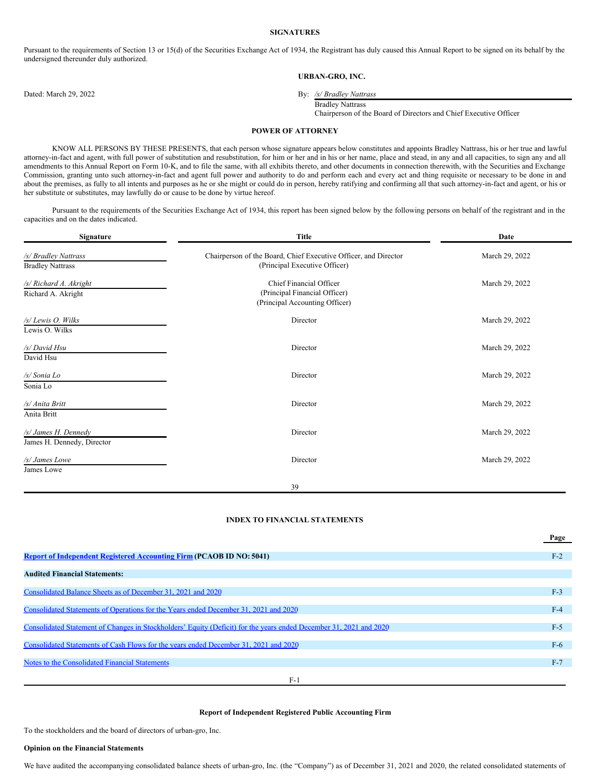#### **SIGNATURES**

Pursuant to the requirements of Section 13 or 15(d) of the Securities Exchange Act of 1934, the Registrant has duly caused this Annual Report to be signed on its behalf by the undersigned thereunder duly authorized.

# **URBAN-GRO, INC.**

Dated: March 29, 2022 By: */s/ Bradley Nattrass*

Bradley Nattrass

Chairperson of the Board of Directors and Chief Executive Officer

# **POWER OF ATTORNEY**

KNOW ALL PERSONS BY THESE PRESENTS, that each person whose signature appears below constitutes and appoints Bradley Nattrass, his or her true and lawful attorney-in-fact and agent, with full power of substitution and resubstitution, for him or her and in his or her name, place and stead, in any and all capacities, to sign any and all amendments to this Annual Report on Form 10-K, and to file the same, with all exhibits thereto, and other documents in connection therewith, with the Securities and Exchange Commission, granting unto such attorney-in-fact and agent full power and authority to do and perform each and every act and thing requisite or necessary to be done in and about the premises, as fully to all intents and purposes as he or she might or could do in person, hereby ratifying and confirming all that such attorney-in-fact and agent, or his or her substitute or substitutes, may lawfully do or cause to be done by virtue hereof.

Pursuant to the requirements of the Securities Exchange Act of 1934, this report has been signed below by the following persons on behalf of the registrant and in the capacities and on the dates indicated.

| <b>Signature</b>                                   | <b>Title</b>                                                                                     | Date           |  |  |
|----------------------------------------------------|--------------------------------------------------------------------------------------------------|----------------|--|--|
| /s/ Bradley Nattrass<br><b>Bradley Nattrass</b>    | Chairperson of the Board, Chief Executive Officer, and Director<br>(Principal Executive Officer) | March 29, 2022 |  |  |
| /s/ Richard A. Akright<br>Richard A. Akright       | Chief Financial Officer<br>(Principal Financial Officer)<br>(Principal Accounting Officer)       | March 29, 2022 |  |  |
| /s/ Lewis O. Wilks<br>Lewis O. Wilks               | Director                                                                                         | March 29, 2022 |  |  |
| /s/ David Hsu<br>David Hsu                         | Director                                                                                         | March 29, 2022 |  |  |
| /s/ Sonia Lo<br>Sonia Lo                           | Director                                                                                         | March 29, 2022 |  |  |
| /s/ Anita Britt<br>Anita Britt                     | Director                                                                                         | March 29, 2022 |  |  |
| /s/ James H. Dennedy<br>James H. Dennedy, Director | Director                                                                                         | March 29, 2022 |  |  |
| /s/ James Lowe<br>James Lowe                       | Director                                                                                         | March 29, 2022 |  |  |
|                                                    | 39                                                                                               |                |  |  |

# **INDEX TO FINANCIAL STATEMENTS**

|                                                                                                                    | Page  |
|--------------------------------------------------------------------------------------------------------------------|-------|
| <b>Report of Independent Registered Accounting Firm (PCAOB ID NO: 5041)</b>                                        | $F-2$ |
| <b>Audited Financial Statements:</b>                                                                               |       |
| Consolidated Balance Sheets as of December 31, 2021 and 2020                                                       | $F-3$ |
| Consolidated Statements of Operations for the Years ended December 31, 2021 and 2020                               | $F-4$ |
| Consolidated Statement of Changes in Stockholders' Equity (Deficit) for the years ended December 31, 2021 and 2020 | $F-5$ |
| Consolidated Statements of Cash Flows for the years ended December 31, 2021 and 2020                               | $F-6$ |
| Notes to the Consolidated Financial Statements                                                                     | $F-7$ |
| F-1                                                                                                                |       |

# **Report of Independent Registered Public Accounting Firm**

To the stockholders and the board of directors of urban-gro, Inc.

#### **Opinion on the Financial Statements**

We have audited the accompanying consolidated balance sheets of urban-gro, Inc. (the "Company") as of December 31, 2021 and 2020, the related consolidated statements of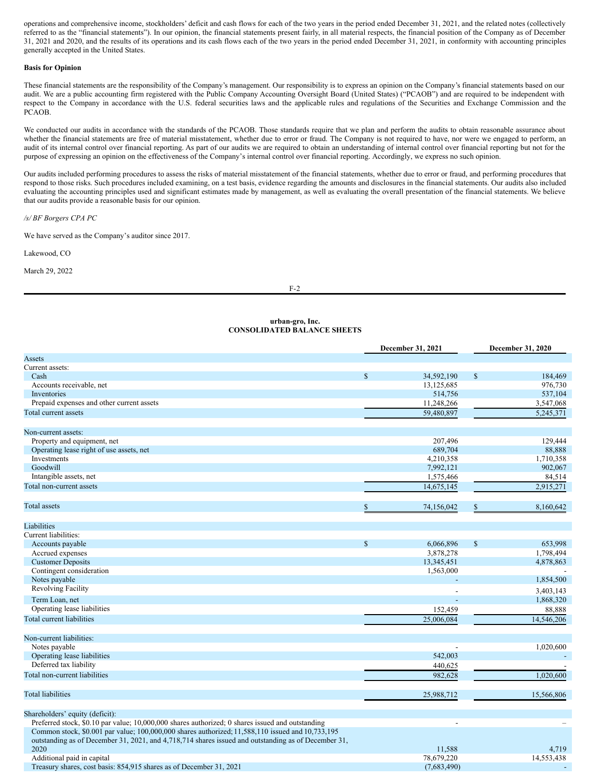operations and comprehensive income, stockholders' deficit and cash flows for each of the two years in the period ended December 31, 2021, and the related notes (collectively referred to as the "financial statements"). In our opinion, the financial statements present fairly, in all material respects, the financial position of the Company as of December 31, 2021 and 2020, and the results of its operations and its cash flows each of the two years in the period ended December 31, 2021, in conformity with accounting principles generally accepted in the United States.

# **Basis for Opinion**

These financial statements are the responsibility of the Company's management. Our responsibility is to express an opinion on the Company's financial statements based on our audit. We are a public accounting firm registered with the Public Company Accounting Oversight Board (United States) ("PCAOB") and are required to be independent with respect to the Company in accordance with the U.S. federal securities laws and the applicable rules and regulations of the Securities and Exchange Commission and the PCAOB.

We conducted our audits in accordance with the standards of the PCAOB. Those standards require that we plan and perform the audits to obtain reasonable assurance about whether the financial statements are free of material misstatement, whether due to error or fraud. The Company is not required to have, nor were we engaged to perform, an audit of its internal control over financial reporting. As part of our audits we are required to obtain an understanding of internal control over financial reporting but not for the purpose of expressing an opinion on the effectiveness of the Company's internal control over financial reporting. Accordingly, we express no such opinion.

Our audits included performing procedures to assess the risks of material misstatement of the financial statements, whether due to error or fraud, and performing procedures that respond to those risks. Such procedures included examining, on a test basis, evidence regarding the amounts and disclosures in the financial statements. Our audits also included evaluating the accounting principles used and significant estimates made by management, as well as evaluating the overall presentation of the financial statements. We believe that our audits provide a reasonable basis for our opinion.

*/s/ BF Borgers CPA PC*

We have served as the Company's auditor since 2017.

Lakewood, CO

March 29, 2022

F-2

# **urban-gro, Inc. CONSOLIDATED BALANCE SHEETS**

|                                                                                                     | December 31, 2021 |                          | December 31, 2020 |            |
|-----------------------------------------------------------------------------------------------------|-------------------|--------------------------|-------------------|------------|
| Assets                                                                                              |                   |                          |                   |            |
| Current assets:                                                                                     |                   |                          |                   |            |
| Cash                                                                                                | $\mathbb{S}$      | 34,592,190               | $\mathbb{S}$      | 184,469    |
| Accounts receivable, net                                                                            |                   | 13,125,685               |                   | 976,730    |
| <b>Inventories</b>                                                                                  |                   | 514,756                  |                   | 537,104    |
| Prepaid expenses and other current assets                                                           |                   | 11,248,266               |                   | 3,547,068  |
| Total current assets                                                                                |                   | 59,480,897               |                   | 5,245,371  |
| Non-current assets:                                                                                 |                   |                          |                   |            |
| Property and equipment, net                                                                         |                   | 207,496                  |                   | 129,444    |
| Operating lease right of use assets, net                                                            |                   | 689,704                  |                   | 88,888     |
| Investments                                                                                         |                   | 4,210,358                |                   | 1,710,358  |
| Goodwill                                                                                            |                   | 7,992,121                |                   | 902,067    |
| Intangible assets, net                                                                              |                   | 1,575,466                |                   | 84,514     |
| Total non-current assets                                                                            |                   | 14,675,145               |                   | 2,915,271  |
| <b>Total assets</b>                                                                                 | \$                | 74,156,042               | \$                | 8,160,642  |
| Liabilities                                                                                         |                   |                          |                   |            |
| Current liabilities:                                                                                |                   |                          |                   |            |
| Accounts payable                                                                                    | $\mathbb{S}$      | 6,066,896                | $\mathbb{S}$      | 653,998    |
| Accrued expenses                                                                                    |                   | 3,878,278                |                   | 1,798,494  |
| <b>Customer Deposits</b>                                                                            |                   | 13,345,451               |                   | 4,878,863  |
| Contingent consideration                                                                            |                   | 1,563,000                |                   |            |
| Notes payable                                                                                       |                   |                          |                   | 1,854,500  |
| Revolving Facility                                                                                  |                   | $\overline{\phantom{a}}$ |                   | 3,403,143  |
| Term Loan, net                                                                                      |                   |                          |                   | 1,868,320  |
| Operating lease liabilities                                                                         |                   | 152,459                  |                   | 88,888     |
| Total current liabilities                                                                           |                   | 25,006,084               |                   | 14,546,206 |
|                                                                                                     |                   |                          |                   |            |
| Non-current liabilities:                                                                            |                   |                          |                   |            |
| Notes payable                                                                                       |                   |                          |                   | 1,020,600  |
| Operating lease liabilities                                                                         |                   | 542,003                  |                   |            |
| Deferred tax liability                                                                              |                   | 440,625                  |                   |            |
| Total non-current liabilities                                                                       |                   | 982,628                  |                   | 1,020,600  |
| <b>Total liabilities</b>                                                                            |                   | 25,988,712               |                   | 15,566,806 |
| Shareholders' equity (deficit):                                                                     |                   |                          |                   |            |
| Preferred stock, \$0.10 par value; 10,000,000 shares authorized; 0 shares issued and outstanding    |                   |                          |                   |            |
| Common stock, \$0.001 par value; 100,000,000 shares authorized; 11,588,110 issued and 10,733,195    |                   |                          |                   |            |
| outstanding as of December 31, 2021, and 4,718,714 shares issued and outstanding as of December 31, |                   |                          |                   |            |
| 2020                                                                                                |                   | 11,588                   |                   | 4.719      |
| Additional paid in capital                                                                          |                   | 78,679,220               |                   | 14,553,438 |
| Treasury shares, cost basis: 854,915 shares as of December 31, 2021                                 |                   | (7,683,490)              |                   |            |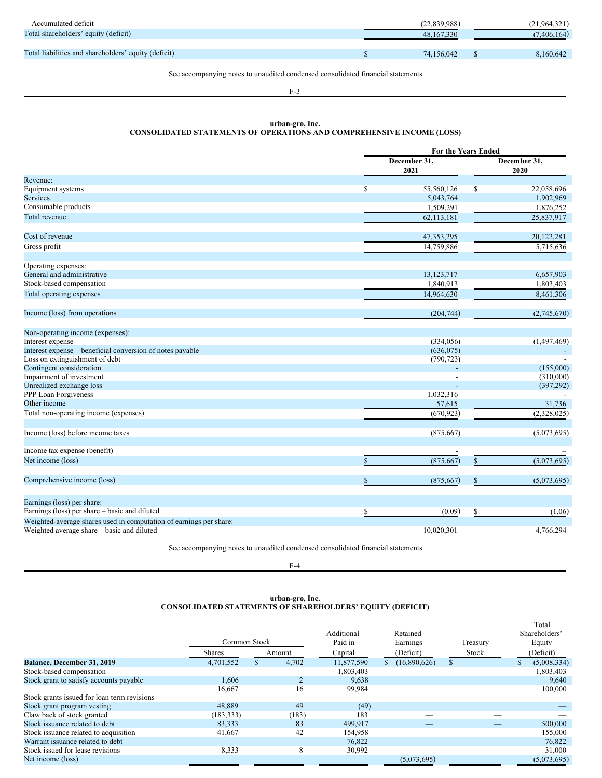| Accumulated deficit<br>Total shareholders' equity (deficit) | (22.839.988)<br>48,167,330 | (21, 964, 321)<br>7.406.164 |
|-------------------------------------------------------------|----------------------------|-----------------------------|
| Total liabilities and shareholders' equity (deficit)        | 74.156.042                 | 8.160.642                   |

See accompanying notes to unaudited condensed consolidated financial statements

F-3

#### **urban-gro, Inc. CONSOLIDATED STATEMENTS OF OPERATIONS AND COMPREHENSIVE INCOME (LOSS)**

|                                                                    | For the Years Ended  |              |              |                      |  |
|--------------------------------------------------------------------|----------------------|--------------|--------------|----------------------|--|
|                                                                    | December 31,<br>2021 |              |              | December 31,<br>2020 |  |
| Revenue:                                                           |                      |              |              |                      |  |
| Equipment systems                                                  | S                    | 55,560,126   | $\mathbb{S}$ | 22,058,696           |  |
| Services                                                           |                      | 5,043,764    |              | 1,902,969            |  |
| Consumable products                                                |                      | 1,509,291    |              | 1,876,252            |  |
| Total revenue                                                      |                      | 62,113,181   |              | 25,837,917           |  |
| Cost of revenue                                                    |                      | 47,353,295   |              | 20,122,281           |  |
| Gross profit                                                       |                      | 14,759,886   |              | 5,715,636            |  |
| Operating expenses:                                                |                      |              |              |                      |  |
| General and administrative                                         |                      | 13, 123, 717 |              | 6,657,903            |  |
| Stock-based compensation                                           |                      | 1,840,913    |              | 1,803,403            |  |
| Total operating expenses                                           |                      | 14,964,630   |              | 8,461,306            |  |
| Income (loss) from operations                                      |                      | (204, 744)   |              | (2,745,670)          |  |
| Non-operating income (expenses):                                   |                      |              |              |                      |  |
| Interest expense                                                   |                      | (334, 056)   |              | (1,497,469)          |  |
| Interest expense - beneficial conversion of notes payable          |                      | (636, 075)   |              |                      |  |
| Loss on extinguishment of debt                                     |                      | (790, 723)   |              |                      |  |
| Contingent consideration                                           |                      |              |              | (155,000)            |  |
| Impairment of investment                                           |                      |              |              | (310,000)            |  |
| Unrealized exchange loss                                           |                      |              |              | (397, 292)           |  |
| PPP Loan Forgiveness                                               |                      | 1,032,316    |              |                      |  |
| Other income                                                       |                      | 57,615       |              | 31,736               |  |
| Total non-operating income (expenses)                              |                      | (670, 923)   |              | (2,328,025)          |  |
| Income (loss) before income taxes                                  |                      | (875, 667)   |              | (5,073,695)          |  |
| Income tax expense (benefit)                                       |                      |              |              |                      |  |
| Net income (loss)                                                  |                      | (875, 667)   | $\mathbb{S}$ | (5,073,695)          |  |
| Comprehensive income (loss)                                        |                      | (875, 667)   | \$           | (5,073,695)          |  |
| Earnings (loss) per share:                                         |                      |              |              |                      |  |
| Earnings (loss) per share - basic and diluted                      |                      | (0.09)       | S            | (1.06)               |  |
| Weighted-average shares used in computation of earnings per share: |                      |              |              |                      |  |
| Weighted average share - basic and diluted                         |                      | 10,020,301   |              | 4,766,294            |  |

See accompanying notes to unaudited condensed consolidated financial statements

F-4

#### **urban-gro, Inc. CONSOLIDATED STATEMENTS OF SHAREHOLDERS' EQUITY (DEFICIT)**

|                                             | Common Stock  |        | Additional<br>Paid in | Retained<br>Earnings | Treasury | Total<br>Shareholders'<br>Equity |
|---------------------------------------------|---------------|--------|-----------------------|----------------------|----------|----------------------------------|
|                                             | <b>Shares</b> | Amount | Capital               | (Deficit)            | Stock    | (Deficit)                        |
| Balance, December 31, 2019                  | 4,701,552     | 4,702  | 11,877,590            | (16,890,626)         |          | (5,008,334)                      |
| Stock-based compensation                    |               |        | 1,803,403             |                      |          | 1,803,403                        |
| Stock grant to satisfy accounts payable     | 1,606         |        | 9,638                 |                      |          | 9,640                            |
|                                             | 16,667        | 16     | 99,984                |                      |          | 100,000                          |
| Stock grants issued for loan term revisions |               |        |                       |                      |          |                                  |
| Stock grant program vesting                 | 48,889        | 49     | (49)                  |                      |          |                                  |
| Claw back of stock granted                  | (183, 333)    | (183)  | 183                   |                      |          |                                  |
| Stock issuance related to debt              | 83,333        | 83     | 499,917               |                      |          | 500,000                          |
| Stock issuance related to acquisition       | 41,667        | 42     | 154,958               | _                    |          | 155,000                          |
| Warrant issuance related to debt            |               |        | 76,822                | _                    |          | 76,822                           |
| Stock issued for lease revisions            | 8,333         | 8      | 30,992                |                      |          | 31,000                           |
| Net income (loss)                           |               |        |                       | (5,073,695)          |          | (5,073,695)                      |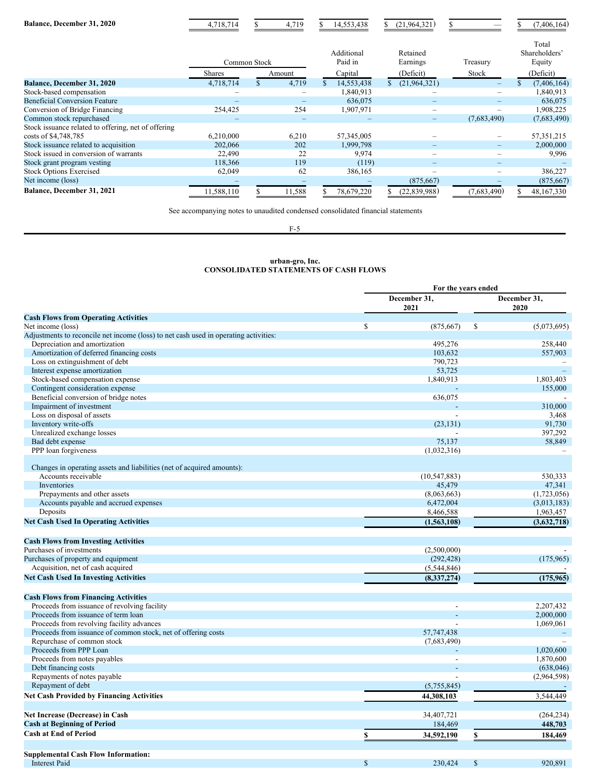| Balance, December 31, 2020                          | 4,718,714    | 4,719                    | 14,553,438            | (21,964,321)             |             | (7,406,164)                      |
|-----------------------------------------------------|--------------|--------------------------|-----------------------|--------------------------|-------------|----------------------------------|
|                                                     | Common Stock |                          | Additional<br>Paid in | Retained<br>Earnings     | Treasury    | Total<br>Shareholders'<br>Equity |
|                                                     | Shares       | Amount                   | Capital               | (Deficit)                | Stock       | (Deficit)                        |
| Balance, December 31, 2020                          | 4,718,714    | 4,719                    | 14,553,438            | (21,964,321)             |             | (7,406,164)                      |
| Stock-based compensation                            |              | $\overline{\phantom{m}}$ | 1,840,913             |                          |             | 1,840,913                        |
| <b>Beneficial Conversion Feature</b>                |              |                          | 636,075               |                          |             | 636,075                          |
| Conversion of Bridge Financing                      | 254,425      | 254                      | 1,907,971             | $\overline{\phantom{0}}$ | -           | 1,908,225                        |
| Common stock repurchased                            |              |                          |                       |                          | (7,683,490) | (7,683,490)                      |
| Stock issuance related to offering, net of offering |              |                          |                       |                          |             |                                  |
| costs of \$4,748,785                                | 6,210,000    | 6,210                    | 57,345,005            |                          |             | 57, 351, 215                     |
| Stock issuance related to acquisition               | 202,066      | 202                      | 1,999,798             |                          |             | 2,000,000                        |
| Stock issued in conversion of warrants              | 22,490       | 22                       | 9.974                 | $\overline{\phantom{0}}$ |             | 9.996                            |
| Stock grant program vesting                         | 118,366      | 119                      | (119)                 |                          |             |                                  |
| <b>Stock Options Exercised</b>                      | 62,049       | 62                       | 386,165               |                          |             | 386,227                          |
| Net income (loss)                                   |              |                          |                       | (875, 667)               |             | (875, 667)                       |
| Balance, December 31, 2021                          | 11,588,110   | 11,588                   | 78,679,220            | (22,839,988)             | (7,683,490) | 48,167,330                       |

See accompanying notes to unaudited condensed consolidated financial statements

F-5

**urban-gro, Inc. CONSOLIDATED STATEMENTS OF CASH FLOWS**

|                                                                                      | For the years ended |                |                      |             |  |
|--------------------------------------------------------------------------------------|---------------------|----------------|----------------------|-------------|--|
|                                                                                      | December 31,        |                | December 31,<br>2020 |             |  |
| <b>Cash Flows from Operating Activities</b>                                          |                     |                |                      |             |  |
| Net income (loss)                                                                    | $\mathbb{S}$        | (875, 667)     | \$                   | (5,073,695) |  |
| Adjustments to reconcile net income (loss) to net cash used in operating activities: |                     |                |                      |             |  |
| Depreciation and amortization                                                        |                     | 495,276        |                      | 258,440     |  |
| Amortization of deferred financing costs                                             |                     | 103,632        |                      | 557,903     |  |
| Loss on extinguishment of debt                                                       |                     | 790,723        |                      |             |  |
| Interest expense amortization                                                        |                     | 53,725         |                      |             |  |
| Stock-based compensation expense                                                     |                     | 1,840,913      |                      | 1,803,403   |  |
| Contingent consideration expense                                                     |                     |                |                      | 155,000     |  |
| Beneficial conversion of bridge notes                                                |                     | 636,075        |                      |             |  |
| Impairment of investment                                                             |                     |                |                      | 310,000     |  |
| Loss on disposal of assets                                                           |                     |                |                      | 3,468       |  |
| Inventory write-offs                                                                 |                     | (23, 131)      |                      | 91,730      |  |
| Unrealized exchange losses                                                           |                     |                |                      | 397,292     |  |
| Bad debt expense                                                                     |                     | 75,137         |                      | 58,849      |  |
| PPP loan forgiveness                                                                 |                     | (1,032,316)    |                      |             |  |
| Changes in operating assets and liabilities (net of acquired amounts):               |                     |                |                      |             |  |
| Accounts receivable                                                                  |                     | (10, 547, 883) |                      | 530,333     |  |
| Inventories                                                                          |                     | 45,479         |                      | 47,341      |  |
| Prepayments and other assets                                                         |                     | (8,063,663)    |                      | (1,723,056) |  |
| Accounts payable and accrued expenses                                                |                     | 6,472,004      |                      | (3,013,183) |  |
| Deposits                                                                             |                     | 8,466,588      |                      | 1,963,457   |  |
| <b>Net Cash Used In Operating Activities</b>                                         |                     | (1,563,108)    |                      | (3,632,718) |  |
| <b>Cash Flows from Investing Activities</b>                                          |                     |                |                      |             |  |
| Purchases of investments                                                             |                     | (2,500,000)    |                      |             |  |
| Purchases of property and equipment                                                  |                     | (292, 428)     |                      | (175, 965)  |  |
| Acquisition, net of cash acquired                                                    |                     | (5,544,846)    |                      |             |  |
| <b>Net Cash Used In Investing Activities</b>                                         |                     | (8,337,274)    |                      | (175,965)   |  |
| <b>Cash Flows from Financing Activities</b>                                          |                     |                |                      |             |  |
| Proceeds from issuance of revolving facility                                         |                     |                |                      | 2,207,432   |  |
| Proceeds from issuance of term loan                                                  |                     |                |                      | 2,000,000   |  |
| Proceeds from revolving facility advances                                            |                     |                |                      | 1,069,061   |  |
| Proceeds from issuance of common stock, net of offering costs                        |                     | 57,747,438     |                      |             |  |
| Repurchase of common stock                                                           |                     | (7,683,490)    |                      |             |  |
| Proceeds from PPP Loan                                                               |                     |                |                      | 1,020,600   |  |
| Proceeds from notes payables                                                         |                     |                |                      | 1,870,600   |  |
| Debt financing costs                                                                 |                     |                |                      | (638, 046)  |  |
| Repayments of notes payable                                                          |                     |                |                      | (2,964,598) |  |
| Repayment of debt                                                                    |                     | (5,755,845)    |                      |             |  |
| <b>Net Cash Provided by Financing Activities</b>                                     |                     | 44,308,103     |                      | 3,544,449   |  |
|                                                                                      |                     |                |                      |             |  |
| Net Increase (Decrease) in Cash                                                      |                     | 34,407,721     |                      | (264, 234)  |  |
| <b>Cash at Beginning of Period</b>                                                   |                     | 184,469        |                      | 448,703     |  |
| <b>Cash at End of Period</b>                                                         | \$                  | 34,592,190     | \$                   | 184,469     |  |
| <b>Supplemental Cash Flow Information:</b>                                           |                     |                |                      |             |  |
| <b>Interest Paid</b>                                                                 | $\mathbb{S}$        | 230,424        | \$                   | 920.891     |  |
|                                                                                      |                     |                |                      |             |  |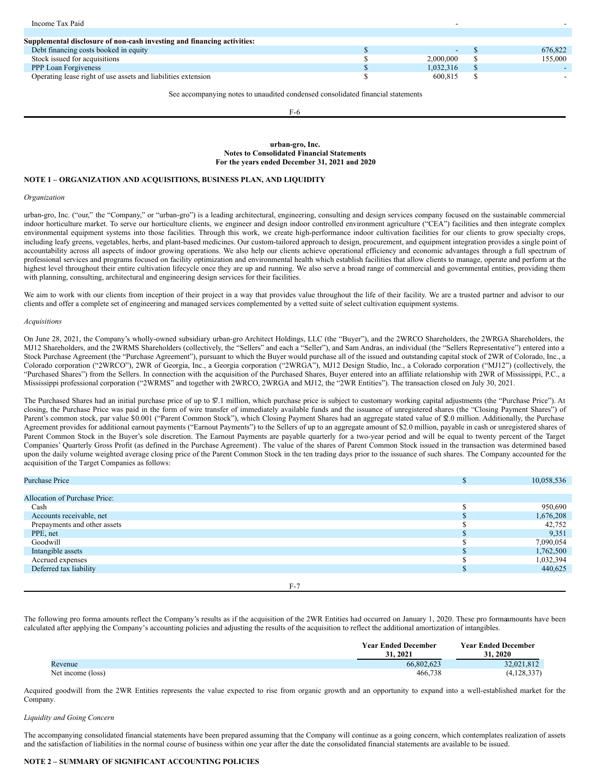| Supplemental disclosure of non-cash investing and financing activities: |           |         |
|-------------------------------------------------------------------------|-----------|---------|
| Debt financing costs booked in equity                                   |           | 676,822 |
| Stock issued for acquisitions                                           | 2.000.000 | 155,000 |
| <b>PPP Loan Forgiveness</b>                                             | 1.032.316 |         |
| Operating lease right of use assets and liabilities extension           | 600.815   |         |

See accompanying notes to unaudited condensed consolidated financial statements

F-6

#### **urban-gro, Inc. Notes to Consolidated Financial Statements For the years ended December 31, 2021 and 2020**

#### **NOTE 1 – ORGANIZATION AND ACQUISITIONS, BUSINESS PLAN, AND LIQUIDITY**

#### *Organization*

urban-gro, Inc. ("our," the "Company," or "urban-gro") is a leading architectural, engineering, consulting and design services company focused on the sustainable commercial indoor horticulture market. To serve our horticulture clients, we engineer and design indoor controlled environment agriculture ("CEA") facilities and then integrate complex environmental equipment systems into those facilities. Through this work, we create high-performance indoor cultivation facilities for our clients to grow specialty crops, including leafy greens, vegetables, herbs, and plant-based medicines. Our custom-tailored approach to design, procurement, and equipment integration provides a single point of accountability across all aspects of indoor growing operations. We also help our clients achieve operational efficiency and economic advantages through a full spectrum of professional services and programs focused on facility optimization and environmental health which establish facilities that allow clients to manage, operate and perform at the highest level throughout their entire cultivation lifecycle once they are up and running. We also serve a broad range of commercial and governmental entities, providing them with planning, consulting, architectural and engineering design services for their facilities.

We aim to work with our clients from inception of their project in a way that provides value throughout the life of their facility. We are a trusted partner and advisor to our clients and offer a complete set of engineering and managed services complemented by a vetted suite of select cultivation equipment systems.

#### *Acquisitions*

On June 28, 2021, the Company's wholly-owned subsidiary urban-gro Architect Holdings, LLC (the "Buyer"), and the 2WRCO Shareholders, the 2WRGA Shareholders, the MJ12 Shareholders, and the 2WRMS Shareholders (collectively, the "Sellers" and each a "Seller"), and Sam Andras, an individual (the "Sellers Representative") entered into a Stock Purchase Agreement (the "Purchase Agreement"), pursuant to which the Buyer would purchase all of the issued and outstanding capital stock of 2WR of Colorado, Inc., a Colorado corporation ("2WRCO"), 2WR of Georgia, Inc., a Georgia corporation ("2WRGA"), MJ12 Design Studio, Inc., a Colorado corporation ("MJ12") (collectively, the "Purchased Shares") from the Sellers. In connection with the acquisition of the Purchased Shares, Buyer entered into an affiliate relationship with 2WR of Mississippi, P.C., a Mississippi professional corporation ("2WRMS" and together with 2WRCO, 2WRGA and MJ12, the "2WR Entities"). The transaction closed on July 30, 2021.

The Purchased Shares had an initial purchase price of up to \$7.1 million, which purchase price is subject to customary working capital adjustments (the "Purchase Price"). At closing, the Purchase Price was paid in the form of wire transfer of immediately available funds and the issuance of unregistered shares (the "Closing Payment Shares") of Parent's common stock, par value \$0.001 ("Parent Common Stock"), which Closing Payment Shares had an aggregate stated value of \$2.0 million. Additionally, the Purchase Agreement provides for additional earnout payments ("Earnout Payments") to the Sellers of up to an aggregate amount of \$2.0 million, payable in cash or unregistered shares of Parent Common Stock in the Buyer's sole discretion. The Earnout Payments are payable quarterly for a two-year period and will be equal to twenty percent of the Target Companies' Quarterly Gross Profit (as defined in the Purchase Agreement) . The value of the shares of Parent Common Stock issued in the transaction was determined based upon the daily volume weighted average closing price of the Parent Common Stock in the ten trading days prior to the issuance of such shares. The Company accounted for the acquisition of the Target Companies as follows:

| Purchase Price                       |    | 10,058,536 |
|--------------------------------------|----|------------|
|                                      |    |            |
| <b>Allocation of Purchase Price:</b> |    |            |
| Cash                                 |    | 950,690    |
| Accounts receivable, net             |    | 1,676,208  |
| Prepayments and other assets         |    | 42,752     |
| PPE, net                             |    | 9.351      |
| Goodwill                             |    | 7,090,054  |
| Intangible assets                    | ٠D | 1,762,500  |
| Accrued expenses                     |    | 1,032,394  |
| Deferred tax liability               | ٨D | 440,625    |
|                                      |    |            |
| $F-7$                                |    |            |

The following pro forma amounts reflect the Company's results as if the acquisition of the 2WR Entities had occurred on January 1, 2020. These pro formamounts have been calculated after applying the Company's accounting policies and adjusting the results of the acquisition to reflect the additional amortization of intangibles.

|                   | <b>Year Ended December</b><br>31.2021 | <b>Year Ended December</b><br>31.2020 |
|-------------------|---------------------------------------|---------------------------------------|
| Revenue           | 66,802,623                            | 32,021,812                            |
| Net income (loss) | 466,738                               | (4, 128, 337)                         |

Acquired goodwill from the 2WR Entities represents the value expected to rise from organic growth and an opportunity to expand into a well-established market for the Company.

#### *Liquidity and Going Concern*

The accompanying consolidated financial statements have been prepared assuming that the Company will continue as a going concern, which contemplates realization of assets and the satisfaction of liabilities in the normal course of business within one year after the date the consolidated financial statements are available to be issued.

# **NOTE 2 – SUMMARY OF SIGNIFICANT ACCOUNTING POLICIES**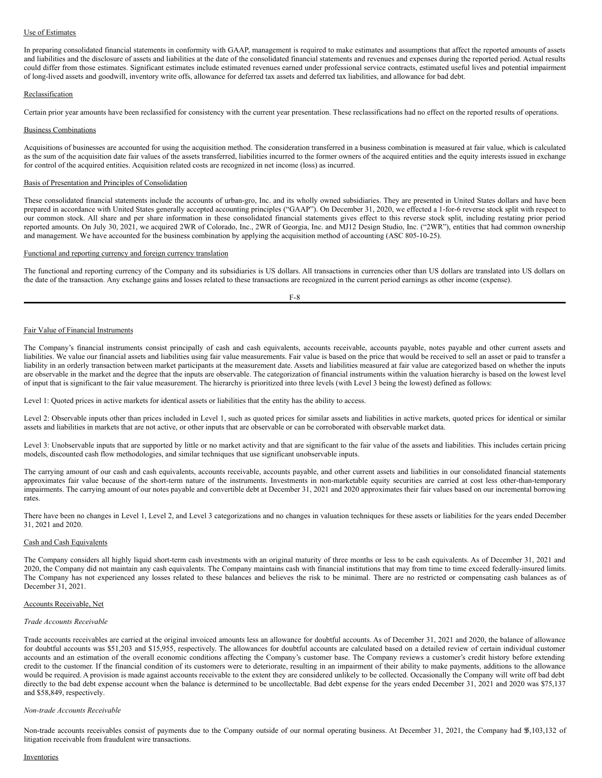#### Use of Estimates

In preparing consolidated financial statements in conformity with GAAP, management is required to make estimates and assumptions that affect the reported amounts of assets and liabilities and the disclosure of assets and liabilities at the date of the consolidated financial statements and revenues and expenses during the reported period. Actual results could differ from those estimates. Significant estimates include estimated revenues earned under professional service contracts, estimated useful lives and potential impairment of long-lived assets and goodwill, inventory write offs, allowance for deferred tax assets and deferred tax liabilities, and allowance for bad debt.

# **Reclassification**

Certain prior year amounts have been reclassified for consistency with the current year presentation. These reclassifications had no effect on the reported results of operations.

#### Business Combinations

Acquisitions of businesses are accounted for using the acquisition method. The consideration transferred in a business combination is measured at fair value, which is calculated as the sum of the acquisition date fair values of the assets transferred, liabilities incurred to the former owners of the acquired entities and the equity interests issued in exchange for control of the acquired entities. Acquisition related costs are recognized in net income (loss) as incurred.

#### Basis of Presentation and Principles of Consolidation

These consolidated financial statements include the accounts of urban-gro, Inc. and its wholly owned subsidiaries. They are presented in United States dollars and have been prepared in accordance with United States generally accepted accounting principles ("GAAP"). On December 31, 2020, we effected a 1-for-6 reverse stock split with respect to our common stock. All share and per share information in these consolidated financial statements gives effect to this reverse stock split, including restating prior period reported amounts. On July 30, 2021, we acquired 2WR of Colorado, Inc., 2WR of Georgia, Inc. and MJ12 Design Studio, Inc. ("2WR"), entities that had common ownership and management. We have accounted for the business combination by applying the acquisition method of accounting (ASC 805-10-25).

## Functional and reporting currency and foreign currency translation

The functional and reporting currency of the Company and its subsidiaries is US dollars. All transactions in currencies other than US dollars are translated into US dollars on the date of the transaction. Any exchange gains and losses related to these transactions are recognized in the current period earnings as other income (expense).

#### Fair Value of Financial Instruments

The Company's financial instruments consist principally of cash and cash equivalents, accounts receivable, accounts payable, notes payable and other current assets and liabilities. We value our financial assets and liabilities using fair value measurements. Fair value is based on the price that would be received to sell an asset or paid to transfer a liability in an orderly transaction between market participants at the measurement date. Assets and liabilities measured at fair value are categorized based on whether the inputs are observable in the market and the degree that the inputs are observable. The categorization of financial instruments within the valuation hierarchy is based on the lowest level of input that is significant to the fair value measurement. The hierarchy is prioritized into three levels (with Level 3 being the lowest) defined as follows:

Level 1: Quoted prices in active markets for identical assets or liabilities that the entity has the ability to access.

Level 2: Observable inputs other than prices included in Level 1, such as quoted prices for similar assets and liabilities in active markets, quoted prices for identical or similar assets and liabilities in markets that are not active, or other inputs that are observable or can be corroborated with observable market data.

Level 3: Unobservable inputs that are supported by little or no market activity and that are significant to the fair value of the assets and liabilities. This includes certain pricing models, discounted cash flow methodologies, and similar techniques that use significant unobservable inputs.

The carrying amount of our cash and cash equivalents, accounts receivable, accounts payable, and other current assets and liabilities in our consolidated financial statements approximates fair value because of the short-term nature of the instruments. Investments in non-marketable equity securities are carried at cost less other-than-temporary impairments. The carrying amount of our notes payable and convertible debt at December 31, 2021 and 2020 approximates their fair values based on our incremental borrowing rates.

There have been no changes in Level 1, Level 2, and Level 3 categorizations and no changes in valuation techniques for these assets or liabilities for the years ended December 31, 2021 and 2020.

#### Cash and Cash Equivalents

The Company considers all highly liquid short-term cash investments with an original maturity of three months or less to be cash equivalents. As of December 31, 2021 and 2020, the Company did not maintain any cash equivalents. The Company maintains cash with financial institutions that may from time to time exceed federally-insured limits. The Company has not experienced any losses related to these balances and believes the risk to be minimal. There are no restricted or compensating cash balances as of December 31, 2021.

# Accounts Receivable, Net

#### *Trade Accounts Receivable*

Trade accounts receivables are carried at the original invoiced amounts less an allowance for doubtful accounts. As of December 31, 2021 and 2020, the balance of allowance for doubtful accounts was \$51,203 and \$15,955, respectively. The allowances for doubtful accounts are calculated based on a detailed review of certain individual customer accounts and an estimation of the overall economic conditions affecting the Company's customer base. The Company reviews a customer's credit history before extending credit to the customer. If the financial condition of its customers were to deteriorate, resulting in an impairment of their ability to make payments, additions to the allowance would be required. A provision is made against accounts receivable to the extent they are considered unlikely to be collected. Occasionally the Company will write off bad debt directly to the bad debt expense account when the balance is determined to be uncollectable. Bad debt expense for the years ended December 31, 2021 and 2020 was \$75,137 and \$58,849, respectively.

#### *Non-trade Accounts Receivable*

Non-trade accounts receivables consist of payments due to the Company outside of our normal operating business. At December 31, 2021, the Company had \$5,103,132 of litigation receivable from fraudulent wire transactions.

#### Inventories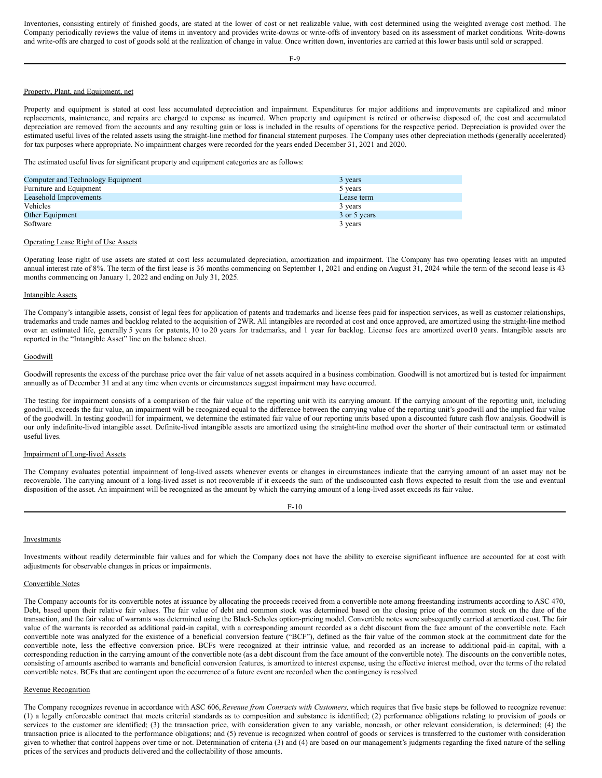Inventories, consisting entirely of finished goods, are stated at the lower of cost or net realizable value, with cost determined using the weighted average cost method. The Company periodically reviews the value of items in inventory and provides write-downs or write-offs of inventory based on its assessment of market conditions. Write-downs and write-offs are charged to cost of goods sold at the realization of change in value. Once written down, inventories are carried at this lower basis until sold or scrapped.

#### F-9

#### Property, Plant, and Equipment, net

Property and equipment is stated at cost less accumulated depreciation and impairment. Expenditures for major additions and improvements are capitalized and minor replacements, maintenance, and repairs are charged to expense as incurred. When property and equipment is retired or otherwise disposed of, the cost and accumulated depreciation are removed from the accounts and any resulting gain or loss is included in the results of operations for the respective period. Depreciation is provided over the estimated useful lives of the related assets using the straight-line method for financial statement purposes. The Company uses other depreciation methods (generally accelerated) for tax purposes where appropriate. No impairment charges were recorded for the years ended December 31, 2021 and 2020.

The estimated useful lives for significant property and equipment categories are as follows:

| Computer and Technology Equipment | 3 years      |
|-----------------------------------|--------------|
| Furniture and Equipment           | 5 years      |
| Leasehold Improvements            | Lease term   |
| Vehicles                          | 3 years      |
| Other Equipment                   | 3 or 5 years |
| Software                          | 3 years      |

#### Operating Lease Right of Use Assets

Operating lease right of use assets are stated at cost less accumulated depreciation, amortization and impairment. The Company has two operating leases with an imputed annual interest rate of 8%. The term of the first lease is 36 months commencing on September 1, 2021 and ending on August 31, 2024 while the term of the second lease is 43 months commencing on January 1, 2022 and ending on July 31, 2025.

# Intangible Assets

The Company's intangible assets, consist of legal fees for application of patents and trademarks and license fees paid for inspection services, as well as customer relationships, trademarks and trade names and backlog related to the acquisition of 2WR. All intangibles are recorded at cost and once approved, are amortized using the straight-line method over an estimated life, generally 5 years for patents, 10 to 20 years for trademarks, and 1 year for backlog. License fees are amortized over10 years. Intangible assets are reported in the "Intangible Asset" line on the balance sheet.

#### **Goodwill**

Goodwill represents the excess of the purchase price over the fair value of net assets acquired in a business combination. Goodwill is not amortized but is tested for impairment annually as of December 31 and at any time when events or circumstances suggest impairment may have occurred.

The testing for impairment consists of a comparison of the fair value of the reporting unit with its carrying amount. If the carrying amount of the reporting unit, including goodwill, exceeds the fair value, an impairment will be recognized equal to the difference between the carrying value of the reporting unit's goodwill and the implied fair value of the goodwill. In testing goodwill for impairment, we determine the estimated fair value of our reporting units based upon a discounted future cash flow analysis. Goodwill is our only indefinite-lived intangible asset. Definite-lived intangible assets are amortized using the straight-line method over the shorter of their contractual term or estimated useful lives.

#### Impairment of Long-lived Assets

The Company evaluates potential impairment of long-lived assets whenever events or changes in circumstances indicate that the carrying amount of an asset may not be recoverable. The carrying amount of a long-lived asset is not recoverable if it exceeds the sum of the undiscounted cash flows expected to result from the use and eventual disposition of the asset. An impairment will be recognized as the amount by which the carrying amount of a long-lived asset exceeds its fair value.

F-10

#### Investments

Investments without readily determinable fair values and for which the Company does not have the ability to exercise significant influence are accounted for at cost with adjustments for observable changes in prices or impairments.

#### Convertible Notes

The Company accounts for its convertible notes at issuance by allocating the proceeds received from a convertible note among freestanding instruments according to ASC 470, Debt, based upon their relative fair values. The fair value of debt and common stock was determined based on the closing price of the common stock on the date of the transaction, and the fair value of warrants was determined using the Black-Scholes option-pricing model. Convertible notes were subsequently carried at amortized cost. The fair value of the warrants is recorded as additional paid-in capital, with a corresponding amount recorded as a debt discount from the face amount of the convertible note. Each convertible note was analyzed for the existence of a beneficial conversion feature ("BCF"), defined as the fair value of the common stock at the commitment date for the convertible note, less the effective conversion price. BCFs were recognized at their intrinsic value, and recorded as an increase to additional paid-in capital, with a corresponding reduction in the carrying amount of the convertible note (as a debt discount from the face amount of the convertible note). The discounts on the convertible notes, consisting of amounts ascribed to warrants and beneficial conversion features, is amortized to interest expense, using the effective interest method, over the terms of the related convertible notes. BCFs that are contingent upon the occurrence of a future event are recorded when the contingency is resolved.

#### Revenue Recognition

The Company recognizes revenue in accordance with ASC 606, *Revenue from Contracts with Customers,* which requires that five basic steps be followed to recognize revenue: (1) a legally enforceable contract that meets criterial standards as to composition and substance is identified; (2) performance obligations relating to provision of goods or services to the customer are identified; (3) the transaction price, with consideration given to any variable, noncash, or other relevant consideration, is determined; (4) the transaction price is allocated to the performance obligations; and (5) revenue is recognized when control of goods or services is transferred to the customer with consideration given to whether that control happens over time or not. Determination of criteria (3) and (4) are based on our management's judgments regarding the fixed nature of the selling prices of the services and products delivered and the collectability of those amounts.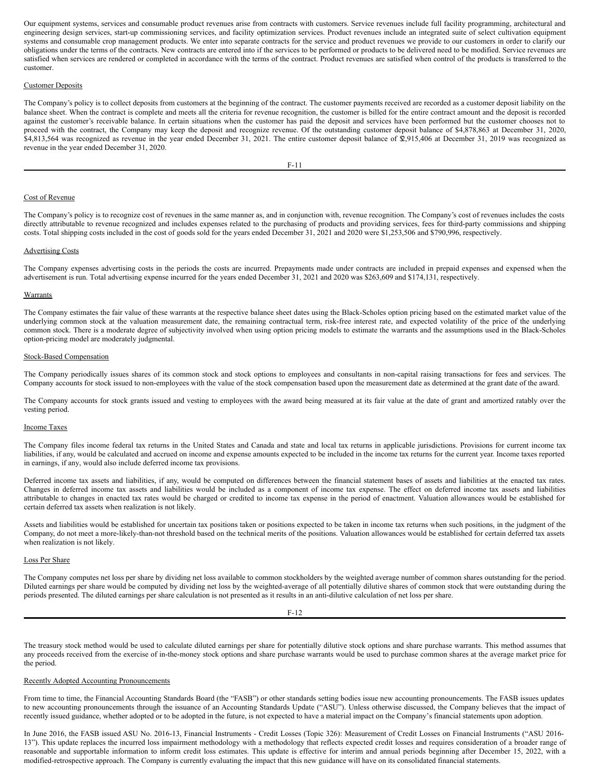Our equipment systems, services and consumable product revenues arise from contracts with customers. Service revenues include full facility programming, architectural and engineering design services, start-up commissioning services, and facility optimization services. Product revenues include an integrated suite of select cultivation equipment systems and consumable crop management products. We enter into separate contracts for the service and product revenues we provide to our customers in order to clarify our obligations under the terms of the contracts. New contracts are entered into if the services to be performed or products to be delivered need to be modified. Service revenues are satisfied when services are rendered or completed in accordance with the terms of the contract. Product revenues are satisfied when control of the products is transferred to the customer.

# Customer Deposits

The Company's policy is to collect deposits from customers at the beginning of the contract. The customer payments received are recorded as a customer deposit liability on the balance sheet. When the contract is complete and meets all the criteria for revenue recognition, the customer is billed for the entire contract amount and the deposit is recorded against the customer's receivable balance. In certain situations when the customer has paid the deposit and services have been performed but the customer chooses not to proceed with the contract, the Company may keep the deposit and recognize revenue. Of the outstanding customer deposit balance of \$4,878,863 at December 31, 2020, \$4,813,564 was recognized as revenue in the year ended December 31, 2021. The entire customer deposit balance of \$2,915,406 at December 31, 2019 was recognized as revenue in the year ended December 31, 2020.

| _ |
|---|
|---|

# Cost of Revenue

The Company's policy is to recognize cost of revenues in the same manner as, and in conjunction with, revenue recognition. The Company's cost of revenues includes the costs directly attributable to revenue recognized and includes expenses related to the purchasing of products and providing services, fees for third-party commissions and shipping costs. Total shipping costs included in the cost of goods sold for the years ended December 31, 2021 and 2020 were \$1,253,506 and \$790,996, respectively.

# Advertising Costs

The Company expenses advertising costs in the periods the costs are incurred. Prepayments made under contracts are included in prepaid expenses and expensed when the advertisement is run. Total advertising expense incurred for the years ended December 31, 2021 and 2020 was \$263,609 and \$174,131, respectively.

#### Warrants

The Company estimates the fair value of these warrants at the respective balance sheet dates using the Black-Scholes option pricing based on the estimated market value of the underlying common stock at the valuation measurement date, the remaining contractual term, risk-free interest rate, and expected volatility of the price of the underlying common stock. There is a moderate degree of subjectivity involved when using option pricing models to estimate the warrants and the assumptions used in the Black-Scholes option-pricing model are moderately judgmental.

#### Stock-Based Compensation

The Company periodically issues shares of its common stock and stock options to employees and consultants in non-capital raising transactions for fees and services. The Company accounts for stock issued to non-employees with the value of the stock compensation based upon the measurement date as determined at the grant date of the award.

The Company accounts for stock grants issued and vesting to employees with the award being measured at its fair value at the date of grant and amortized ratably over the vesting period.

# Income Taxes

The Company files income federal tax returns in the United States and Canada and state and local tax returns in applicable jurisdictions. Provisions for current income tax liabilities, if any, would be calculated and accrued on income and expense amounts expected to be included in the income tax returns for the current year. Income taxes reported in earnings, if any, would also include deferred income tax provisions.

Deferred income tax assets and liabilities, if any, would be computed on differences between the financial statement bases of assets and liabilities at the enacted tax rates. Changes in deferred income tax assets and liabilities would be included as a component of income tax expense. The effect on deferred income tax assets and liabilities attributable to changes in enacted tax rates would be charged or credited to income tax expense in the period of enactment. Valuation allowances would be established for certain deferred tax assets when realization is not likely.

Assets and liabilities would be established for uncertain tax positions taken or positions expected to be taken in income tax returns when such positions, in the judgment of the Company, do not meet a more-likely-than-not threshold based on the technical merits of the positions. Valuation allowances would be established for certain deferred tax assets when realization is not likely.

#### Loss Per Share

The Company computes net loss per share by dividing net loss available to common stockholders by the weighted average number of common shares outstanding for the period. Diluted earnings per share would be computed by dividing net loss by the weighted-average of all potentially dilutive shares of common stock that were outstanding during the periods presented. The diluted earnings per share calculation is not presented as it results in an anti-dilutive calculation of net loss per share.

F-12

The treasury stock method would be used to calculate diluted earnings per share for potentially dilutive stock options and share purchase warrants. This method assumes that any proceeds received from the exercise of in-the-money stock options and share purchase warrants would be used to purchase common shares at the average market price for the period.

#### Recently Adopted Accounting Pronouncements

From time to time, the Financial Accounting Standards Board (the "FASB") or other standards setting bodies issue new accounting pronouncements. The FASB issues updates to new accounting pronouncements through the issuance of an Accounting Standards Update ("ASU"). Unless otherwise discussed, the Company believes that the impact of recently issued guidance, whether adopted or to be adopted in the future, is not expected to have a material impact on the Company's financial statements upon adoption.

In June 2016, the FASB issued ASU No. 2016-13, Financial Instruments - Credit Losses (Topic 326): Measurement of Credit Losses on Financial Instruments ("ASU 2016- 13"). This update replaces the incurred loss impairment methodology with a methodology that reflects expected credit losses and requires consideration of a broader range of reasonable and supportable information to inform credit loss estimates. This update is effective for interim and annual periods beginning after December 15, 2022, with a modified-retrospective approach. The Company is currently evaluating the impact that this new guidance will have on its consolidated financial statements.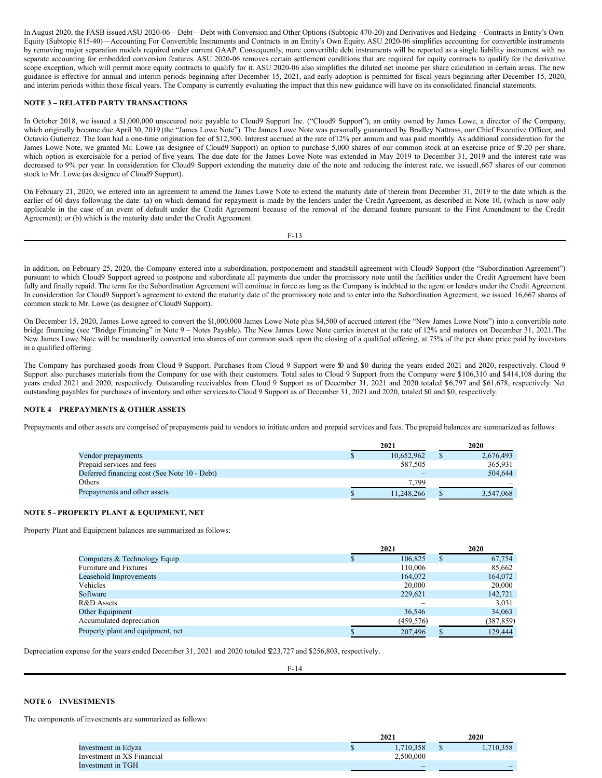In August 2020, the FASB issued ASU 2020-06—Debt—Debt with Conversion and Other Options (Subtopic 470-20) and Derivatives and Hedging—Contracts in Entity's Own Equity (Subtopic 815-40)—Accounting For Convertible Instruments and Contracts in an Entity's Own Equity. ASU 2020-06 simplifies accounting for convertible instruments by removing major separation models required under current GAAP. Consequently, more convertible debt instruments will be reported as a single liability instrument with no separate accounting for embedded conversion features. ASU 2020-06 removes certain settlement conditions that are required for equity contracts to qualify for the derivative scope exception, which will permit more equity contracts to qualify for it. ASU 2020-06 also simplifies the diluted net income per share calculation in certain areas. The new guidance is effective for annual and interim periods beginning after December 15, 2021, and early adoption is permitted for fiscal years beginning after December 15, 2020, and interim periods within those fiscal years. The Company is currently evaluating the impact that this new guidance will have on its consolidated financial statements.

# **NOTE 3 – RELATED PARTY TRANSACTIONS**

In October 2018, we issued a \$1,000,000 unsecured note payable to Cloud9 Support Inc. ("Cloud9 Support"), an entity owned by James Lowe, a director of the Company, which originally became due April 30, 2019 (the "James Lowe Note"). The James Lowe Note was personally guaranteed by Bradley Nattrass, our Chief Executive Officer, and Octavio Gutierrez. The loan had a one-time origination fee of \$12,500. Interest accrued at the rate of12% per annum and was paid monthly. As additional consideration for the James Lowe Note, we granted Mr. Lowe (as designee of Cloud9 Support) an option to purchase 5,000 shares of our common stock at an exercise price of \$7.20 per share, which option is exercisable for a period of five years. The due date for the James Lowe Note was extended in May 2019 to December 31, 2019 and the interest rate was decreased to 9% per year. In consideration for Cloud9 Support extending the maturity date of the note and reducing the interest rate, we issued1,667 shares of our common stock to Mr. Lowe (as designee of Cloud9 Support).

On February 21, 2020, we entered into an agreement to amend the James Lowe Note to extend the maturity date of therein from December 31, 2019 to the date which is the earlier of 60 days following the date: (a) on which demand for repayment is made by the lenders under the Credit Agreement, as described in Note 10, (which is now only applicable in the case of an event of default under the Credit Agreement because of the removal of the demand feature pursuant to the First Amendment to the Credit Agreement); or (b) which is the maturity date under the Credit Agreement.

F-13

In addition, on February 25, 2020, the Company entered into a subordination, postponement and standstill agreement with Cloud9 Support (the "Subordination Agreement") pursuant to which Cloud9 Support agreed to postpone and subordinate all payments due under the promissory note until the facilities under the Credit Agreement have been fully and finally repaid. The term for the Subordination Agreement will continue in force as long as the Company is indebted to the agent or lenders under the Credit Agreement. In consideration for Cloud9 Support's agreement to extend the maturity date of the promissory note and to enter into the Subordination Agreement, we issued 16,667 shares of common stock to Mr. Lowe (as designee of Cloud9 Support).

On December 15, 2020, James Lowe agreed to convert the \$1,000,000 James Lowe Note plus \$4,500 of accrued interest (the "New James Lowe Note") into a convertible note bridge financing (see "Bridge Financing" in Note 9 – Notes Payable). The New James Lowe Note carries interest at the rate of 12% and matures on December 31, 2021.The New James Lowe Note will be mandatorily converted into shares of our common stock upon the closing of a qualified offering, at 75% of the per share price paid by investors in a qualified offering.

The Company has purchased goods from Cloud 9 Support. Purchases from Cloud 9 Support were  $\mathfrak V$  and  $\mathfrak F$  0 during the years ended 2021 and 2020, respectively. Cloud 9 Support also purchases materials from the Company for use with their customers. Total sales to Cloud 9 Support from the Company were \$106,310 and \$414,108 during the years ended 2021 and 2020, respectively. Outstanding receivables from Cloud 9 Support as of December 31, 2021 and 2020 totaled \$6,797 and \$61,678, respectively. Net outstanding payables for purchases of inventory and other services to Cloud 9 Support as of December 31, 2021 and 2020, totaled \$0 and \$0, respectively.

# **NOTE 4 – PREPAYMENTS & OTHER ASSETS**

Prepayments and other assets are comprised of prepayments paid to vendors to initiate orders and prepaid services and fees. The prepaid balances are summarized as follows:

|                                              | 2021       | 2020         |
|----------------------------------------------|------------|--------------|
| Vendor prepayments                           | 10.652.962 | 2,676,493    |
| Prepaid services and fees                    | 587.505    | 365,931      |
| Deferred financing cost (See Note 10 - Debt) |            | 504,644      |
| Others                                       | 7.799      | <b>STATE</b> |
| Prepayments and other assets                 | 11.248.266 | 3,547,068    |

# **NOTE 5 - PROPERTY PLANT & EQUIPMENT, NET**

Property Plant and Equipment balances are summarized as follows:

|                                   | 2021       | 2020         |
|-----------------------------------|------------|--------------|
| Computers & Technology Equip      | 106,825    | \$<br>67,754 |
| <b>Furniture and Fixtures</b>     | 110,006    | 85,662       |
| Leasehold Improvements            | 164,072    | 164,072      |
| Vehicles                          | 20,000     | 20,000       |
| Software                          | 229.621    | 142,721      |
| R&D Assets                        |            | 3.031        |
| Other Equipment                   | 36,546     | 34,063       |
| Accumulated depreciation          | (459, 576) | (387, 859)   |
| Property plant and equipment, net | 207,496    | 129,444      |

Depreciation expense for the years ended December 31, 2021 and 2020 totaled \$223,727 and \$256,803, respectively.

F-14

# **NOTE 6 – INVESTMENTS**

The components of investments are summarized as follows:

|                            | 2021      |  | 2020      |
|----------------------------|-----------|--|-----------|
| Investment in Edyza        | 1.710.358 |  | 1.710.358 |
| Investment in XS Financial | 2,500,000 |  | $\sim$    |
| Investment in TGH          | $\sim$    |  | $\sim$    |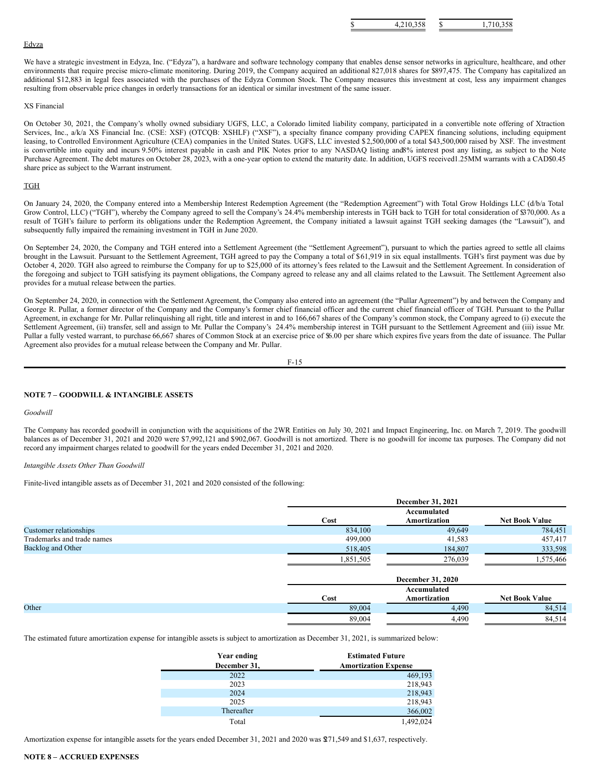\$ 4,210,358 \$ 1,710,358

# Edyza

We have a strategic investment in Edyza, Inc. ("Edyza"), a hardware and software technology company that enables dense sensor networks in agriculture, healthcare, and other environments that require precise micro-climate monitoring. During 2019, the Company acquired an additional 827,018 shares for \$897,475. The Company has capitalized an additional \$12,883 in legal fees associated with the purchases of the Edyza Common Stock. The Company measures this investment at cost, less any impairment changes resulting from observable price changes in orderly transactions for an identical or similar investment of the same issuer.

# XS Financial

On October 30, 2021, the Company's wholly owned subsidiary UGFS, LLC, a Colorado limited liability company, participated in a convertible note offering of Xtraction Services, Inc., a/k/a XS Financial Inc. (CSE: XSF) (OTCQB: XSHLF) ("XSF"), a specialty finance company providing CAPEX financing solutions, including equipment leasing, to Controlled Environment Agriculture (CEA) companies in the United States. UGFS, LLC invested \$2,500,000 of a total \$43,500,000 raised by XSF. The investment is convertible into equity and incurs 9.50% interest payable in cash and PIK Notes prior to any NASDAQ listing and8% interest post any listing, as subject to the Note Purchase Agreement. The debt matures on October 28, 2023, with a one-year option to extend the maturity date. In addition, UGFS received1.25MM warrants with a CAD\$0.45 share price as subject to the Warrant instrument.

#### TGH

On January 24, 2020, the Company entered into a Membership Interest Redemption Agreement (the "Redemption Agreement") with Total Grow Holdings LLC (d/b/a Total Grow Control, LLC) ("TGH"), whereby the Company agreed to sell the Company's 24.4% membership interests in TGH back to TGH for total consideration of \$370,000. As a result of TGH's failure to perform its obligations under the Redemption Agreement, the Company initiated a lawsuit against TGH seeking damages (the "Lawsuit"), and subsequently fully impaired the remaining investment in TGH in June 2020.

On September 24, 2020, the Company and TGH entered into a Settlement Agreement (the "Settlement Agreement"), pursuant to which the parties agreed to settle all claims brought in the Lawsuit. Pursuant to the Settlement Agreement, TGH agreed to pay the Company a total of \$61,919 in six equal installments. TGH's first payment was due by October 4, 2020. TGH also agreed to reimburse the Company for up to \$25,000 of its attorney's fees related to the Lawsuit and the Settlement Agreement. In consideration of the foregoing and subject to TGH satisfying its payment obligations, the Company agreed to release any and all claims related to the Lawsuit. The Settlement Agreement also provides for a mutual release between the parties.

On September 24, 2020, in connection with the Settlement Agreement, the Company also entered into an agreement (the "Pullar Agreement") by and between the Company and George R. Pullar, a former director of the Company and the Company's former chief financial officer and the current chief financial officer of TGH. Pursuant to the Pullar Agreement, in exchange for Mr. Pullar relinquishing all right, title and interest in and to 166,667 shares of the Company's common stock, the Company agreed to (i) execute the Settlement Agreement, (ii) transfer, sell and assign to Mr. Pullar the Company's 24.4% membership interest in TGH pursuant to the Settlement Agreement and (iii) issue Mr. Pullar a fully vested warrant, to purchase 66,667 shares of Common Stock at an exercise price of \$6.00 per share which expires five years from the date of issuance. The Pullar Agreement also provides for a mutual release between the Company and Mr. Pullar.

```
F-15
```
# **NOTE 7 – GOODWILL & INTANGIBLE ASSETS**

#### *Goodwill*

The Company has recorded goodwill in conjunction with the acquisitions of the 2WR Entities on July 30, 2021 and Impact Engineering, Inc. on March 7, 2019. The goodwill balances as of December 31, 2021 and 2020 were \$7,992,121 and \$902,067. Goodwill is not amortized. There is no goodwill for income tax purposes. The Company did not record any impairment charges related to goodwill for the years ended December 31, 2021 and 2020.

#### *Intangible Assets Other Than Goodwill*

Finite-lived intangible assets as of December 31, 2021 and 2020 consisted of the following:

|                            |           | December 31, 2021           |                       |  |
|----------------------------|-----------|-----------------------------|-----------------------|--|
|                            | Cost      | Accumulated<br>Amortization | <b>Net Book Value</b> |  |
| Customer relationships     | 834,100   | 49,649                      | 784,451               |  |
| Trademarks and trade names | 499,000   | 41,583                      | 457,417               |  |
| Backlog and Other          | 518,405   | 184,807                     | 333,598               |  |
|                            | 1,851,505 | 276,039                     | 1,575,466             |  |
|                            |           | <b>December 31, 2020</b>    |                       |  |
|                            |           | Accumulated                 |                       |  |
|                            | Cost      | Amortization                | <b>Net Book Value</b> |  |
| Other                      | 89,004    | 4,490                       | 84,514                |  |
|                            | 89.004    | 4,490                       | 84,514                |  |

The estimated future amortization expense for intangible assets is subject to amortization as December 31, 2021, is summarized below:

| Year ending  | <b>Estimated Future</b>     |
|--------------|-----------------------------|
| December 31, | <b>Amortization Expense</b> |
| 2022         | 469,193                     |
| 2023         | 218,943                     |
| 2024         | 218,943                     |
| 2025         | 218,943                     |
| Thereafter   | 366,002                     |
| Total        | 1,492,024                   |

Amortization expense for intangible assets for the years ended December 31, 2021 and 2020 was \$271,549 and \$1,637, respectively.

# **NOTE 8 – ACCRUED EXPENSES**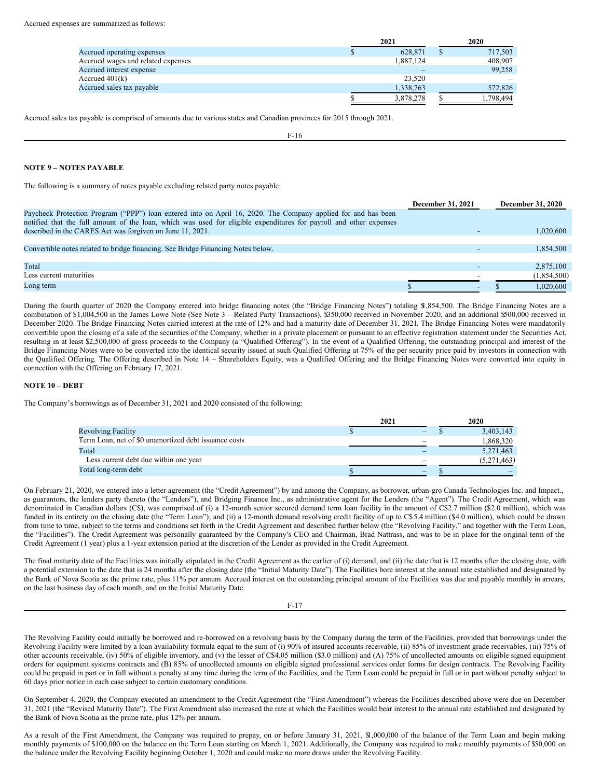|                                    | 2021      |   | 2020      |
|------------------------------------|-----------|---|-----------|
| Accrued operating expenses         | 628.871   | ъ | 717,503   |
| Accrued wages and related expenses | 1,887,124 |   | 408,907   |
| Accrued interest expense           |           |   | 99,258    |
| Accrued $401(k)$                   | 23.520    |   |           |
| Accrued sales tax payable          | 1,338,763 |   | 572,826   |
|                                    | 3,878,278 |   | 1,798,494 |

Accrued sales tax payable is comprised of amounts due to various states and Canadian provinces for 2015 through 2021.

F-16

# **NOTE 9 – NOTES PAYABLE**

The following is a summary of notes payable excluding related party notes payable:

|                                                                                                                                                                                                                                     | <b>December 31, 2021</b> | <b>December 31, 2020</b> |
|-------------------------------------------------------------------------------------------------------------------------------------------------------------------------------------------------------------------------------------|--------------------------|--------------------------|
| Paycheck Protection Program ("PPP") loan entered into on April 16, 2020. The Company applied for and has been<br>notified that the full amount of the loan, which was used for eligible expenditures for payroll and other expenses |                          |                          |
| described in the CARES Act was forgiven on June 11, 2021.                                                                                                                                                                           |                          | 1,020,600                |
|                                                                                                                                                                                                                                     |                          |                          |
| Convertible notes related to bridge financing. See Bridge Financing Notes below.                                                                                                                                                    |                          | 1,854,500                |
|                                                                                                                                                                                                                                     |                          |                          |
| Total                                                                                                                                                                                                                               |                          | 2,875,100                |
| Less current maturities                                                                                                                                                                                                             |                          | (1,854,500)              |
| Long term                                                                                                                                                                                                                           |                          | 1,020,600                |

During the fourth quarter of 2020 the Company entered into bridge financing notes (the "Bridge Financing Notes") totaling \$1,854,500. The Bridge Financing Notes are a combination of \$1,004,500 in the James Lowe Note (See Note 3 – Related Party Transactions), \$350,000 received in November 2020, and an additional \$500,000 received in December 2020. The Bridge Financing Notes carried interest at the rate of 12% and had a maturity date of December 31, 2021. The Bridge Financing Notes were mandatorily convertible upon the closing of a sale of the securities of the Company, whether in a private placement or pursuant to an effective registration statement under the Securities Act, resulting in at least \$2,500,000 of gross proceeds to the Company (a "Qualified Offering"). In the event of a Qualified Offering, the outstanding principal and interest of the Bridge Financing Notes were to be converted into the identical security issued at such Qualified Offering at 75% of the per security price paid by investors in connection with the Qualified Offering. The Offering described in Note 14 – Shareholders Equity, was a Qualified Offering and the Bridge Financing Notes were converted into equity in connection with the Offering on February 17, 2021.

#### **NOTE 10 – DEBT**

The Company's borrowings as of December 31, 2021 and 2020 consisted of the following:

|                                                       | 2021 |                          | 2020        |
|-------------------------------------------------------|------|--------------------------|-------------|
| <b>Revolving Facility</b>                             |      | -                        | 3,403,143   |
| Term Loan, net of \$0 unamortized debt issuance costs |      |                          | 1.868.320   |
| Total                                                 |      |                          | 5,271,463   |
| Less current debt due within one year                 |      | $\overline{\phantom{a}}$ | (5,271,463) |
| Total long-term debt                                  |      | -                        |             |

On February 21, 2020, we entered into a letter agreement (the "Credit Agreement") by and among the Company, as borrower, urban-gro Canada Technologies Inc. and Impact., as guarantors, the lenders party thereto (the "Lenders"), and Bridging Finance Inc., as administrative agent for the Lenders (the "Agent"). The Credit Agreement, which was denominated in Canadian dollars (C\$), was comprised of (i) a 12-month senior secured demand term loan facility in the amount of C\$2.7 million (\$2.0 million), which was funded in its entirety on the closing date (the "Term Loan"); and (ii) a 12-month demand revolving credit facility of up to C\$5.4 million (\$4.0 million), which could be drawn from time to time, subject to the terms and conditions set forth in the Credit Agreement and described further below (the "Revolving Facility," and together with the Term Loan, the "Facilities"). The Credit Agreement was personally guaranteed by the Company's CEO and Chairman, Brad Nattrass, and was to be in place for the original term of the Credit Agreement (1 year) plus a 1-year extension period at the discretion of the Lender as provided in the Credit Agreement.

The final maturity date of the Facilities was initially stipulated in the Credit Agreement as the earlier of (i) demand, and (ii) the date that is 12 months after the closing date, with a potential extension to the date that is 24 months after the closing date (the "Initial Maturity Date"). The Facilities bore interest at the annual rate established and designated by the Bank of Nova Scotia as the prime rate, plus 11% per annum. Accrued interest on the outstanding principal amount of the Facilities was due and payable monthly in arrears, on the last business day of each month, and on the Initial Maturity Date.

F-17

The Revolving Facility could initially be borrowed and re-borrowed on a revolving basis by the Company during the term of the Facilities, provided that borrowings under the Revolving Facility were limited by a loan availability formula equal to the sum of (i) 90% of insured accounts receivable, (ii) 85% of investment grade receivables, (iii) 75% of other accounts receivable, (iv) 50% of eligible inventory, and (v) the lesser of C\$4.05 million (\$3.0 million) and (A) 75% of uncollected amounts on eligible signed equipment orders for equipment systems contracts and (B) 85% of uncollected amounts on eligible signed professional services order forms for design contracts. The Revolving Facility could be prepaid in part or in full without a penalty at any time during the term of the Facilities, and the Term Loan could be prepaid in full or in part without penalty subject to 60 days prior notice in each case subject to certain customary conditions.

On September 4, 2020, the Company executed an amendment to the Credit Agreement (the "First Amendment") whereas the Facilities described above were due on December 31, 2021 (the "Revised Maturity Date"). The First Amendment also increased the rate at which the Facilities would bear interest to the annual rate established and designated by the Bank of Nova Scotia as the prime rate, plus 12% per annum.

As a result of the First Amendment, the Company was required to prepay, on or before January 31, 2021, \$1,000,000 of the balance of the Term Loan and begin making monthly payments of \$100,000 on the balance on the Term Loan starting on March 1, 2021. Additionally, the Company was required to make monthly payments of \$50,000 on the balance under the Revolving Facility beginning October 1, 2020 and could make no more draws under the Revolving Facility.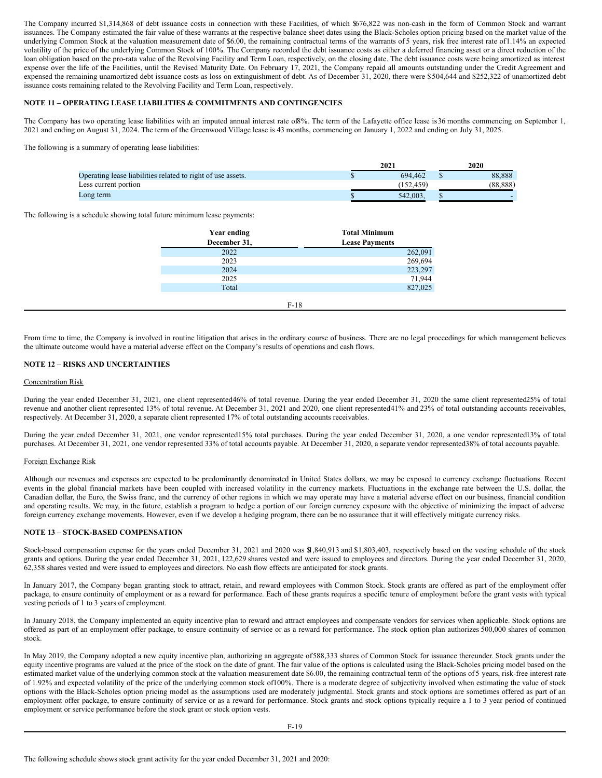The Company incurred \$1,314,868 of debt issuance costs in connection with these Facilities, of which \$676,822 was non-cash in the form of Common Stock and warrant issuances. The Company estimated the fair value of these warrants at the respective balance sheet dates using the Black-Scholes option pricing based on the market value of the underlying Common Stock at the valuation measurement date of \$6.00, the remaining contractual terms of the warrants of 5 years, risk free interest rate of1.14% an expected volatility of the price of the underlying Common Stock of 100%. The Company recorded the debt issuance costs as either a deferred financing asset or a direct reduction of the loan obligation based on the pro-rata value of the Revolving Facility and Term Loan, respectively, on the closing date. The debt issuance costs were being amortized as interest expense over the life of the Facilities, until the Revised Maturity Date. On February 17, 2021, the Company repaid all amounts outstanding under the Credit Agreement and expensed the remaining unamortized debt issuance costs as loss on extinguishment of debt. As of December 31, 2020, there were \$504,644 and \$252,322 of unamortized debt issuance costs remaining related to the Revolving Facility and Term Loan, respectively.

# **NOTE 11 – OPERATING LEASE LIABILITIES & COMMITMENTS AND CONTINGENCIES**

The Company has two operating lease liabilities with an imputed annual interest rate of8%. The term of the Lafayette office lease is36 months commencing on September 1, 2021 and ending on August 31, 2024. The term of the Greenwood Village lease is 43 months, commencing on January 1, 2022 and ending on July 31, 2025.

The following is a summary of operating lease liabilities:

|                                                             | 2021      | 2020     |
|-------------------------------------------------------------|-----------|----------|
| Operating lease liabilities related to right of use assets. | 694.462   | 88.888   |
| Less current portion                                        | (152.459) | (88.888) |
| Long term                                                   | 542,003.  |          |

The following is a schedule showing total future minimum lease payments:

| Year ending  | <b>Total Minimum</b>  |
|--------------|-----------------------|
| December 31, | <b>Lease Payments</b> |
| 2022         | 262,091               |
| 2023         | 269,694               |
| 2024         | 223,297               |
| 2025         | 71,944                |
| Total        | 827,025               |
|              |                       |
| F-18         |                       |

From time to time, the Company is involved in routine litigation that arises in the ordinary course of business. There are no legal proceedings for which management believes the ultimate outcome would have a material adverse effect on the Company's results of operations and cash flows.

#### **NOTE 12 – RISKS AND UNCERTAINTIES**

# Concentration Risk

During the year ended December 31, 2021, one client represented46% of total revenue. During the year ended December 31, 2020 the same client represented25% of total revenue and another client represented 13% of total revenue. At December 31, 2021 and 2020, one client represented41% and 23% of total outstanding accounts receivables, respectively. At December 31, 2020, a separate client represented 17% of total outstanding accounts receivables.

During the year ended December 31, 2021, one vendor represented15% total purchases. During the year ended December 31, 2020, a one vendor represented13% of total purchases. At December 31, 2021, one vendor represented 33% of total accounts payable. At December 31, 2020, a separate vendor represented38% of total accounts payable.

# Foreign Exchange Risk

Although our revenues and expenses are expected to be predominantly denominated in United States dollars, we may be exposed to currency exchange fluctuations. Recent events in the global financial markets have been coupled with increased volatility in the currency markets. Fluctuations in the exchange rate between the U.S. dollar, the Canadian dollar, the Euro, the Swiss franc, and the currency of other regions in which we may operate may have a material adverse effect on our business, financial condition and operating results. We may, in the future, establish a program to hedge a portion of our foreign currency exposure with the objective of minimizing the impact of adverse foreign currency exchange movements. However, even if we develop a hedging program, there can be no assurance that it will effectively mitigate currency risks.

# **NOTE 13 – STOCK-BASED COMPENSATION**

Stock-based compensation expense for the years ended December 31, 2021 and 2020 was \$1,840,913 and \$1,803,403, respectively based on the vesting schedule of the stock grants and options. During the year ended December 31, 2021, 122,629 shares vested and were issued to employees and directors. During the year ended December 31, 2020, 62,358 shares vested and were issued to employees and directors. No cash flow effects are anticipated for stock grants.

In January 2017, the Company began granting stock to attract, retain, and reward employees with Common Stock. Stock grants are offered as part of the employment offer package, to ensure continuity of employment or as a reward for performance. Each of these grants requires a specific tenure of employment before the grant vests with typical vesting periods of 1 to 3 years of employment.

In January 2018, the Company implemented an equity incentive plan to reward and attract employees and compensate vendors for services when applicable. Stock options are offered as part of an employment offer package, to ensure continuity of service or as a reward for performance. The stock option plan authorizes 500,000 shares of common stock.

In May 2019, the Company adopted a new equity incentive plan, authorizing an aggregate of 588,333 shares of Common Stock for issuance thereunder. Stock grants under the equity incentive programs are valued at the price of the stock on the date of grant. The fair value of the options is calculated using the Black-Scholes pricing model based on the estimated market value of the underlying common stock at the valuation measurement date \$6.00, the remaining contractual term of the options of 5 years, risk-free interest rate of 1.92% and expected volatility of the price of the underlying common stock of100%. There is a moderate degree of subjectivity involved when estimating the value of stock options with the Black-Scholes option pricing model as the assumptions used are moderately judgmental. Stock grants and stock options are sometimes offered as part of an employment offer package, to ensure continuity of service or as a reward for performance. Stock grants and stock options typically require a 1 to 3 year period of continued employment or service performance before the stock grant or stock option vests.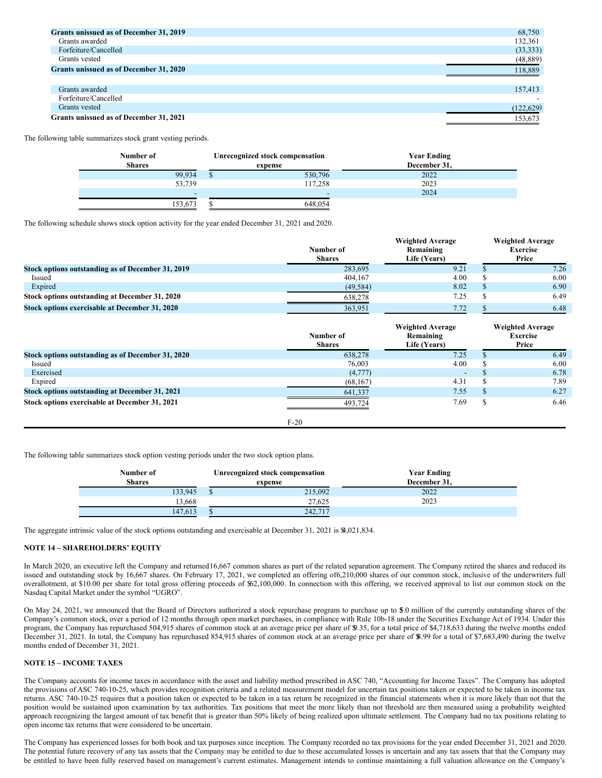| Grants unissued as of December 31, 2019 | 68,750     |
|-----------------------------------------|------------|
| Grants awarded                          | 132,361    |
| Forfeiture/Cancelled                    | (33, 333)  |
| Grants vested                           | (48, 889)  |
| Grants unissued as of December 31, 2020 | 118,889    |
|                                         |            |
| Grants awarded                          | 157,413    |
| Forfeiture/Cancelled                    |            |
| Grants vested                           | (122, 629) |
| Grants unissued as of December 31, 2021 | 153,673    |

The following table summarizes stock grant vesting periods.

| Number of<br><b>Shares</b> | Unrecognized stock compensation<br>expense | <b>Year Ending</b><br>December 31, |
|----------------------------|--------------------------------------------|------------------------------------|
| 99,934                     | 530,796<br>D                               | 2022                               |
| 53,739                     | 117,258                                    | 2023                               |
| -                          |                                            | 2024                               |
| 153,673                    | 648,054                                    |                                    |

The following schedule shows stock option activity for the year ended December 31, 2021 and 2020.

|                                                   | Number of<br><b>Shares</b> | <b>Weighted Average</b><br>Remaining<br>Life (Years) | <b>Weighted Average</b><br><b>Exercise</b><br>Price |
|---------------------------------------------------|----------------------------|------------------------------------------------------|-----------------------------------------------------|
| Stock options outstanding as of December 31, 2019 | 283.695                    | 9.21                                                 | 7.26                                                |
| Issued                                            | 404.167                    | 4.00                                                 | 6.00                                                |
| Expired                                           | (49, 584)                  | 8.02                                                 | 6.90                                                |
| Stock options outstanding at December 31, 2020    | 638,278                    | 7.25                                                 | 6.49                                                |
| Stock options exercisable at December 31, 2020    | 363.951                    | 7.72                                                 | 6.48                                                |

|                                                   | Number of<br><b>Shares</b> | <b>Weighted Average</b><br>Remaining<br>Life (Years) |          | <b>Weighted Average</b><br><b>Exercise</b><br>Price |
|---------------------------------------------------|----------------------------|------------------------------------------------------|----------|-----------------------------------------------------|
| Stock options outstanding as of December 31, 2020 | 638,278                    | 7.25                                                 |          | 6.49                                                |
| Issued                                            | 76,003                     | 4.00                                                 |          | 6.00                                                |
| Exercised                                         | (4,777)                    | $\overline{\phantom{0}}$                             |          | 6.78                                                |
| Expired                                           | (68, 167)                  | 4.31                                                 | S        | 7.89                                                |
| Stock options outstanding at December 31, 2021    | 641,337                    | 7.55                                                 | <b>S</b> | 6.27                                                |
| Stock options exercisable at December 31, 2021    | 493.724                    | 7.69                                                 | S        | 6.46                                                |
|                                                   | $F-20$                     |                                                      |          |                                                     |

The following table summarizes stock option vesting periods under the two stock option plans.

| Number of<br><b>Shares</b> | Unrecognized stock compensation<br>expense | <b>Year Ending</b><br>December 31. |
|----------------------------|--------------------------------------------|------------------------------------|
| 133.945                    | 215,092<br>$\triangle$                     | 2022                               |
| 13,668                     | 27,625                                     | 2023                               |
| 147,613                    | 242,717                                    |                                    |

The aggregate intrinsic value of the stock options outstanding and exercisable at December 31, 2021 is \$4,021,834.

# **NOTE 14 – SHAREHOLDERS' EQUITY**

In March 2020, an executive left the Company and returned 16,667 common shares as part of the related separation agreement. The Company retired the shares and reduced its issued and outstanding stock by 16,667 shares. On February 17, 2021, we completed an offering of6,210,000 shares of our common stock, inclusive of the underwriters full overallotment, at \$10.00 per share for total gross offering proceeds of \$62,100,000. In connection with this offering, we received approval to list our common stock on the Nasdaq Capital Market under the symbol "UGRO".

On May 24, 2021, we announced that the Board of Directors authorized a stock repurchase program to purchase up to \$.0 million of the currently outstanding shares of the Company's common stock, over a period of 12 months through open market purchases, in compliance with Rule 10b-18 under the Securities Exchange Act of 1934. Under this program, the Company has repurchased 504,915 shares of common stock at an average price per share of \$9.35, for a total price of \$4,718,633 during the twelve months ended December 31, 2021. In total, the Company has repurchased 854,915 shares of common stock at an average price per share of \$8.99 for a total of \$7,683,490 during the twelve months ended of December 31, 2021.

# **NOTE 15 – INCOME TAXES**

The Company accounts for income taxes in accordance with the asset and liability method prescribed in ASC 740, "Accounting for Income Taxes". The Company has adopted the provisions of ASC 740-10-25, which provides recognition criteria and a related measurement model for uncertain tax positions taken or expected to be taken in income tax returns. ASC 740-10-25 requires that a position taken or expected to be taken in a tax return be recognized in the financial statements when it is more likely than not that the position would be sustained upon examination by tax authorities. Tax positions that meet the more likely than not threshold are then measured using a probability weighted approach recognizing the largest amount of tax benefit that is greater than 50% likely of being realized upon ultimate settlement. The Company had no tax positions relating to open income tax returns that were considered to be uncertain.

The Company has experienced losses for both book and tax purposes since inception. The Company recorded no tax provisions for the year ended December 31, 2021 and 2020. The potential future recovery of any tax assets that the Company may be entitled to due to these accumulated losses is uncertain and any tax assets that that the Company may be entitled to have been fully reserved based on management's current estimates. Management intends to continue maintaining a full valuation allowance on the Company's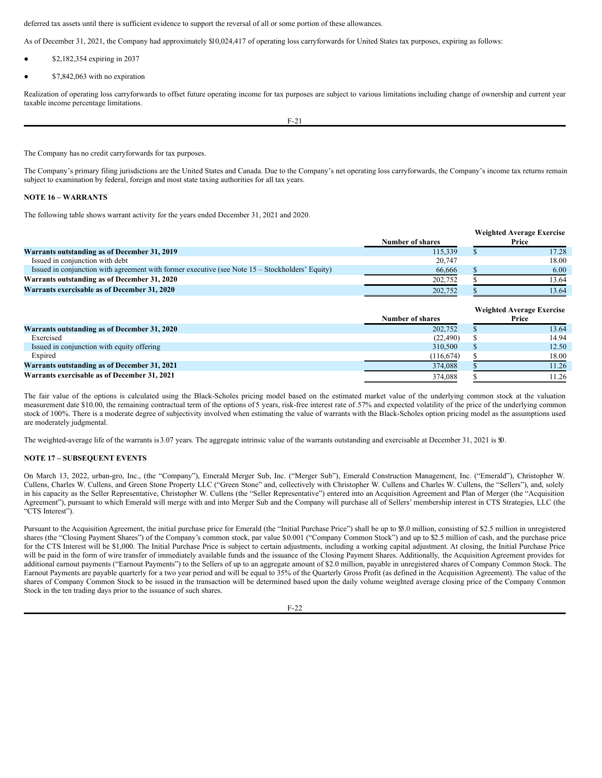deferred tax assets until there is sufficient evidence to support the reversal of all or some portion of these allowances.

As of December 31, 2021, the Company had approximately \$10,024,417 of operating loss carryforwards for United States tax purposes, expiring as follows:

- \$2,182,354 expiring in 2037
- \$7,842,063 with no expiration

Realization of operating loss carryforwards to offset future operating income for tax purposes are subject to various limitations including change of ownership and current year taxable income percentage limitations.

The Company has no credit carryforwards for tax purposes.

The Company's primary filing jurisdictions are the United States and Canada. Due to the Company's net operating loss carryforwards, the Company's income tax returns remain subject to examination by federal, foreign and most state taxing authorities for all tax years.

#### **NOTE 16 – WARRANTS**

The following table shows warrant activity for the years ended December 31, 2021 and 2020.

|                                                                                                 |                         | <b>Weighted Average Exercise</b> |
|-------------------------------------------------------------------------------------------------|-------------------------|----------------------------------|
|                                                                                                 | <b>Number of shares</b> | Price                            |
| Warrants outstanding as of December 31, 2019                                                    | 115,339                 | 17.28                            |
| Issued in conjunction with debt                                                                 | 20,747                  | 18.00                            |
| Issued in conjunction with agreement with former executive (see Note 15 – Stockholders' Equity) | 66,666                  | $6.00^{\circ}$                   |
| Warrants outstanding as of December 31, 2020                                                    | 202.752                 | 13.64                            |
| Warrants exercisable as of December 31, 2020                                                    | 202,752                 | 13.64                            |

|                                              |                  | Weighted Average Exercise |
|----------------------------------------------|------------------|---------------------------|
|                                              | Number of shares | Price                     |
| Warrants outstanding as of December 31, 2020 | 202,752          | 13.64                     |
| Exercised                                    | (22.490)         | 14.94                     |
| Issued in conjunction with equity offering   | 310.500          | 12.50                     |
| Expired                                      | (116, 674)       | 18.00                     |
| Warrants outstanding as of December 31, 2021 | 374,088          | 11.26                     |
| Warrants exercisable as of December 31, 2021 | 374,088          | 11.26                     |

The fair value of the options is calculated using the Black-Scholes pricing model based on the estimated market value of the underlying common stock at the valuation measurement date \$10.00, the remaining contractual term of the options of 5 years, risk-free interest rate of 57% and expected volatility of the price of the underlying common stock of 100%. There is a moderate degree of subjectivity involved when estimating the value of warrants with the Black-Scholes option pricing model as the assumptions used are moderately judgmental.

The weighted-average life of the warrants is3.07 years. The aggregate intrinsic value of the warrants outstanding and exercisable at December 31, 2021 is \$0.

# **NOTE 17 – SUBSEQUENT EVENTS**

On March 13, 2022, urban-gro, Inc., (the "Company"), Emerald Merger Sub, Inc. ("Merger Sub"), Emerald Construction Management, Inc. ("Emerald"), Christopher W. Cullens, Charles W. Cullens, and Green Stone Property LLC ("Green Stone" and, collectively with Christopher W. Cullens and Charles W. Cullens, the "Sellers"), and, solely in his capacity as the Seller Representative, Christopher W. Cullens (the "Seller Representative") entered into an Acquisition Agreement and Plan of Merger (the "Acquisition Agreement"), pursuant to which Emerald will merge with and into Merger Sub and the Company will purchase all of Sellers' membership interest in CTS Strategies, LLC (the "CTS Interest").

Pursuant to the Acquisition Agreement, the initial purchase price for Emerald (the "Initial Purchase Price") shall be up to \$5.0 million, consisting of \$2.5 million in unregistered shares (the "Closing Payment Shares") of the Company's common stock, par value \$0.001 ("Company Common Stock") and up to \$2.5 million of cash, and the purchase price for the CTS Interest will be \$1,000. The Initial Purchase Price is subject to certain adjustments, including a working capital adjustment. At closing, the Initial Purchase Price will be paid in the form of wire transfer of immediately available funds and the issuance of the Closing Payment Shares. Additionally, the Acquisition Agreement provides for additional earnout payments ("Earnout Payments") to the Sellers of up to an aggregate amount of \$2.0 million, payable in unregistered shares of Company Common Stock. The Earnout Payments are payable quarterly for a two year period and will be equal to 35% of the Quarterly Gross Profit (as defined in the Acquisition Agreement). The value of the shares of Company Common Stock to be issued in the transaction will be determined based upon the daily volume weighted average closing price of the Company Common Stock in the ten trading days prior to the issuance of such shares.

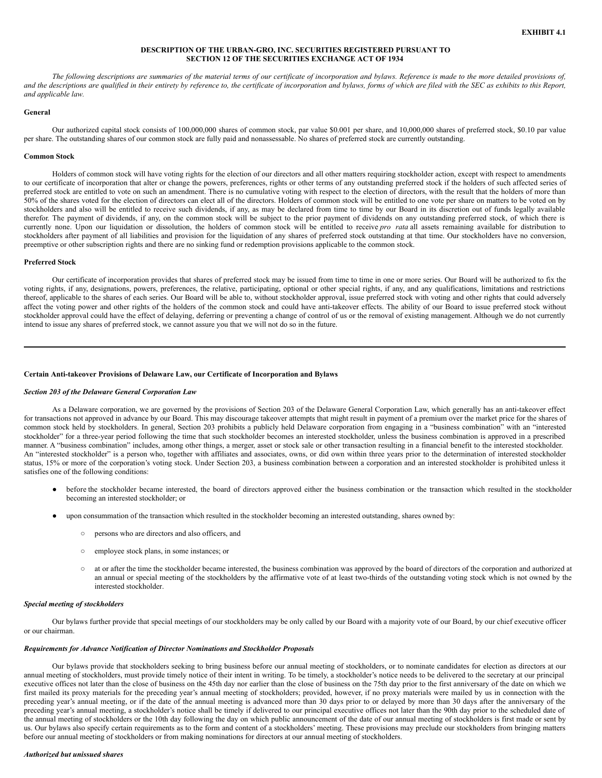# **DESCRIPTION OF THE URBAN-GRO, INC. SECURITIES REGISTERED PURSUANT TO SECTION 12 OF THE SECURITIES EXCHANGE ACT OF 1934**

<span id="page-37-0"></span>The following descriptions are summaries of the material terms of our certificate of incorporation and bylaws. Reference is made to the more detailed provisions of, and the descriptions are qualified in their entirety by reference to, the certificate of incorporation and bylaws, forms of which are filed with the SEC as exhibits to this Report, *and applicable law.*

# **General**

Our authorized capital stock consists of 100,000,000 shares of common stock, par value \$0.001 per share, and 10,000,000 shares of preferred stock, \$0.10 par value per share. The outstanding shares of our common stock are fully paid and nonassessable. No shares of preferred stock are currently outstanding.

#### **Common Stock**

Holders of common stock will have voting rights for the election of our directors and all other matters requiring stockholder action, except with respect to amendments to our certificate of incorporation that alter or change the powers, preferences, rights or other terms of any outstanding preferred stock if the holders of such affected series of preferred stock are entitled to vote on such an amendment. There is no cumulative voting with respect to the election of directors, with the result that the holders of more than 50% of the shares voted for the election of directors can elect all of the directors. Holders of common stock will be entitled to one vote per share on matters to be voted on by stockholders and also will be entitled to receive such dividends, if any, as may be declared from time to time by our Board in its discretion out of funds legally available therefor. The payment of dividends, if any, on the common stock will be subject to the prior payment of dividends on any outstanding preferred stock, of which there is currently none. Upon our liquidation or dissolution, the holders of common stock will be entitled to receive *pro rata* all assets remaining available for distribution to stockholders after payment of all liabilities and provision for the liquidation of any shares of preferred stock outstanding at that time. Our stockholders have no conversion, preemptive or other subscription rights and there are no sinking fund or redemption provisions applicable to the common stock.

# **Preferred Stock**

Our certificate of incorporation provides that shares of preferred stock may be issued from time to time in one or more series. Our Board will be authorized to fix the voting rights, if any, designations, powers, preferences, the relative, participating, optional or other special rights, if any, and any qualifications, limitations and restrictions thereof, applicable to the shares of each series. Our Board will be able to, without stockholder approval, issue preferred stock with voting and other rights that could adversely affect the voting power and other rights of the holders of the common stock and could have anti-takeover effects. The ability of our Board to issue preferred stock without stockholder approval could have the effect of delaying, deferring or preventing a change of control of us or the removal of existing management. Although we do not currently intend to issue any shares of preferred stock, we cannot assure you that we will not do so in the future.

#### **Certain Anti-takeover Provisions of Delaware Law, our Certificate of Incorporation and Bylaws**

#### *Section 203 of the Delaware General Corporation Law*

As a Delaware corporation, we are governed by the provisions of Section 203 of the Delaware General Corporation Law, which generally has an anti-takeover effect for transactions not approved in advance by our Board. This may discourage takeover attempts that might result in payment of a premium over the market price for the shares of common stock held by stockholders. In general, Section 203 prohibits a publicly held Delaware corporation from engaging in a "business combination" with an "interested stockholder" for a three-year period following the time that such stockholder becomes an interested stockholder, unless the business combination is approved in a prescribed manner. A "business combination" includes, among other things, a merger, asset or stock sale or other transaction resulting in a financial benefit to the interested stockholder. An "interested stockholder" is a person who, together with affiliates and associates, owns, or did own within three years prior to the determination of interested stockholder status, 15% or more of the corporation's voting stock. Under Section 203, a business combination between a corporation and an interested stockholder is prohibited unless it satisfies one of the following conditions:

- before the stockholder became interested, the board of directors approved either the business combination or the transaction which resulted in the stockholder becoming an interested stockholder; or
- upon consummation of the transaction which resulted in the stockholder becoming an interested outstanding, shares owned by:
	- persons who are directors and also officers, and
	- employee stock plans, in some instances; or
	- at or after the time the stockholder became interested, the business combination was approved by the board of directors of the corporation and authorized at an annual or special meeting of the stockholders by the affirmative vote of at least two-thirds of the outstanding voting stock which is not owned by the interested stockholder.

# *Special meeting of stockholders*

Our bylaws further provide that special meetings of our stockholders may be only called by our Board with a majority vote of our Board, by our chief executive officer or our chairman.

# *Requirements for Advance Notification of Director Nominations and Stockholder Proposals*

Our bylaws provide that stockholders seeking to bring business before our annual meeting of stockholders, or to nominate candidates for election as directors at our annual meeting of stockholders, must provide timely notice of their intent in writing. To be timely, a stockholder's notice needs to be delivered to the secretary at our principal executive offices not later than the close of business on the 45th day nor earlier than the close of business on the 75th day prior to the first anniversary of the date on which we first mailed its proxy materials for the preceding year's annual meeting of stockholders; provided, however, if no proxy materials were mailed by us in connection with the preceding year's annual meeting, or if the date of the annual meeting is advanced more than 30 days prior to or delayed by more than 30 days after the anniversary of the preceding year's annual meeting, a stockholder's notice shall be timely if delivered to our principal executive offices not later than the 90th day prior to the scheduled date of the annual meeting of stockholders or the 10th day following the day on which public announcement of the date of our annual meeting of stockholders is first made or sent by us. Our bylaws also specify certain requirements as to the form and content of a stockholders' meeting. These provisions may preclude our stockholders from bringing matters before our annual meeting of stockholders or from making nominations for directors at our annual meeting of stockholders.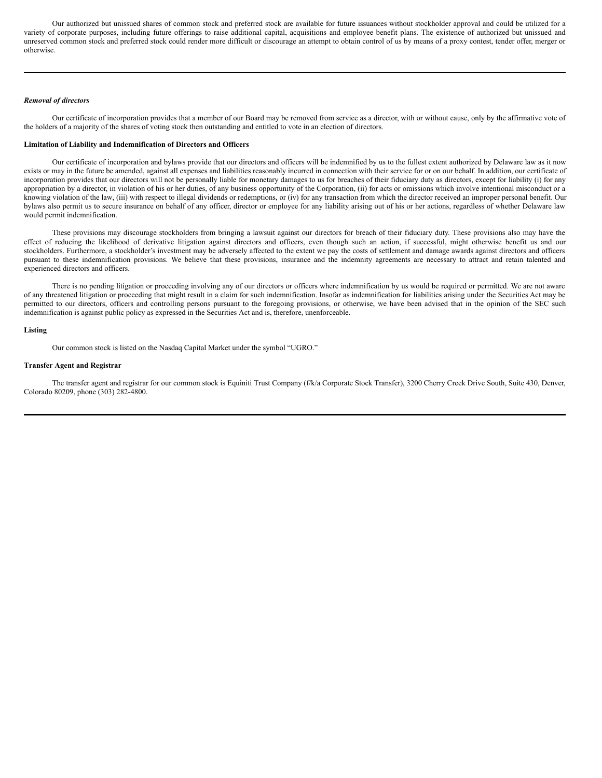Our authorized but unissued shares of common stock and preferred stock are available for future issuances without stockholder approval and could be utilized for a variety of corporate purposes, including future offerings to raise additional capital, acquisitions and employee benefit plans. The existence of authorized but unissued and unreserved common stock and preferred stock could render more difficult or discourage an attempt to obtain control of us by means of a proxy contest, tender offer, merger or otherwise.

# *Removal of directors*

Our certificate of incorporation provides that a member of our Board may be removed from service as a director, with or without cause, only by the affirmative vote of the holders of a majority of the shares of voting stock then outstanding and entitled to vote in an election of directors.

# **Limitation of Liability and Indemnification of Directors and Officers**

Our certificate of incorporation and bylaws provide that our directors and officers will be indemnified by us to the fullest extent authorized by Delaware law as it now exists or may in the future be amended, against all expenses and liabilities reasonably incurred in connection with their service for or on our behalf. In addition, our certificate of incorporation provides that our directors will not be personally liable for monetary damages to us for breaches of their fiduciary duty as directors, except for liability (i) for any appropriation by a director, in violation of his or her duties, of any business opportunity of the Corporation, (ii) for acts or omissions which involve intentional misconduct or a knowing violation of the law, (iii) with respect to illegal dividends or redemptions, or (iv) for any transaction from which the director received an improper personal benefit. Our bylaws also permit us to secure insurance on behalf of any officer, director or employee for any liability arising out of his or her actions, regardless of whether Delaware law would permit indemnification.

These provisions may discourage stockholders from bringing a lawsuit against our directors for breach of their fiduciary duty. These provisions also may have the effect of reducing the likelihood of derivative litigation against directors and officers, even though such an action, if successful, might otherwise benefit us and our stockholders. Furthermore, a stockholder's investment may be adversely affected to the extent we pay the costs of settlement and damage awards against directors and officers pursuant to these indemnification provisions. We believe that these provisions, insurance and the indemnity agreements are necessary to attract and retain talented and experienced directors and officers.

There is no pending litigation or proceeding involving any of our directors or officers where indemnification by us would be required or permitted. We are not aware of any threatened litigation or proceeding that might result in a claim for such indemnification. Insofar as indemnification for liabilities arising under the Securities Act may be permitted to our directors, officers and controlling persons pursuant to the foregoing provisions, or otherwise, we have been advised that in the opinion of the SEC such indemnification is against public policy as expressed in the Securities Act and is, therefore, unenforceable.

#### **Listing**

Our common stock is listed on the Nasdaq Capital Market under the symbol "UGRO."

# **Transfer Agent and Registrar**

The transfer agent and registrar for our common stock is Equiniti Trust Company (f/k/a Corporate Stock Transfer), 3200 Cherry Creek Drive South, Suite 430, Denver, Colorado 80209, phone (303) 282-4800.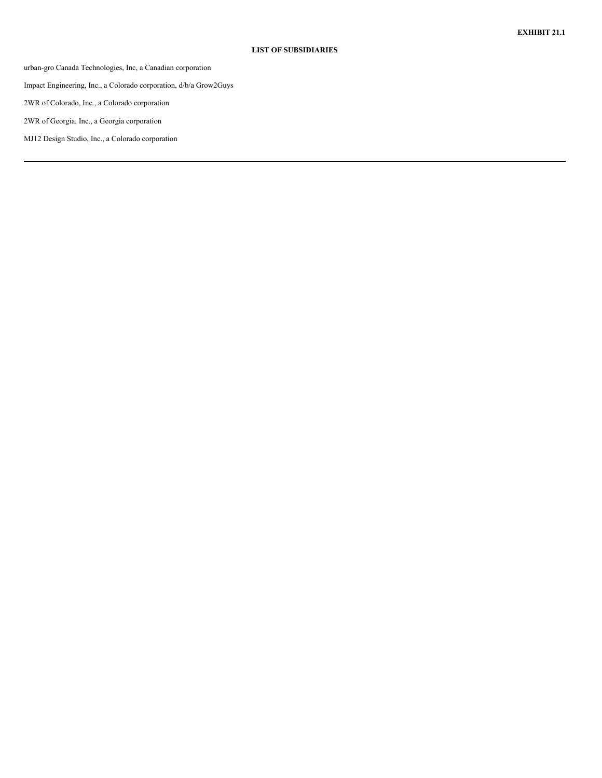<span id="page-39-0"></span>urban-gro Canada Technologies, Inc, a Canadian corporation

Impact Engineering, Inc., a Colorado corporation, d/b/a Grow2Guys

2WR of Colorado, Inc., a Colorado corporation

2WR of Georgia, Inc., a Georgia corporation

MJ12 Design Studio, Inc., a Colorado corporation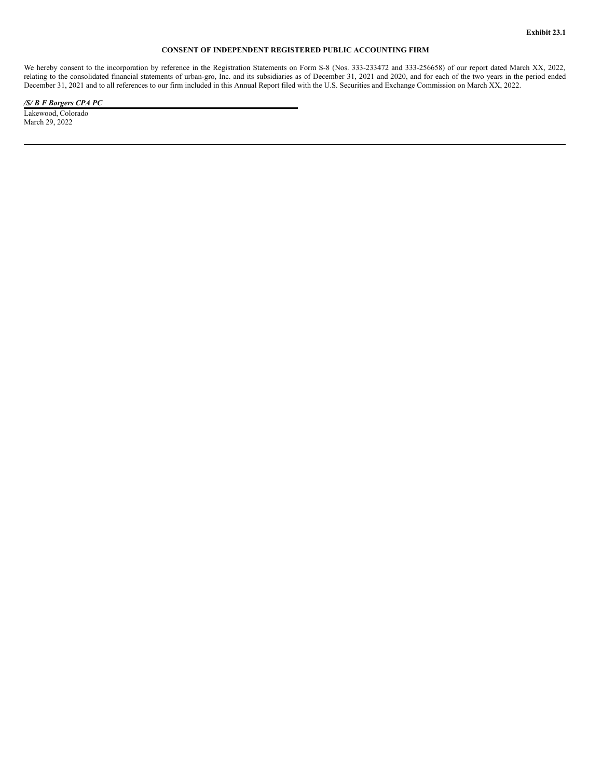# **CONSENT OF INDEPENDENT REGISTERED PUBLIC ACCOUNTING FIRM**

<span id="page-40-0"></span>We hereby consent to the incorporation by reference in the Registration Statements on Form S-8 (Nos. 333-233472 and 333-256658) of our report dated March XX, 2022, relating to the consolidated financial statements of urban-gro, Inc. and its subsidiaries as of December 31, 2021 and 2020, and for each of the two years in the period ended December 31, 2021 and to all references to our firm included in this Annual Report filed with the U.S. Securities and Exchange Commission on March XX, 2022.

*/S/ B F Borgers CPA PC*

Lakewood, Colorado March 29, 2022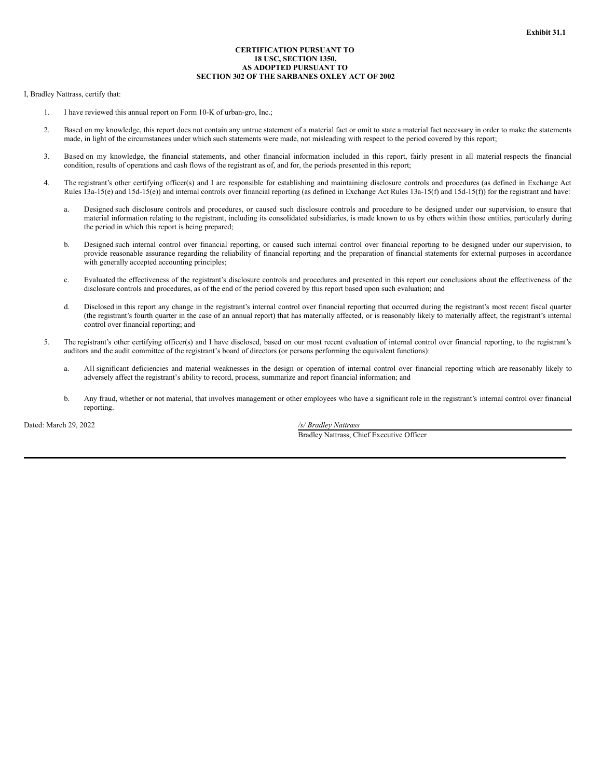# **CERTIFICATION PURSUANT TO 18 USC, SECTION 1350, AS ADOPTED PURSUANT TO SECTION 302 OF THE SARBANES OXLEY ACT OF 2002**

#### <span id="page-41-0"></span>I, Bradley Nattrass, certify that:

- 1. I have reviewed this annual report on Form 10-K of urban-gro, Inc.;
- 2. Based on my knowledge, this report does not contain any untrue statement of a material fact or omit to state a material fact necessary in order to make the statements made, in light of the circumstances under which such statements were made, not misleading with respect to the period covered by this report;
- 3. Based on my knowledge, the financial statements, and other financial information included in this report, fairly present in all material respects the financial condition, results of operations and cash flows of the registrant as of, and for, the periods presented in this report;
- 4. The registrant's other certifying officer(s) and I are responsible for establishing and maintaining disclosure controls and procedures (as defined in Exchange Act Rules 13a-15(e) and 15d-15(e)) and internal controls over financial reporting (as defined in Exchange Act Rules 13a-15(f) and 15d-15(f)) for the registrant and have:
	- a. Designed such disclosure controls and procedures, or caused such disclosure controls and procedure to be designed under our supervision, to ensure that material information relating to the registrant, including its consolidated subsidiaries, is made known to us by others within those entities, particularly during the period in which this report is being prepared;
	- b. Designed such internal control over financial reporting, or caused such internal control over financial reporting to be designed under our supervision, to provide reasonable assurance regarding the reliability of financial reporting and the preparation of financial statements for external purposes in accordance with generally accepted accounting principles;
	- c. Evaluated the effectiveness of the registrant's disclosure controls and procedures and presented in this report our conclusions about the effectiveness of the disclosure controls and procedures, as of the end of the period covered by this report based upon such evaluation; and
	- d. Disclosed in this report any change in the registrant's internal control over financial reporting that occurred during the registrant's most recent fiscal quarter (the registrant's fourth quarter in the case of an annual report) that has materially affected, or is reasonably likely to materially affect, the registrant's internal control over financial reporting; and
- 5. The registrant's other certifying officer(s) and I have disclosed, based on our most recent evaluation of internal control over financial reporting, to the registrant's auditors and the audit committee of the registrant's board of directors (or persons performing the equivalent functions):
	- a. All significant deficiencies and material weaknesses in the design or operation of internal control over financial reporting which are reasonably likely to adversely affect the registrant's ability to record, process, summarize and report financial information; and
	- b. Any fraud, whether or not material, that involves management or other employees who have a significant role in the registrant's internal control over financial reporting.

Dated: March 29, 2022 */s/ Bradley Nattrass*

Bradley Nattrass, Chief Executive Officer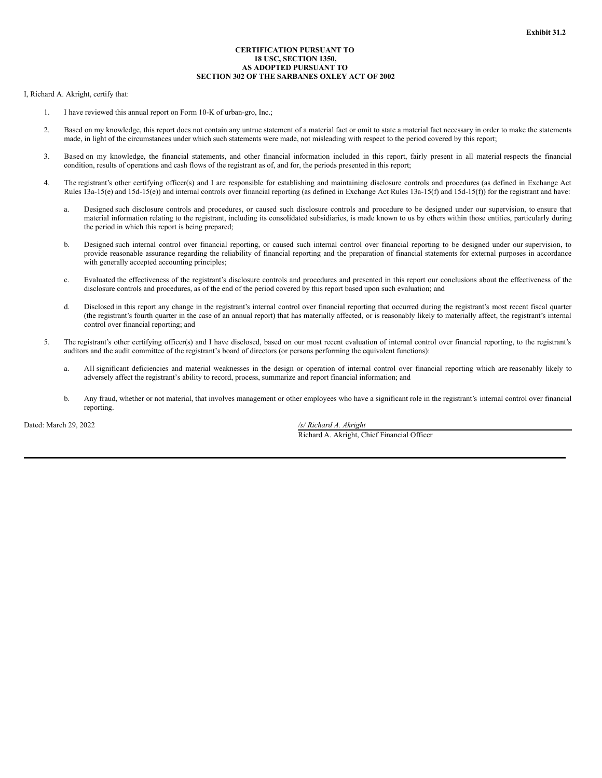# **CERTIFICATION PURSUANT TO 18 USC, SECTION 1350, AS ADOPTED PURSUANT TO SECTION 302 OF THE SARBANES OXLEY ACT OF 2002**

#### <span id="page-42-0"></span>I, Richard A. Akright, certify that:

- 1. I have reviewed this annual report on Form 10-K of urban-gro, Inc.;
- 2. Based on my knowledge, this report does not contain any untrue statement of a material fact or omit to state a material fact necessary in order to make the statements made, in light of the circumstances under which such statements were made, not misleading with respect to the period covered by this report;
- 3. Based on my knowledge, the financial statements, and other financial information included in this report, fairly present in all material respects the financial condition, results of operations and cash flows of the registrant as of, and for, the periods presented in this report;
- 4. The registrant's other certifying officer(s) and I are responsible for establishing and maintaining disclosure controls and procedures (as defined in Exchange Act Rules 13a-15(e) and 15d-15(e)) and internal controls over financial reporting (as defined in Exchange Act Rules 13a-15(f) and 15d-15(f)) for the registrant and have:
	- a. Designed such disclosure controls and procedures, or caused such disclosure controls and procedure to be designed under our supervision, to ensure that material information relating to the registrant, including its consolidated subsidiaries, is made known to us by others within those entities, particularly during the period in which this report is being prepared;
	- b. Designed such internal control over financial reporting, or caused such internal control over financial reporting to be designed under our supervision, to provide reasonable assurance regarding the reliability of financial reporting and the preparation of financial statements for external purposes in accordance with generally accepted accounting principles;
	- c. Evaluated the effectiveness of the registrant's disclosure controls and procedures and presented in this report our conclusions about the effectiveness of the disclosure controls and procedures, as of the end of the period covered by this report based upon such evaluation; and
	- d. Disclosed in this report any change in the registrant's internal control over financial reporting that occurred during the registrant's most recent fiscal quarter (the registrant's fourth quarter in the case of an annual report) that has materially affected, or is reasonably likely to materially affect, the registrant's internal control over financial reporting; and
- 5. The registrant's other certifying officer(s) and I have disclosed, based on our most recent evaluation of internal control over financial reporting, to the registrant's auditors and the audit committee of the registrant's board of directors (or persons performing the equivalent functions):
	- a. All significant deficiencies and material weaknesses in the design or operation of internal control over financial reporting which are reasonably likely to adversely affect the registrant's ability to record, process, summarize and report financial information; and
	- b. Any fraud, whether or not material, that involves management or other employees who have a significant role in the registrant's internal control over financial reporting.

Dated: March 29, 2022 */s/ Richard A. Akright*

Richard A. Akright, Chief Financial Officer